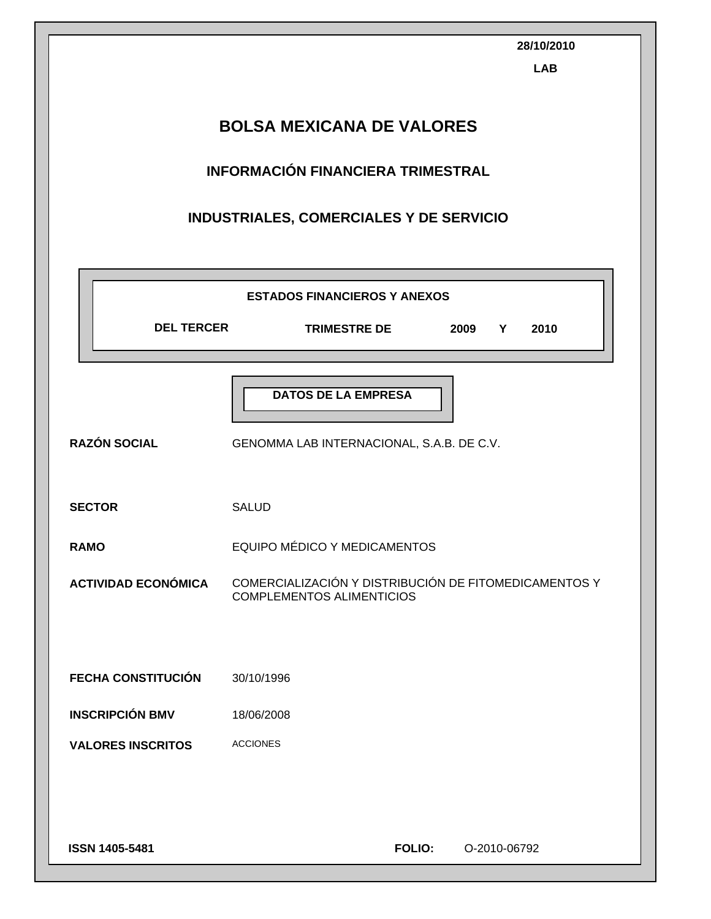|                                  | 28/10/2010<br><b>LAB</b>                                                                  |  |  |  |  |
|----------------------------------|-------------------------------------------------------------------------------------------|--|--|--|--|
| <b>BOLSA MEXICANA DE VALORES</b> |                                                                                           |  |  |  |  |
|                                  | <b>INFORMACIÓN FINANCIERA TRIMESTRAL</b>                                                  |  |  |  |  |
|                                  | INDUSTRIALES, COMERCIALES Y DE SERVICIO                                                   |  |  |  |  |
|                                  | <b>ESTADOS FINANCIEROS Y ANEXOS</b>                                                       |  |  |  |  |
| <b>DEL TERCER</b>                | <b>TRIMESTRE DE</b><br>2009<br>Y<br>2010                                                  |  |  |  |  |
|                                  | <b>DATOS DE LA EMPRESA</b>                                                                |  |  |  |  |
| <b>RAZÓN SOCIAL</b>              | GENOMMA LAB INTERNACIONAL, S.A.B. DE C.V.                                                 |  |  |  |  |
| <b>SECTOR</b>                    | <b>SALUD</b>                                                                              |  |  |  |  |
| <b>RAMO</b>                      | EQUIPO MÉDICO Y MEDICAMENTOS                                                              |  |  |  |  |
| <b>ACTIVIDAD ECONÓMICA</b>       | COMERCIALIZACIÓN Y DISTRIBUCIÓN DE FITOMEDICAMENTOS Y<br><b>COMPLEMENTOS ALIMENTICIOS</b> |  |  |  |  |
|                                  |                                                                                           |  |  |  |  |
| <b>FECHA CONSTITUCIÓN</b>        | 30/10/1996                                                                                |  |  |  |  |
| <b>INSCRIPCIÓN BMV</b>           | 18/06/2008                                                                                |  |  |  |  |
| <b>VALORES INSCRITOS</b>         | <b>ACCIONES</b>                                                                           |  |  |  |  |
|                                  |                                                                                           |  |  |  |  |
| <b>ISSN 1405-5481</b>            | <b>FOLIO:</b><br>O-2010-06792                                                             |  |  |  |  |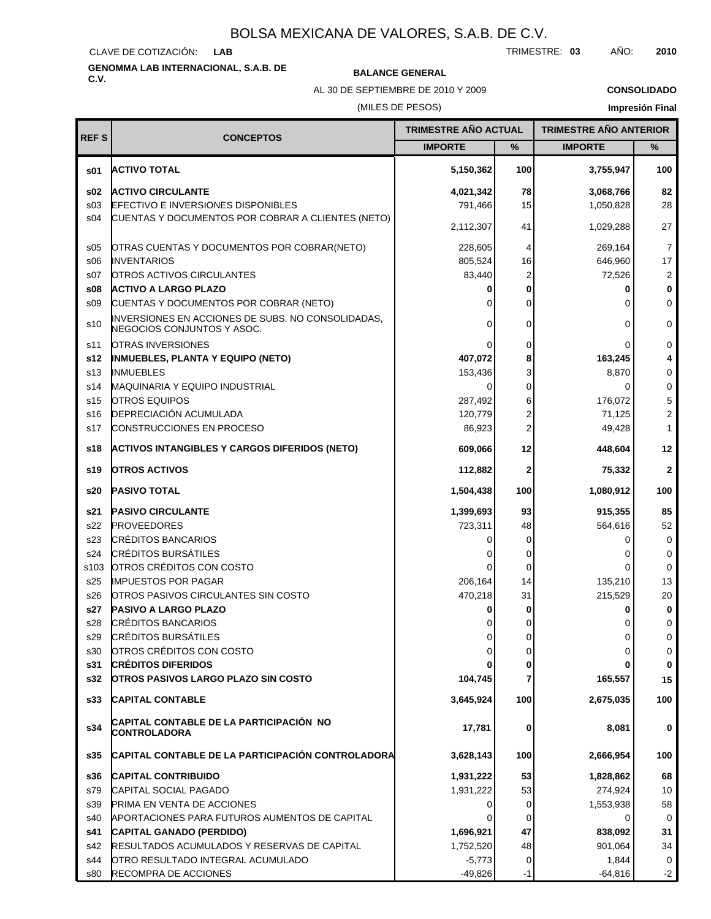CLAVE DE COTIZACIÓN: **LAB**

# **GENOMMA LAB INTERNACIONAL, S.A.B. DE C.V. BALANCE GENERAL**

AL 30 DE SEPTIEMBRE DE 2010 Y 2009

**CONSOLIDADO**

### (MILES DE PESOS)

| <b>REFS</b>     | <b>CONCEPTOS</b>                                                                | <b>TRIMESTRE AÑO ACTUAL</b> |                | <b>TRIMESTRE AÑO ANTERIOR</b> |                |
|-----------------|---------------------------------------------------------------------------------|-----------------------------|----------------|-------------------------------|----------------|
|                 |                                                                                 | <b>IMPORTE</b>              | %              | <b>IMPORTE</b>                | %              |
| s01             | <b>ACTIVO TOTAL</b>                                                             | 5,150,362                   | 100            | 3,755,947                     | 100            |
| \$02            | <b>ACTIVO CIRCULANTE</b>                                                        | 4,021,342                   | 78             | 3,068,766                     | 82             |
| s03             | <b>EFECTIVO E INVERSIONES DISPONIBLES</b>                                       | 791,466                     | 15             | 1,050,828                     | 28             |
| s04             | CUENTAS Y DOCUMENTOS POR COBRAR A CLIENTES (NETO)                               | 2,112,307                   | 41             | 1,029,288                     | 27             |
| s05             | OTRAS CUENTAS Y DOCUMENTOS POR COBRAR(NETO)                                     | 228,605                     | 4              | 269,164                       | $\overline{7}$ |
| S <sub>06</sub> | <b>INVENTARIOS</b>                                                              | 805,524                     | 16             | 646,960                       | 17             |
| s07             | <b>OTROS ACTIVOS CIRCULANTES</b>                                                | 83,440                      | 2              | 72,526                        | $\overline{2}$ |
| \$08            | <b>ACTIVO A LARGO PLAZO</b>                                                     |                             | 0              |                               | 0              |
| S <sub>09</sub> | CUENTAS Y DOCUMENTOS POR COBRAR (NETO)                                          | $\Omega$                    | 0              |                               | 0              |
| s10             | INVERSIONES EN ACCIONES DE SUBS. NO CONSOLIDADAS,<br>NEGOCIOS CONJUNTOS Y ASOC. | $\Omega$                    | 0              | $\Omega$                      | 0              |
| s11             | <b>OTRAS INVERSIONES</b>                                                        | 0                           | 0              |                               | 0              |
| s12             | <b>INMUEBLES, PLANTA Y EQUIPO (NETO)</b>                                        | 407,072                     | 8              | 163,245                       | 4              |
| s13             | <b>INMUEBLES</b>                                                                | 153,436                     | 3              | 8,870                         | 0              |
| s14             | <b>MAQUINARIA Y EQUIPO INDUSTRIAL</b>                                           | $\Omega$                    | 0              | 0                             | 0              |
| s15             | <b>OTROS EQUIPOS</b>                                                            | 287,492                     | 6              | 176,072                       | 5              |
| s16             | DEPRECIACIÓN ACUMULADA                                                          | 120,779                     | 2              | 71,125                        | $\overline{c}$ |
| s17             | CONSTRUCCIONES EN PROCESO                                                       | 86,923                      | $\overline{c}$ | 49,428                        | 1              |
| s18             | <b>ACTIVOS INTANGIBLES Y CARGOS DIFERIDOS (NETO)</b>                            | 609,066                     | 12             | 448,604                       | 12             |
| s19             | <b>OTROS ACTIVOS</b>                                                            | 112,882                     | 2              | 75,332                        | $\mathbf{2}$   |
| s20             | <b>PASIVO TOTAL</b>                                                             | 1,504,438                   | 100            | 1,080,912                     | 100            |
| s21             | <b>PASIVO CIRCULANTE</b>                                                        | 1,399,693                   | 93             | 915,355                       | 85             |
| s22             | <b>PROVEEDORES</b>                                                              | 723,311                     | 48             | 564,616                       | 52             |
| s23             | <b>CRÉDITOS BANCARIOS</b>                                                       |                             | 0              | O                             | 0              |
| s24             | <b>CRÉDITOS BURSÁTILES</b>                                                      |                             | 0              |                               | 0              |
| s103            | OTROS CRÉDITOS CON COSTO                                                        | 0                           | 0              |                               | $\mathbf 0$    |
| s25             | <b>IMPUESTOS POR PAGAR</b>                                                      | 206,164                     | 14             | 135,210                       | 13             |
| s26             | OTROS PASIVOS CIRCULANTES SIN COSTO                                             | 470,218                     | 31             | 215,529                       | 20             |
| s27             | <b>PASIVO A LARGO PLAZO</b>                                                     |                             | 0              |                               | 0              |
| s28             | CRÉDITOS BANCARIOS                                                              |                             |                |                               | 0              |
| s29             | <b>CRÉDITOS BURSÁTILES</b>                                                      |                             |                |                               | $\Omega$       |
| s30             | OTROS CRÉDITOS CON COSTO                                                        | 0                           | 0              | 0                             | 0              |
| s31<br>s32      | <b>CRÉDITOS DIFERIDOS</b><br><b>OTROS PASIVOS LARGO PLAZO SIN COSTO</b>         | 104,745                     | 0<br>7         | 165,557                       | 0<br>15        |
| s33             | <b>CAPITAL CONTABLE</b>                                                         | 3,645,924                   | 100            | 2,675,035                     | 100            |
|                 | CAPITAL CONTABLE DE LA PARTICIPACIÓN NO                                         |                             |                |                               |                |
| s34             | <b>CONTROLADORA</b>                                                             | 17,781                      | 0              | 8,081                         | 0              |
| s35             | CAPITAL CONTABLE DE LA PARTICIPACIÓN CONTROLADORA                               | 3,628,143                   | 100            | 2,666,954                     | 100            |
| s36             | <b>CAPITAL CONTRIBUIDO</b>                                                      | 1,931,222                   | 53             | 1,828,862                     | 68             |
| s79             | CAPITAL SOCIAL PAGADO                                                           | 1,931,222                   | 53             | 274,924                       | 10             |
| s39             | PRIMA EN VENTA DE ACCIONES                                                      | 0                           | 0              | 1,553,938                     | 58             |
| s40             | APORTACIONES PARA FUTUROS AUMENTOS DE CAPITAL                                   |                             | 0              |                               | 0              |
| s41             | CAPITAL GANADO (PERDIDO)                                                        | 1,696,921                   | 47             | 838,092                       | 31             |
| s42             | RESULTADOS ACUMULADOS Y RESERVAS DE CAPITAL                                     | 1,752,520                   | 48             | 901,064                       | 34             |
| s44             | OTRO RESULTADO INTEGRAL ACUMULADO                                               | $-5,773$                    | 0              | 1,844                         | 0              |
| s80             | RECOMPRA DE ACCIONES                                                            | $-49,826$                   | -1             | $-64,816$                     | $-2$           |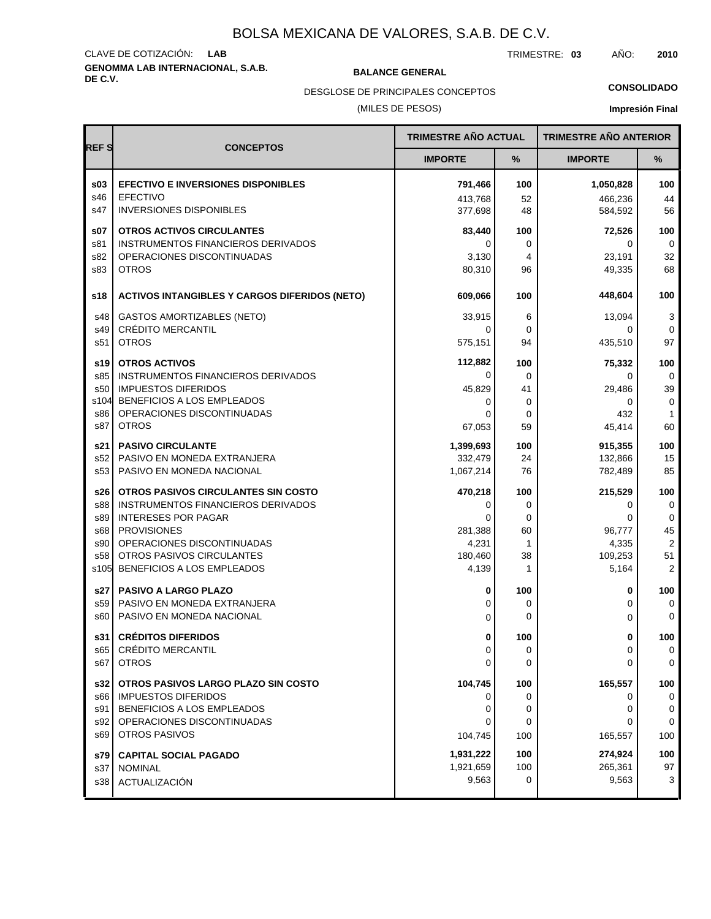# **GENOMMA LAB INTERNACIONAL, S.A.B. DE C.V. BALANCE GENERAL** CLAVE DE COTIZACIÓN: **LAB**

TRIMESTRE: **03** AÑO: **2010**

DESGLOSE DE PRINCIPALES CONCEPTOS

# **CONSOLIDADO**

(MILES DE PESOS)

|             |                                                      | <b>TRIMESTRE AÑO ACTUAL</b> |             | <b>TRIMESTRE AÑO ANTERIOR</b> |                |
|-------------|------------------------------------------------------|-----------------------------|-------------|-------------------------------|----------------|
| <b>REFS</b> | <b>CONCEPTOS</b>                                     | <b>IMPORTE</b>              | %           | <b>IMPORTE</b>                | %              |
| \$03        | <b>EFECTIVO E INVERSIONES DISPONIBLES</b>            | 791,466                     | 100         | 1,050,828                     | 100            |
| s46         | <b>EFECTIVO</b>                                      | 413,768                     | 52          | 466,236                       | 44             |
| s47         | <b>INVERSIONES DISPONIBLES</b>                       | 377,698                     | 48          | 584,592                       | 56             |
| s07         | <b>OTROS ACTIVOS CIRCULANTES</b>                     | 83,440                      | 100         | 72,526                        | 100            |
| s81         | INSTRUMENTOS FINANCIEROS DERIVADOS                   | 0                           | 0           | 0                             | 0              |
| s82         | OPERACIONES DISCONTINUADAS                           | 3,130                       | 4           | 23,191                        | 32             |
| s83         | <b>OTROS</b>                                         | 80,310                      | 96          | 49,335                        | 68             |
| s18         | <b>ACTIVOS INTANGIBLES Y CARGOS DIFERIDOS (NETO)</b> | 609,066                     | 100         | 448,604                       | 100            |
| s48         | <b>GASTOS AMORTIZABLES (NETO)</b>                    | 33,915                      | 6           | 13,094                        | 3              |
| s49         | <b>CRÉDITO MERCANTIL</b>                             | 0                           | $\mathbf 0$ | 0                             | 0              |
| s51         | <b>OTROS</b>                                         | 575,151                     | 94          | 435,510                       | 97             |
| s19         | <b>OTROS ACTIVOS</b>                                 | 112,882                     | 100         | 75,332                        | 100            |
| s85         | INSTRUMENTOS FINANCIEROS DERIVADOS                   | 0                           | 0           | 0                             | 0              |
| s50         | <b>IMPUESTOS DIFERIDOS</b>                           | 45,829                      | 41          | 29,486                        | 39             |
| s104        | BENEFICIOS A LOS EMPLEADOS                           | 0                           | 0           | 0                             | 0              |
| s86         | OPERACIONES DISCONTINUADAS                           | 0                           | 0           | 432                           | $\mathbf{1}$   |
| s87         | <b>OTROS</b>                                         | 67,053                      | 59          | 45,414                        | 60             |
| s21         | <b>PASIVO CIRCULANTE</b>                             | 1,399,693                   | 100         | 915,355                       | 100            |
| s52         | PASIVO EN MONEDA EXTRANJERA                          | 332,479                     | 24          | 132,866                       | 15             |
| s53         | PASIVO EN MONEDA NACIONAL                            | 1,067,214                   | 76          | 782,489                       | 85             |
| s26         | OTROS PASIVOS CIRCULANTES SIN COSTO                  | 470,218                     | 100         | 215,529                       | 100            |
| s88         | INSTRUMENTOS FINANCIEROS DERIVADOS                   | 0                           | 0           | 0                             | $\mathbf 0$    |
| s89         | <b>INTERESES POR PAGAR</b>                           | 0                           | $\mathbf 0$ | 0                             | 0              |
| s68         | <b>PROVISIONES</b>                                   | 281,388                     | 60          | 96,777                        | 45             |
| s90         | OPERACIONES DISCONTINUADAS                           | 4,231                       | 1           | 4,335                         | $\overline{2}$ |
| s58         | OTROS PASIVOS CIRCULANTES                            | 180,460                     | 38          | 109,253                       | 51             |
| s105        | BENEFICIOS A LOS EMPLEADOS                           | 4,139                       | 1           | 5,164                         | 2              |
| s27 l       | <b>PASIVO A LARGO PLAZO</b>                          | 0                           | 100         | 0                             | 100            |
| s59         | PASIVO EN MONEDA EXTRANJERA                          | 0                           | 0           | 0                             | $\mathbf 0$    |
| s60         | PASIVO EN MONEDA NACIONAL                            | 0                           | 0           | 0                             | $\mathbf 0$    |
| s31         | <b>CRÉDITOS DIFERIDOS</b>                            | 0                           | 100         | 0                             | 100            |
| s65 l       | <b>CRÉDITO MERCANTIL</b>                             | 0                           | 0           | 0                             | 0              |
| s67         | <b>OTROS</b>                                         | 0                           | 0           | 0                             | 0              |
| s32         | OTROS PASIVOS LARGO PLAZO SIN COSTO                  | 104,745                     | 100         | 165,557                       | 100            |
| s66 l       | <b>IMPUESTOS DIFERIDOS</b>                           | 0                           | 0           | 0                             | 0              |
| s91         | BENEFICIOS A LOS EMPLEADOS                           | 0                           | 0           | 0                             | 0              |
| s92         | OPERACIONES DISCONTINUADAS                           | 0                           | 0           | 0                             | 0              |
| s69         | <b>OTROS PASIVOS</b>                                 | 104,745                     | 100         | 165,557                       | 100            |
| s79 l       | <b>CAPITAL SOCIAL PAGADO</b>                         | 1,931,222                   | 100         | 274,924                       | 100            |
| s37         | <b>NOMINAL</b>                                       | 1,921,659                   | 100         | 265,361                       | 97             |
| s38 l       | ACTUALIZACIÓN                                        | 9,563                       | 0           | 9,563                         | 3              |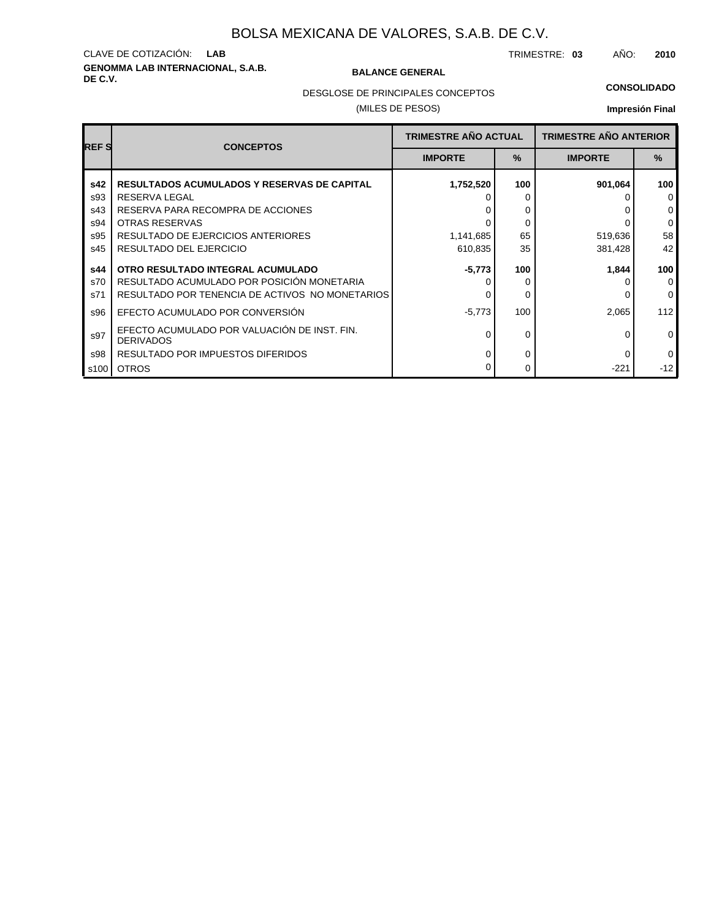# **GENOMMA LAB INTERNACIONAL, S.A.B. DE C.V. BALANCE GENERAL** CLAVE DE COTIZACIÓN: **LAB**

TRIMESTRE: **03** AÑO: **2010**

### **CONSOLIDADO**

DESGLOSE DE PRINCIPALES CONCEPTOS

### (MILES DE PESOS)

| <b>REFS</b> | <b>CONCEPTOS</b>                                                 | <b>TRIMESTRE AÑO ACTUAL</b> |      | <b>TRIMESTRE AÑO ANTERIOR</b> |              |
|-------------|------------------------------------------------------------------|-----------------------------|------|-------------------------------|--------------|
|             |                                                                  | <b>IMPORTE</b>              | $\%$ | <b>IMPORTE</b>                | $\%$         |
| s42         | <b>RESULTADOS ACUMULADOS Y RESERVAS DE CAPITAL</b>               | 1,752,520                   | 100  | 901,064                       | 100          |
| s93         | RESERVA LEGAL                                                    |                             |      |                               | $\mathbf 0$  |
| s43         | RESERVA PARA RECOMPRA DE ACCIONES                                |                             | 0    |                               | $\mathbf 0$  |
| s94         | <b>OTRAS RESERVAS</b>                                            |                             | 0    |                               | $\mathbf 0$  |
| s95         | RESULTADO DE EJERCICIOS ANTERIORES                               | 1,141,685                   | 65   | 519,636                       | 58           |
| s45         | RESULTADO DEL EJERCICIO                                          | 610,835                     | 35   | 381,428                       | 42           |
| s44         | OTRO RESULTADO INTEGRAL ACUMULADO                                | $-5,773$                    | 100  | 1,844                         | 100          |
| s70         | RESULTADO ACUMULADO POR POSICIÓN MONETARIA                       |                             |      |                               | $\mathbf 0$  |
| s71         | RESULTADO POR TENENCIA DE ACTIVOS NO MONETARIOS                  |                             | 0    |                               | $\Omega$     |
| s96         | EFECTO ACUMULADO POR CONVERSIÓN                                  | $-5,773$                    | 100  | 2,065                         | 112          |
| s97         | EFECTO ACUMULADO POR VALUACIÓN DE INST. FIN.<br><b>DERIVADOS</b> | U                           | 0    | O                             | $\mathbf{0}$ |
| s98         | RESULTADO POR IMPUESTOS DIFERIDOS                                | U                           | 0    | 0                             | $\mathbf 0$  |
| s100        | <b>OTROS</b>                                                     |                             | 0    | $-221$                        | $-12$        |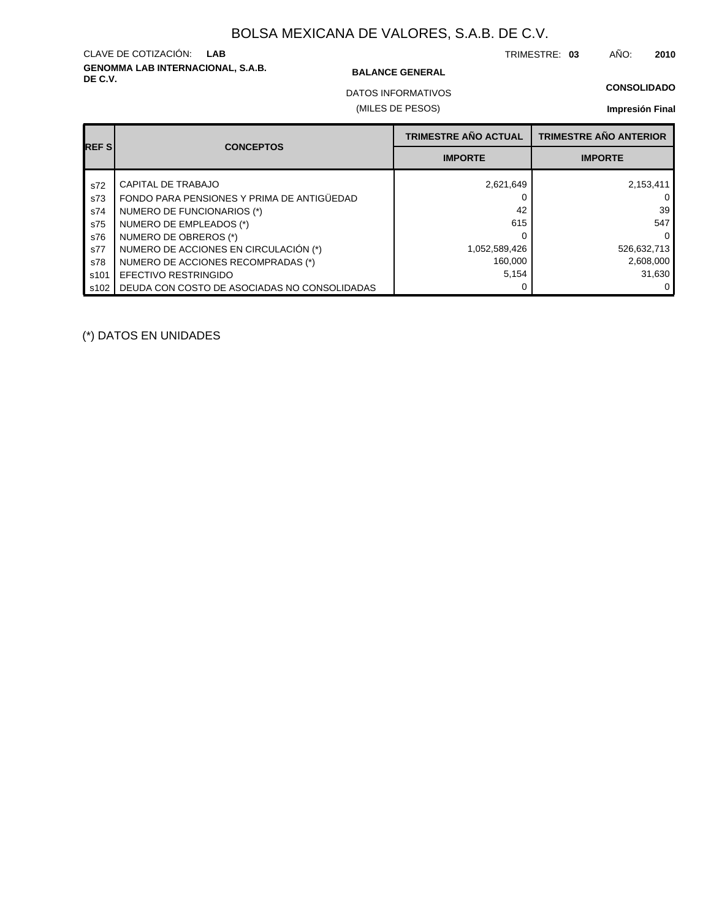# **GENOMMA LAB INTERNACIONAL, S.A.B. DE C.V. BALANCE GENERAL** CLAVE DE COTIZACIÓN: **LAB**

TRIMESTRE: **03** AÑO: **2010**

(MILES DE PESOS) DATOS INFORMATIVOS

## **Impresión Final**

| <b>REFS</b> | <b>CONCEPTOS</b>                             | <b>TRIMESTRE AÑO ACTUAL</b> | <b>TRIMESTRE AÑO ANTERIOR</b> |
|-------------|----------------------------------------------|-----------------------------|-------------------------------|
|             |                                              | <b>IMPORTE</b>              | <b>IMPORTE</b>                |
| s72         | <b>CAPITAL DE TRABAJO</b>                    | 2,621,649                   | 2,153,411                     |
| s73         | FONDO PARA PENSIONES Y PRIMA DE ANTIGÜEDAD   |                             |                               |
| s74         | NUMERO DE FUNCIONARIOS (*)                   | 42                          | 39                            |
| s75         | NUMERO DE EMPLEADOS (*)                      | 615                         | 547                           |
| s76         | NUMERO DE OBREROS (*)                        |                             | O                             |
| s77         | NUMERO DE ACCIONES EN CIRCULACIÓN (*)        | 1,052,589,426               | 526,632,713                   |
| s78         | NUMERO DE ACCIONES RECOMPRADAS (*)           | 160,000                     | 2,608,000                     |
| s101        | EFECTIVO RESTRINGIDO                         | 5,154                       | 31,630                        |
| s102        | DEUDA CON COSTO DE ASOCIADAS NO CONSOLIDADAS |                             |                               |

(\*) DATOS EN UNIDADES

**CONSOLIDADO**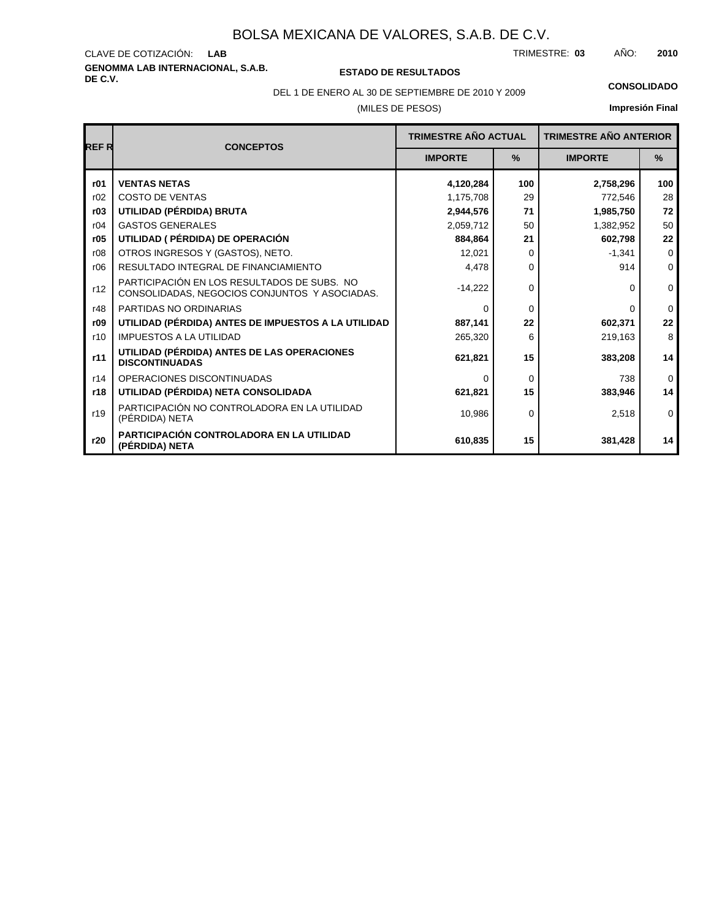**GENOMMA LAB INTERNACIONAL, S.A.B.** CLAVE DE COTIZACIÓN:

**DE C.V. ESTADO DE RESULTADOS**

TRIMESTRE: AÑO: **LAB 03 2010**

(MILES DE PESOS) DEL 1 DE ENERO AL 30 DE SEPTIEMBRE DE 2010 Y 2009 **CONSOLIDADO**

| <b>REFR</b> | <b>CONCEPTOS</b>                                                                             | <b>TRIMESTRE AÑO ACTUAL</b> |               | <b>TRIMESTRE AÑO ANTERIOR</b> |               |
|-------------|----------------------------------------------------------------------------------------------|-----------------------------|---------------|-------------------------------|---------------|
|             |                                                                                              | <b>IMPORTE</b>              | $\frac{9}{6}$ | <b>IMPORTE</b>                | $\frac{9}{6}$ |
| r01         | <b>VENTAS NETAS</b>                                                                          | 4,120,284                   | 100           | 2,758,296                     | 100           |
| r02         | <b>COSTO DE VENTAS</b>                                                                       | 1,175,708                   | 29            | 772,546                       | 28            |
| r03         | UTILIDAD (PÉRDIDA) BRUTA                                                                     | 2,944,576                   | 71            | 1,985,750                     | 72            |
| r04         | <b>GASTOS GENERALES</b>                                                                      | 2,059,712                   | 50            | 1,382,952                     | 50            |
| r05         | UTILIDAD ( PÉRDIDA) DE OPERACIÓN                                                             | 884.864                     | 21            | 602,798                       | 22            |
| r08         | OTROS INGRESOS Y (GASTOS), NETO.                                                             | 12,021                      | 0             | $-1.341$                      | $\Omega$      |
| r06         | RESULTADO INTEGRAL DE FINANCIAMIENTO                                                         | 4,478                       | $\Omega$      | 914                           | $\mathbf 0$   |
| r12         | PARTICIPACIÓN EN LOS RESULTADOS DE SUBS. NO<br>CONSOLIDADAS, NEGOCIOS CONJUNTOS Y ASOCIADAS. | $-14,222$                   | $\Omega$      | 0                             | $\mathbf 0$   |
| r48         | PARTIDAS NO ORDINARIAS                                                                       | $\Omega$                    | $\Omega$      | 0                             | $\mathbf{0}$  |
| r09         | UTILIDAD (PÉRDIDA) ANTES DE IMPUESTOS A LA UTILIDAD                                          | 887,141                     | 22            | 602,371                       | 22            |
| r10         | <b>IMPUESTOS A LA UTILIDAD</b>                                                               | 265,320                     | 6             | 219,163                       | 8             |
| r11         | UTILIDAD (PÉRDIDA) ANTES DE LAS OPERACIONES<br><b>DISCONTINUADAS</b>                         | 621,821                     | 15            | 383,208                       | 14            |
| r14         | OPERACIONES DISCONTINUADAS                                                                   | $\Omega$                    | $\Omega$      | 738                           | $\mathbf 0$   |
| r18         | UTILIDAD (PÉRDIDA) NETA CONSOLIDADA                                                          | 621,821                     | 15            | 383,946                       | 14            |
| r19         | PARTICIPACIÓN NO CONTROLADORA EN LA UTILIDAD<br>(PÉRDIDA) NETA                               | 10.986                      | $\Omega$      | 2,518                         | $\mathbf 0$   |
| r20         | PARTICIPACIÓN CONTROLADORA EN LA UTILIDAD<br>(PÉRDIDA) NETA                                  | 610,835                     | 15            | 381,428                       | 14            |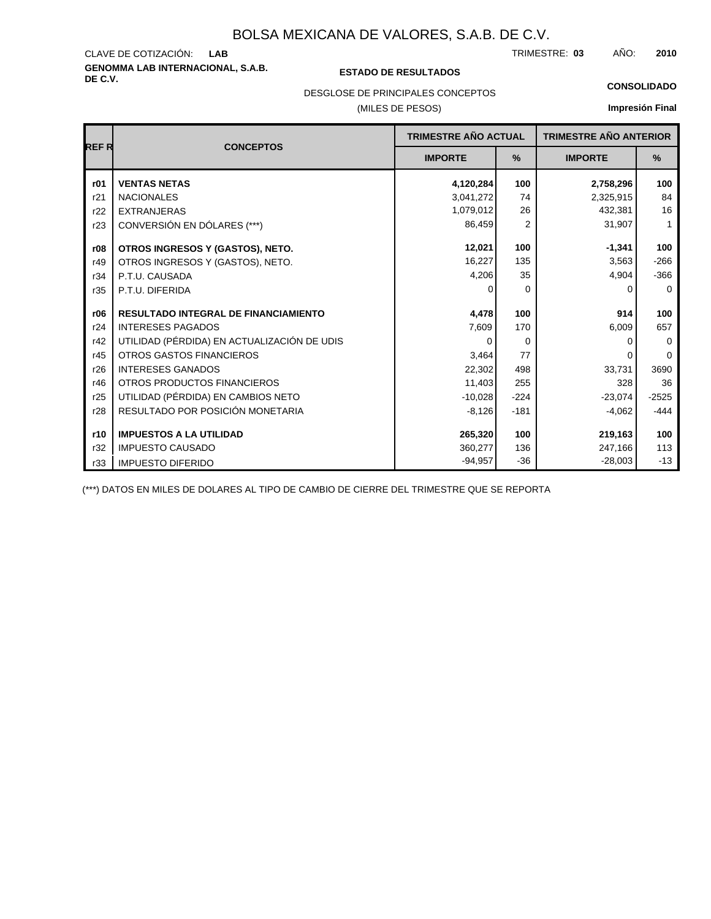# **GENOMMA LAB INTERNACIONAL, S.A.B. DE C.V. ESTADO DE RESULTADOS** CLAVE DE COTIZACIÓN:

TRIMESTRE: AÑO: **LAB 03 2010**

### **CONSOLIDADO**

DESGLOSE DE PRINCIPALES CONCEPTOS

### (MILES DE PESOS)

### **Impresión Final**

| <b>REFR</b> | <b>CONCEPTOS</b>                            | TRIMESTRE AÑO ACTUAL |          | <b>TRIMESTRE AÑO ANTERIOR</b> |             |
|-------------|---------------------------------------------|----------------------|----------|-------------------------------|-------------|
|             |                                             | <b>IMPORTE</b>       | %        | <b>IMPORTE</b>                | %           |
| r01         | <b>VENTAS NETAS</b>                         | 4,120,284            | 100      | 2,758,296                     | 100         |
| r21         | <b>NACIONALES</b>                           | 3,041,272            | 74       | 2,325,915                     | 84          |
| r22         | <b>EXTRANJERAS</b>                          | 1,079,012            | 26       | 432,381                       | 16          |
| r23         | CONVERSIÓN EN DÓLARES (***)                 | 86,459               | 2        | 31,907                        | 1           |
| r08         | OTROS INGRESOS Y (GASTOS), NETO.            | 12,021               | 100      | $-1,341$                      | 100         |
| r49         | OTROS INGRESOS Y (GASTOS), NETO.            | 16,227               | 135      | 3,563                         | $-266$      |
| r34         | P.T.U. CAUSADA                              | 4,206                | 35       | 4,904                         | $-366$      |
| r35         | P.T.U. DIFERIDA                             |                      | $\Omega$ | 0                             | $\mathbf 0$ |
| r06         | <b>RESULTADO INTEGRAL DE FINANCIAMIENTO</b> | 4,478                | 100      | 914                           | 100         |
| r24         | <b>INTERESES PAGADOS</b>                    | 7,609                | 170      | 6,009                         | 657         |
| r42         | UTILIDAD (PÉRDIDA) EN ACTUALIZACIÓN DE UDIS | 0                    | $\Omega$ | 0                             | $\mathbf 0$ |
| r45         | <b>OTROS GASTOS FINANCIEROS</b>             | 3,464                | 77       | 0                             | $\Omega$    |
| r26         | <b>INTERESES GANADOS</b>                    | 22,302               | 498      | 33,731                        | 3690        |
| r46         | OTROS PRODUCTOS FINANCIEROS                 | 11,403               | 255      | 328                           | 36          |
| r25         | UTILIDAD (PÉRDIDA) EN CAMBIOS NETO          | $-10,028$            | $-224$   | $-23,074$                     | $-2525$     |
| r28         | RESULTADO POR POSICIÓN MONETARIA            | $-8,126$             | $-181$   | $-4,062$                      | $-444$      |
| r10         | <b>IMPUESTOS A LA UTILIDAD</b>              | 265,320              | 100      | 219,163                       | 100         |
| r32         | <b>IMPUESTO CAUSADO</b>                     | 360,277              | 136      | 247,166                       | 113         |
| r33         | <b>IMPUESTO DIFERIDO</b>                    | $-94,957$            | $-36$    | $-28,003$                     | $-13$       |

(\*\*\*) DATOS EN MILES DE DOLARES AL TIPO DE CAMBIO DE CIERRE DEL TRIMESTRE QUE SE REPORTA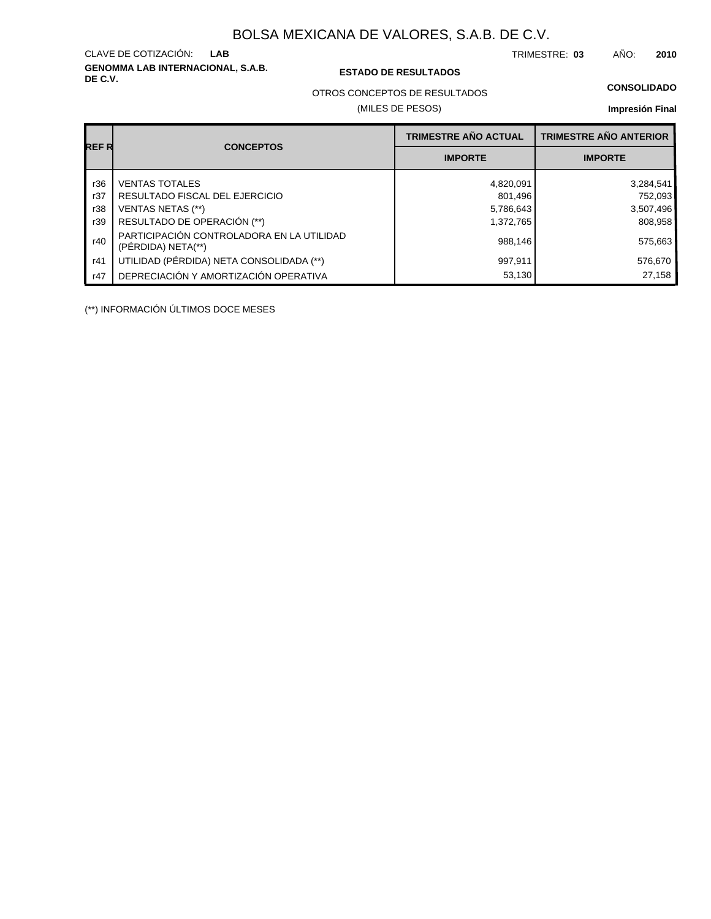**GENOMMA LAB INTERNACIONAL, S.A.B.** CLAVE DE COTIZACIÓN:

### **DE C.V. ESTADO DE RESULTADOS**

TRIMESTRE: AÑO: **LAB 03 2010**

### **CONSOLIDADO**

OTROS CONCEPTOS DE RESULTADOS

### (MILES DE PESOS)

### **Impresión Final**

| REF R | <b>CONCEPTOS</b>                                                | <b>TRIMESTRE AÑO ACTUAL</b> | <b>TRIMESTRE AÑO ANTERIOR</b> |
|-------|-----------------------------------------------------------------|-----------------------------|-------------------------------|
|       |                                                                 | <b>IMPORTE</b>              | <b>IMPORTE</b>                |
| r36   | <b>VENTAS TOTALES</b>                                           | 4,820,091                   | 3,284,541                     |
| r37   | RESULTADO FISCAL DEL EJERCICIO                                  | 801,496                     | 752,093                       |
| r38   | VENTAS NETAS (**)                                               | 5,786,643                   | 3,507,496                     |
| r39   | RESULTADO DE OPERACIÓN (**)                                     | 1,372,765                   | 808,958                       |
| r40   | PARTICIPACIÓN CONTROLADORA EN LA UTILIDAD<br>(PERDIDA) NETA(**) | 988,146                     | 575,663                       |
| r41   | UTILIDAD (PÉRDIDA) NETA CONSOLIDADA (**)                        | 997,911                     | 576,670                       |
| r47   | DEPRECIACIÓN Y AMORTIZACIÓN OPERATIVA                           | 53,130                      | 27,158                        |

(\*\*) INFORMACIÓN ÚLTIMOS DOCE MESES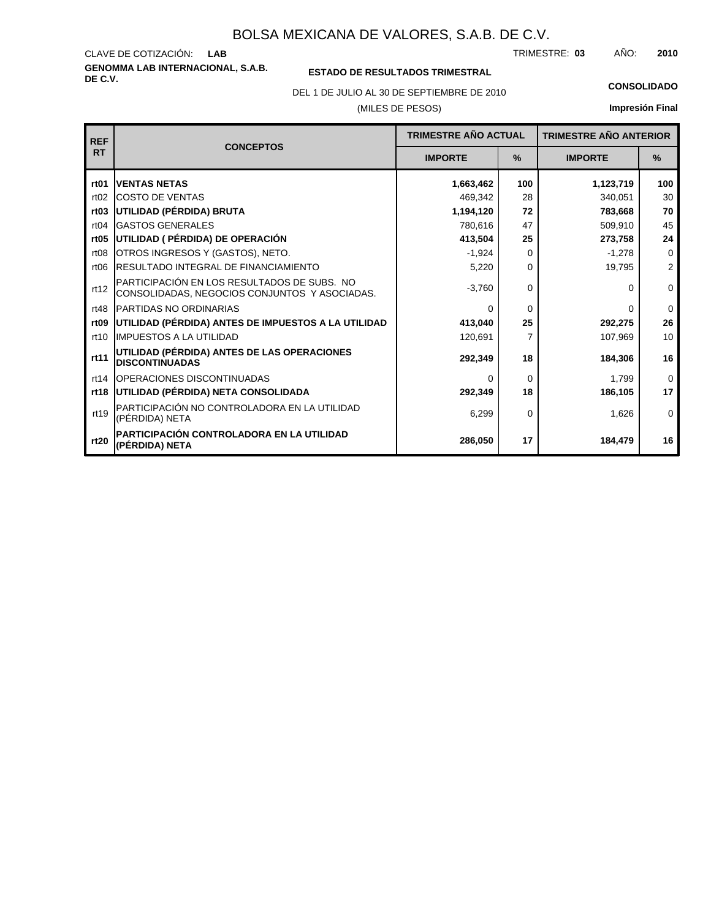**GENOMMA LAB INTERNACIONAL, S.A.B.** CLAVE DE COTIZACIÓN: TRIMESTRE: AÑO: **LAB 03 2010**

### **ESTADO DE RESULTADOS TRIMESTRAL**

DEL 1 DE JULIO AL 30 DE SEPTIEMBRE DE 2010 **CONSOLIDADO**

### (MILES DE PESOS)

| <b>REF</b>       | <b>CONCEPTOS</b>                                                                             | <b>TRIMESTRE AÑO ACTUAL</b> |                | <b>TRIMESTRE AÑO ANTERIOR</b> |                |
|------------------|----------------------------------------------------------------------------------------------|-----------------------------|----------------|-------------------------------|----------------|
| <b>RT</b>        |                                                                                              | <b>IMPORTE</b>              | $\%$           | <b>IMPORTE</b>                | $\%$           |
| rt <sub>01</sub> | <b>IVENTAS NETAS</b>                                                                         | 1,663,462                   | 100            | 1,123,719                     | 100            |
| rt02             | <b>COSTO DE VENTAS</b>                                                                       | 469,342                     | 28             | 340,051                       | 30             |
| rt03             | UTILIDAD (PÉRDIDA) BRUTA                                                                     | 1,194,120                   | 72             | 783,668                       | 70             |
| rt04             | <b>IGASTOS GENERALES</b>                                                                     | 780,616                     | 47             | 509,910                       | 45             |
| rt05             | UTILIDAD ( PÉRDIDA) DE OPERACIÓN                                                             | 413,504                     | 25             | 273,758                       | 24             |
| rt <sub>08</sub> | OTROS INGRESOS Y (GASTOS), NETO.                                                             | $-1,924$                    | $\Omega$       | $-1,278$                      | $\mathbf 0$    |
| rt06             | <b>RESULTADO INTEGRAL DE FINANCIAMIENTO</b>                                                  | 5,220                       | $\Omega$       | 19,795                        | $\overline{2}$ |
| rt12             | PARTICIPACIÓN EN LOS RESULTADOS DE SUBS. NO<br>CONSOLIDADAS, NEGOCIOS CONJUNTOS Y ASOCIADAS. | $-3,760$                    | $\Omega$       | <sup>0</sup>                  | $\Omega$       |
| rt48             | <b>IPARTIDAS NO ORDINARIAS</b>                                                               | $\Omega$                    | $\Omega$       | 0                             | $\mathbf 0$    |
| rt <sub>09</sub> | UTILIDAD (PÉRDIDA) ANTES DE IMPUESTOS A LA UTILIDAD                                          | 413,040                     | 25             | 292,275                       | 26             |
| rt10             | <b>IIMPUESTOS A LA UTILIDAD</b>                                                              | 120,691                     | $\overline{7}$ | 107,969                       | 10             |
| rt11             | UTILIDAD (PÉRDIDA) ANTES DE LAS OPERACIONES<br><b>DISCONTINUADAS</b>                         | 292,349                     | 18             | 184,306                       | 16             |
| rt14             | <b>OPERACIONES DISCONTINUADAS</b>                                                            | $\Omega$                    | $\Omega$       | 1,799                         | $\Omega$       |
| rt18             | UTILIDAD (PÉRDIDA) NETA CONSOLIDADA                                                          | 292,349                     | 18             | 186,105                       | 17             |
| rt19             | PARTICIPACIÓN NO CONTROLADORA EN LA UTILIDAD<br>(PÉRDIDA) NETA                               | 6,299                       | $\Omega$       | 1,626                         | $\mathbf 0$    |
| rt20             | PARTICIPACIÓN CONTROLADORA EN LA UTILIDAD<br>(PÉRDIDA) NETA                                  | 286,050                     | 17             | 184,479                       | 16             |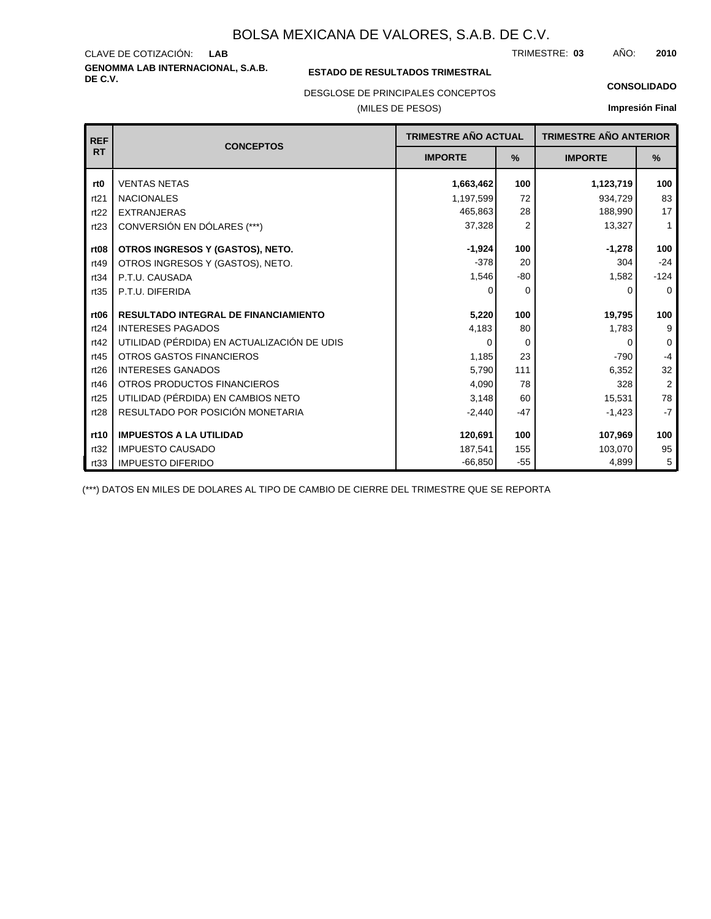**GENOMMA LAB INTERNACIONAL, S.A.B.** CLAVE DE COTIZACIÓN: TRIMESTRE: AÑO: **LAB 03 2010**

### **ESTADO DE RESULTADOS TRIMESTRAL**

DESGLOSE DE PRINCIPALES CONCEPTOS

(MILES DE PESOS)

#### **CONSOLIDADO**

**Impresión Final**

| <b>REF</b>       | <b>CONCEPTOS</b>                            | TRIMESTRE AÑO ACTUAL |                | <b>TRIMESTRE AÑO ANTERIOR</b> |                |
|------------------|---------------------------------------------|----------------------|----------------|-------------------------------|----------------|
| <b>RT</b>        |                                             | <b>IMPORTE</b>       | $\frac{9}{6}$  | <b>IMPORTE</b>                | %              |
| rt <sub>0</sub>  | <b>VENTAS NETAS</b>                         | 1,663,462            | 100            | 1,123,719                     | 100            |
| rt21             | <b>NACIONALES</b>                           | 1,197,599            | 72             | 934,729                       | 83             |
| rt22             | <b>EXTRANJERAS</b>                          | 465,863              | 28             | 188,990                       | 17             |
| rt23             | CONVERSIÓN EN DÓLARES (***)                 | 37,328               | $\overline{2}$ | 13,327                        | $\mathbf{1}$   |
| rt <sub>08</sub> | OTROS INGRESOS Y (GASTOS), NETO.            | $-1,924$             | 100            | $-1,278$                      | 100            |
| rt49             | OTROS INGRESOS Y (GASTOS), NETO.            | $-378$               | 20             | 304                           | $-24$          |
| rt34             | P.T.U. CAUSADA                              | 1,546                | $-80$          | 1,582                         | $-124$         |
| rt35             | P.T.U. DIFERIDA                             | O                    | $\Omega$       | <sup>0</sup>                  | $\Omega$       |
|                  | <b>RESULTADO INTEGRAL DE FINANCIAMIENTO</b> |                      |                |                               |                |
| rt <sub>06</sub> |                                             | 5,220                | 100            | 19,795                        | 100            |
| rt24             | <b>INTERESES PAGADOS</b>                    | 4,183                | 80             | 1,783                         | 9              |
| rt42             | UTILIDAD (PÉRDIDA) EN ACTUALIZACIÓN DE UDIS | 0                    | $\Omega$       | O                             | $\mathbf 0$    |
| rt45             | <b>OTROS GASTOS FINANCIEROS</b>             | 1,185                | 23             | $-790$                        | $-4$           |
| rt26             | <b>INTERESES GANADOS</b>                    | 5,790                | 111            | 6,352                         | 32             |
| rt46             | OTROS PRODUCTOS FINANCIEROS                 | 4,090                | 78             | 328                           | $\overline{2}$ |
| rt25             | UTILIDAD (PÉRDIDA) EN CAMBIOS NETO          | 3,148                | 60             | 15,531                        | 78             |
| rt28             | RESULTADO POR POSICIÓN MONETARIA            | $-2,440$             | $-47$          | $-1,423$                      | $-7$           |
| rt10             | <b>IMPUESTOS A LA UTILIDAD</b>              | 120,691              | 100            | 107,969                       | 100            |
| rt32             | <b>IMPUESTO CAUSADO</b>                     | 187,541              | 155            | 103,070                       | 95             |
| rt33             | <b>IMPUESTO DIFERIDO</b>                    | $-66,850$            | $-55$          | 4,899                         | 5              |

(\*\*\*) DATOS EN MILES DE DOLARES AL TIPO DE CAMBIO DE CIERRE DEL TRIMESTRE QUE SE REPORTA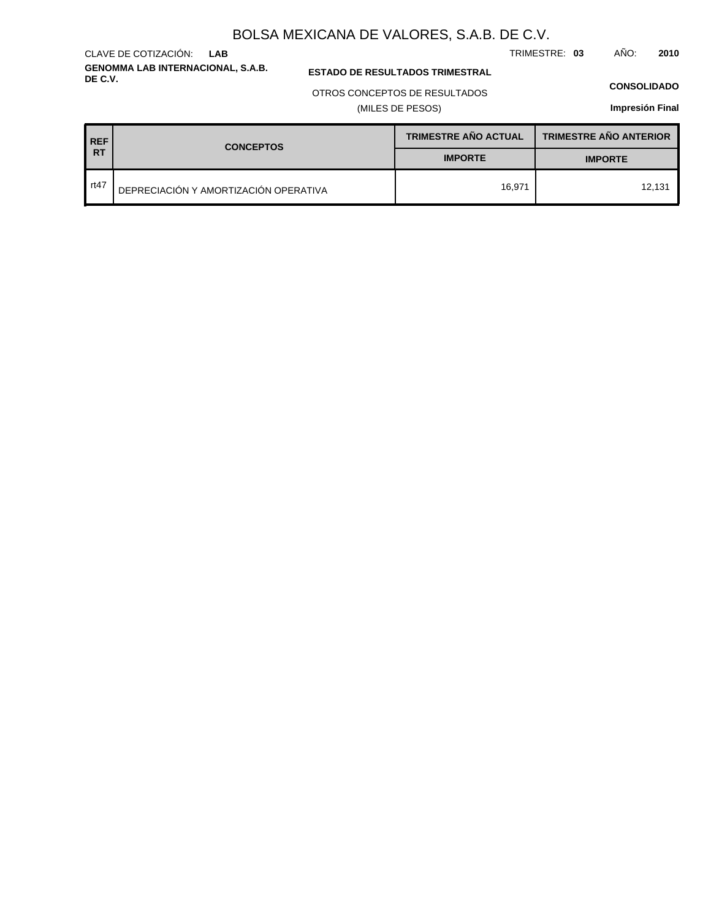**GENOMMA LAB INTERNACIONAL, S.A.B.** CLAVE DE COTIZACIÓN: **LAB**

**ESTADO DE RESULTADOS TRIMESTRAL** 

### OTROS CONCEPTOS DE RESULTADOS

(MILES DE PESOS)

#### **CONSOLIDADO**

TRIMESTRE: **03** AÑO: **2010**

| <b>REF</b> | <b>CONCEPTOS</b>                      | <b>TRIMESTRE AÑO ACTUAL</b> | <b>TRIMESTRE AÑO ANTERIOR</b> |  |
|------------|---------------------------------------|-----------------------------|-------------------------------|--|
| <b>RT</b>  |                                       | <b>IMPORTE</b>              | <b>IMPORTE</b>                |  |
| rt47       | DEPRECIACIÓN Y AMORTIZACIÓN OPERATIVA | 16,971                      | 12,131                        |  |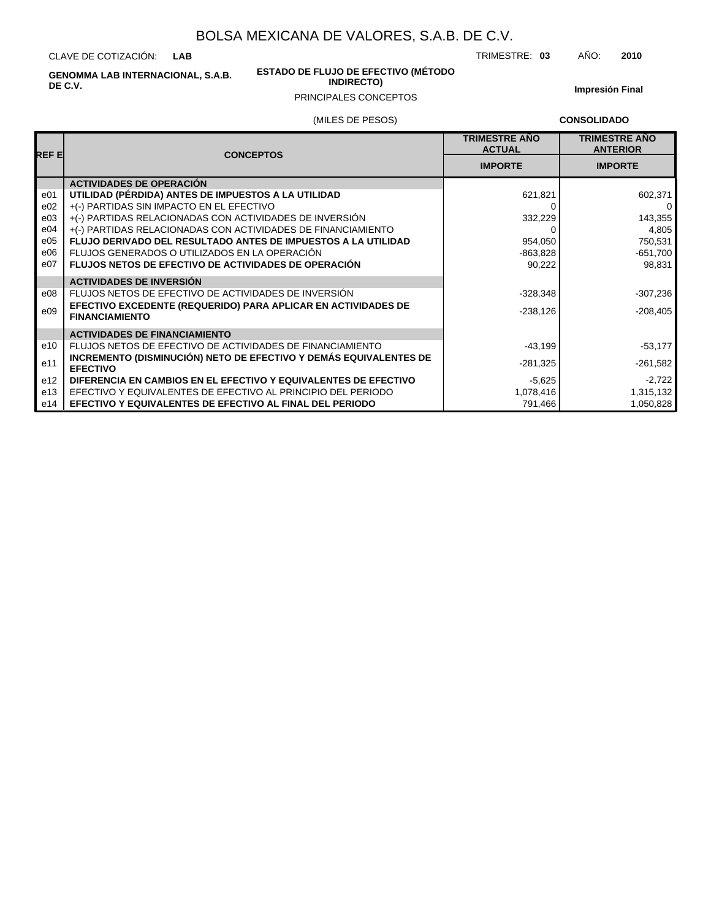CLAVE DE COTIZACIÓN: **LAB**

> **ESTADO DE FLUJO DE EFECTIVO (MÉTODO INDIRECTO)**

TRIMESTRE: **03** AÑO: **2010**

**GENOMMA LAB INTERNACIONAL, S.A.B. DE C.V.**

### PRINCIPALES CONCEPTOS

**Impresión Final**

### (MILES DE PESOS)

**CONSOLIDADO**

| REF EI | <b>CONCEPTOS</b>                                                                       | <b>TRIMESTRE AÑO</b><br><b>ACTUAL</b> | <b>TRIMESTRE AÑO</b><br><b>ANTERIOR</b> |
|--------|----------------------------------------------------------------------------------------|---------------------------------------|-----------------------------------------|
|        |                                                                                        | <b>IMPORTE</b>                        | <b>IMPORTE</b>                          |
|        | <b>ACTIVIDADES DE OPERACIÓN</b>                                                        |                                       |                                         |
| e01    | UTILIDAD (PÉRDIDA) ANTES DE IMPUESTOS A LA UTILIDAD                                    | 621,821                               | 602,371                                 |
| e02    | +(-) PARTIDAS SIN IMPACTO EN EL EFECTIVO                                               |                                       | 0                                       |
| e03    | +(-) PARTIDAS RELACIONADAS CON ACTIVIDADES DE INVERSIÓN                                | 332,229                               | 143,355                                 |
| e04    | +(-) PARTIDAS RELACIONADAS CON ACTIVIDADES DE FINANCIAMIENTO                           |                                       | 4,805                                   |
| e05    | FLUJO DERIVADO DEL RESULTADO ANTES DE IMPUESTOS A LA UTILIDAD                          | 954,050                               | 750,531                                 |
| e06    | FLUJOS GENERADOS O UTILIZADOS EN LA OPERACIÓN                                          | $-863,828$                            | $-651,700$                              |
| e07    | <b>FLUJOS NETOS DE EFECTIVO DE ACTIVIDADES DE OPERACIÓN</b>                            | 90,222                                | 98.831                                  |
|        | <b>ACTIVIDADES DE INVERSIÓN</b>                                                        |                                       |                                         |
| e08    | FLUJOS NETOS DE EFECTIVO DE ACTIVIDADES DE INVERSIÓN                                   | $-328,348$                            | $-307,236$                              |
| e09    | EFECTIVO EXCEDENTE (REQUERIDO) PARA APLICAR EN ACTIVIDADES DE<br><b>FINANCIAMIENTO</b> | $-238,126$                            | $-208,405$                              |
|        | <b>ACTIVIDADES DE FINANCIAMIENTO</b>                                                   |                                       |                                         |
| e10    | FLUJOS NETOS DE EFECTIVO DE ACTIVIDADES DE FINANCIAMIENTO                              | $-43,199$                             | $-53,177$                               |
| e11    | INCREMENTO (DISMINUCIÓN) NETO DE EFECTIVO Y DEMÁS EQUIVALENTES DE<br><b>EFECTIVO</b>   | $-281,325$                            | $-261,582$                              |
| e12    | DIFERENCIA EN CAMBIOS EN EL EFECTIVO Y EQUIVALENTES DE EFECTIVO                        | $-5,625$                              | $-2,722$                                |
| e13    | EFECTIVO Y EQUIVALENTES DE EFECTIVO AL PRINCIPIO DEL PERIODO                           | 1,078,416                             | 1,315,132                               |
| e14    | <b>EFECTIVO Y EQUIVALENTES DE EFECTIVO AL FINAL DEL PERIODO</b>                        | 791,466                               | 1,050,828                               |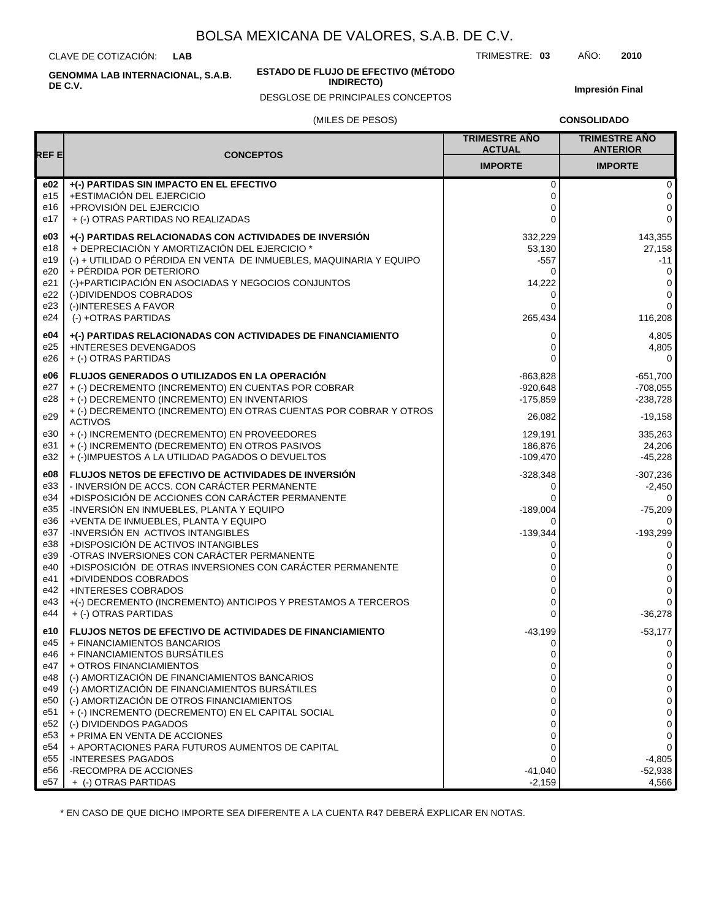CLAVE DE COTIZACIÓN: **LAB**

**ESTADO DE FLUJO DE EFECTIVO (MÉTODO**

**INDIRECTO)**

TRIMESTRE: **03** AÑO: **2010**

**Impresión Final**

# (MILES DE PESOS) DESGLOSE DE PRINCIPALES CONCEPTOS

|  | <b>CONSOLIDADO</b> |  |  |
|--|--------------------|--|--|
|  |                    |  |  |

|                   |                                                                                                                                                                                                                                  | <b>TRIMESTRE AÑO</b><br><b>ACTUAL</b>  | <b>TRIMESTRE AÑO</b><br><b>ANTERIOR</b> |
|-------------------|----------------------------------------------------------------------------------------------------------------------------------------------------------------------------------------------------------------------------------|----------------------------------------|-----------------------------------------|
| REF E             | <b>CONCEPTOS</b>                                                                                                                                                                                                                 | <b>IMPORTE</b>                         | <b>IMPORTE</b>                          |
| e02               | +(-) PARTIDAS SIN IMPACTO EN EL EFECTIVO                                                                                                                                                                                         | 0                                      | 0                                       |
| e15               | +ESTIMACIÓN DEL EJERCICIO                                                                                                                                                                                                        | 0                                      | 0                                       |
| e16               | +PROVISIÓN DEL EJERCICIO                                                                                                                                                                                                         | 0                                      | 0                                       |
| e17               | + (-) OTRAS PARTIDAS NO REALIZADAS                                                                                                                                                                                               | $\Omega$                               | 0                                       |
| e03               | +(-) PARTIDAS RELACIONADAS CON ACTIVIDADES DE INVERSIÓN                                                                                                                                                                          | 332,229                                | 143,355                                 |
| e18               | + DEPRECIACIÓN Y AMORTIZACIÓN DEL EJERCICIO *                                                                                                                                                                                    | 53,130                                 | 27,158                                  |
| e19               | (-) + UTILIDAD O PÉRDIDA EN VENTA DE INMUEBLES, MAQUINARIA Y EQUIPO                                                                                                                                                              | -557                                   | $-11$                                   |
| e20               | + PÉRDIDA POR DETERIORO                                                                                                                                                                                                          | 0                                      | 0                                       |
| e21               | (-)+PARTICIPACIÓN EN ASOCIADAS Y NEGOCIOS CONJUNTOS                                                                                                                                                                              | 14,222                                 | 0                                       |
| e22               | (-)DIVIDENDOS COBRADOS                                                                                                                                                                                                           | 0                                      | 0                                       |
| e23               | (-)INTERESES A FAVOR                                                                                                                                                                                                             | 0                                      | $\mathbf 0$                             |
| e24               | (-) +OTRAS PARTIDAS                                                                                                                                                                                                              | 265,434                                | 116,208                                 |
| e04               | +(-) PARTIDAS RELACIONADAS CON ACTIVIDADES DE FINANCIAMIENTO                                                                                                                                                                     | 0                                      | 4,805                                   |
| e25               | +INTERESES DEVENGADOS                                                                                                                                                                                                            | 0                                      | 4,805                                   |
| e26               | + (-) OTRAS PARTIDAS                                                                                                                                                                                                             | 0                                      | 0                                       |
| e06<br>e27<br>e28 | <b>FLUJOS GENERADOS O UTILIZADOS EN LA OPERACIÓN</b><br>+ (-) DECREMENTO (INCREMENTO) EN CUENTAS POR COBRAR<br>+ (-) DECREMENTO (INCREMENTO) EN INVENTARIOS<br>+ (-) DECREMENTO (INCREMENTO) EN OTRAS CUENTAS POR COBRAR Y OTROS | $-863,828$<br>$-920,648$<br>$-175,859$ | $-651,700$<br>$-708,055$<br>$-238,728$  |
| e29               | <b>ACTIVOS</b>                                                                                                                                                                                                                   | 26,082                                 | $-19,158$                               |
| e30               | + (-) INCREMENTO (DECREMENTO) EN PROVEEDORES                                                                                                                                                                                     | 129,191                                | 335,263                                 |
| e31               | + (-) INCREMENTO (DECREMENTO) EN OTROS PASIVOS                                                                                                                                                                                   | 186,876                                | 24,206                                  |
| e32               | + (-)IMPUESTOS A LA UTILIDAD PAGADOS O DEVUELTOS                                                                                                                                                                                 | $-109,470$                             | $-45,228$                               |
| e08               | FLUJOS NETOS DE EFECTIVO DE ACTIVIDADES DE INVERSIÓN                                                                                                                                                                             | $-328,348$                             | $-307,236$                              |
| e33               | - INVERSIÓN DE ACCS. CON CARÁCTER PERMANENTE                                                                                                                                                                                     | 0                                      | -2,450                                  |
| e34               | +DISPOSICIÓN DE ACCIONES CON CARÁCTER PERMANENTE                                                                                                                                                                                 | 0                                      | 0                                       |
| e35               | -INVERSIÓN EN INMUEBLES, PLANTA Y EQUIPO                                                                                                                                                                                         | $-189,004$                             | -75,209                                 |
| e36               | +VENTA DE INMUEBLES, PLANTA Y EQUIPO                                                                                                                                                                                             | 0                                      | 0                                       |
| e37               | -INVERSIÓN EN ACTIVOS INTANGIBLES                                                                                                                                                                                                | $-139,344$                             | $-193,299$                              |
| e38               | +DISPOSICIÓN DE ACTIVOS INTANGIBLES                                                                                                                                                                                              | 0                                      | 0                                       |
| e39               | -OTRAS INVERSIONES CON CARÁCTER PERMANENTE                                                                                                                                                                                       | 0                                      | 0                                       |
| e40               | +DISPOSICIÓN DE OTRAS INVERSIONES CON CARÁCTER PERMANENTE                                                                                                                                                                        | 0                                      | 0                                       |
| e41               | +DIVIDENDOS COBRADOS                                                                                                                                                                                                             | 0                                      | 0                                       |
| e42               | <b>+INTERESES COBRADOS</b>                                                                                                                                                                                                       | 0                                      | 0                                       |
| e43               | +(-) DECREMENTO (INCREMENTO) ANTICIPOS Y PRESTAMOS A TERCEROS                                                                                                                                                                    | 0                                      | 0                                       |
| e44               | + (-) OTRAS PARTIDAS                                                                                                                                                                                                             | $\Omega$                               | -36,278                                 |
| e10               | <b>FLUJOS NETOS DE EFECTIVO DE ACTIVIDADES DE FINANCIAMIENTO</b>                                                                                                                                                                 | $-43,199$                              | $-53,177$                               |
| e45               | + FINANCIAMIENTOS BANCARIOS                                                                                                                                                                                                      | 0                                      | 0                                       |
| e46               | + FINANCIAMIENTOS BURSÁTILES                                                                                                                                                                                                     | 0                                      | 0                                       |
| e47               | + OTROS FINANCIAMIENTOS                                                                                                                                                                                                          | 0                                      | 0                                       |
| e48               | (-) AMORTIZACIÓN DE FINANCIAMIENTOS BANCARIOS                                                                                                                                                                                    | 0                                      | 0                                       |
| e49               | (-) AMORTIZACIÓN DE FINANCIAMIENTOS BURSÁTILES                                                                                                                                                                                   | 0                                      | 0                                       |
| e50               | (-) AMORTIZACIÓN DE OTROS FINANCIAMIENTOS                                                                                                                                                                                        | 0                                      | 0                                       |
| e51               | + (-) INCREMENTO (DECREMENTO) EN EL CAPITAL SOCIAL                                                                                                                                                                               | 0                                      | 0                                       |
| e52               | (-) DIVIDENDOS PAGADOS                                                                                                                                                                                                           | 0                                      | 0                                       |
| e <sub>53</sub>   | + PRIMA EN VENTA DE ACCIONES                                                                                                                                                                                                     | 0                                      | 0                                       |
| e54               | + APORTACIONES PARA FUTUROS AUMENTOS DE CAPITAL                                                                                                                                                                                  | 0                                      | 0                                       |
| e <sub>55</sub>   | <b>-INTERESES PAGADOS</b>                                                                                                                                                                                                        | 0                                      | $-4,805$                                |
| e56               | -RECOMPRA DE ACCIONES                                                                                                                                                                                                            | $-41,040$                              | $-52,938$                               |
| e57               | + (-) OTRAS PARTIDAS                                                                                                                                                                                                             | $-2,159$                               | 4,566                                   |

\* EN CASO DE QUE DICHO IMPORTE SEA DIFERENTE A LA CUENTA R47 DEBERÁ EXPLICAR EN NOTAS.

**GENOMMA LAB INTERNACIONAL, S.A.B. DE C.V.**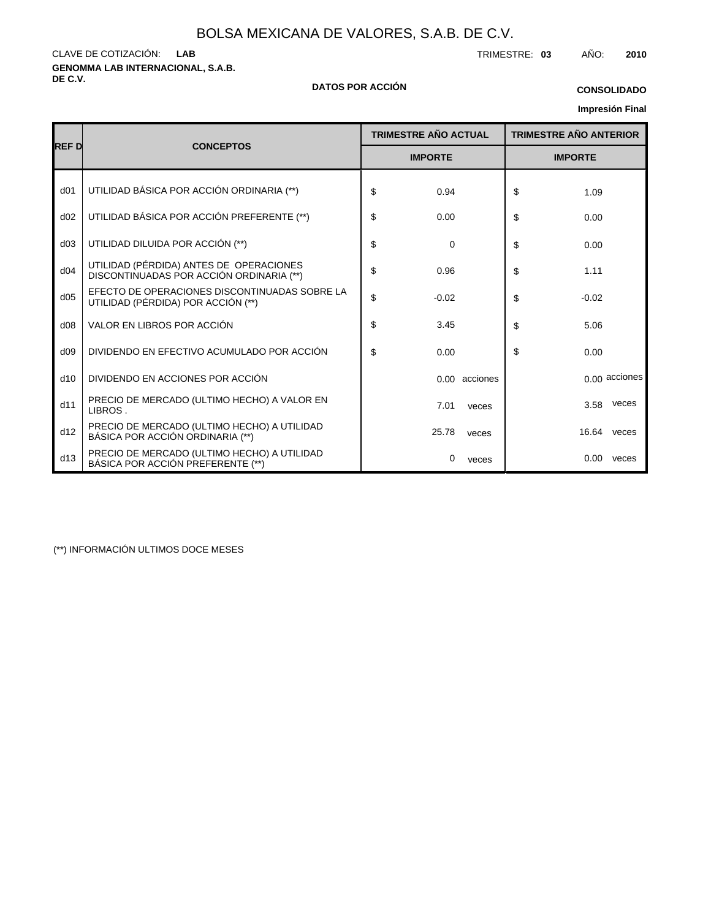**GENOMMA LAB INTERNACIONAL, S.A.B.** CLAVE DE COTIZACIÓN: TRIMESTRE: **03** AÑO: **2010 LAB**

# **DE C.V. DATOS POR ACCIÓN**

### **CONSOLIDADO**

# **Impresión Final**

|                 | <b>CONCEPTOS</b>                                                                    |    | <b>TRIMESTRE AÑO ACTUAL</b> |    | <b>TRIMESTRE AÑO ANTERIOR</b> |  |
|-----------------|-------------------------------------------------------------------------------------|----|-----------------------------|----|-------------------------------|--|
| <b>REFD</b>     |                                                                                     |    | <b>IMPORTE</b>              |    | <b>IMPORTE</b>                |  |
| d <sub>01</sub> | UTILIDAD BÁSICA POR ACCIÓN ORDINARIA (**)                                           | \$ | 0.94                        | \$ | 1.09                          |  |
| d02             | UTILIDAD BÁSICA POR ACCIÓN PREFERENTE (**)                                          | \$ | 0.00                        | \$ | 0.00                          |  |
| d03             | UTILIDAD DILUIDA POR ACCIÓN (**)                                                    | \$ | 0                           | \$ | 0.00                          |  |
| d04             | UTILIDAD (PÉRDIDA) ANTES DE OPERACIONES<br>DISCONTINUADAS POR ACCIÓN ORDINARIA (**) | \$ | 0.96                        | \$ | 1.11                          |  |
| d05             | EFECTO DE OPERACIONES DISCONTINUADAS SOBRE LA<br>UTILIDAD (PÉRDIDA) POR ACCIÓN (**) | \$ | $-0.02$                     | \$ | $-0.02$                       |  |
| d08             | VALOR EN LIBROS POR ACCIÓN                                                          | \$ | 3.45                        | \$ | 5.06                          |  |
| d09             | DIVIDENDO EN EFECTIVO ACUMULADO POR ACCIÓN                                          | \$ | 0.00                        | \$ | 0.00                          |  |
| d10             | DIVIDENDO EN ACCIONES POR ACCIÓN                                                    |    | 0.00 acciones               |    | $0.00$ acciones               |  |
| d11             | PRECIO DE MERCADO (ULTIMO HECHO) A VALOR EN<br>LIBROS.                              |    | 7.01<br>veces               |    | veces<br>3.58                 |  |
| d12             | PRECIO DE MERCADO (ULTIMO HECHO) A UTILIDAD<br>BÁSICA POR ACCIÓN ORDINARIA (**)     |    | 25.78<br>veces              |    | 16.64 veces                   |  |
| d13             | PRECIO DE MERCADO (ULTIMO HECHO) A UTILIDAD<br>BÁSICA POR ACCIÓN PREFERENTE (**)    |    | 0<br>veces                  |    | $0.00\,$<br>veces             |  |

(\*\*) INFORMACIÓN ULTIMOS DOCE MESES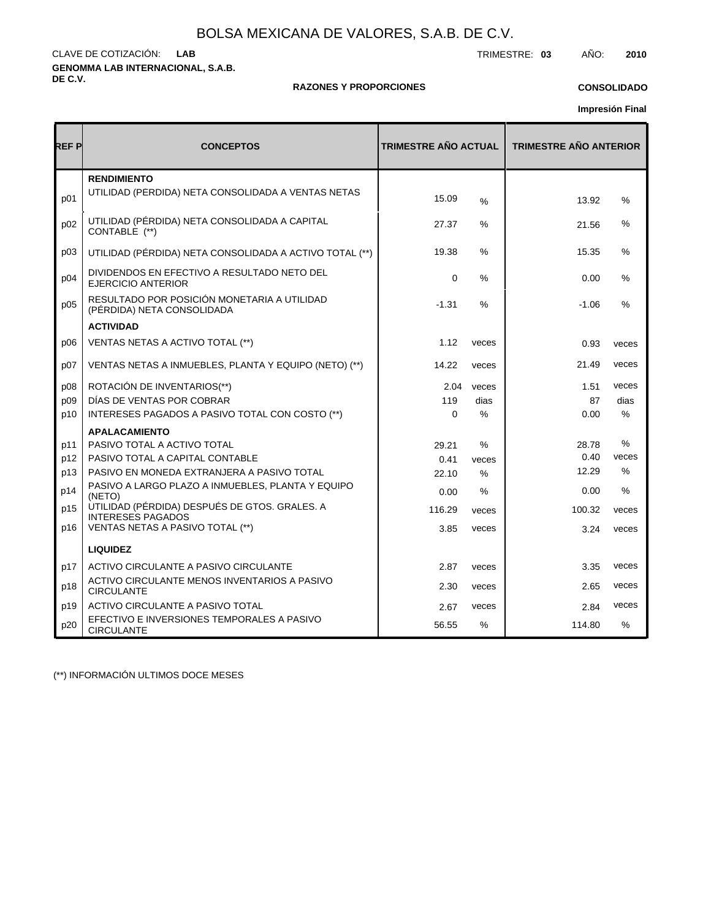**GENOMMA LAB INTERNACIONAL, S.A.B. DE C.V.** CLAVE DE COTIZACIÓN: TRIMESTRE: **03** AÑO: **2010 LAB**

### **RAZONES Y PROPORCIONES**

### **CONSOLIDADO**

**Impresión Final**

| REF P | <b>TRIMESTRE AÑO ACTUAL</b><br><b>CONCEPTOS</b>                           |             | <b>TRIMESTRE AÑO ANTERIOR</b> |         |               |
|-------|---------------------------------------------------------------------------|-------------|-------------------------------|---------|---------------|
| p01   | <b>RENDIMIENTO</b><br>UTILIDAD (PERDIDA) NETA CONSOLIDADA A VENTAS NETAS  | 15.09       | $\frac{9}{6}$                 | 13.92   | %             |
| p02   | UTILIDAD (PÉRDIDA) NETA CONSOLIDADA A CAPITAL<br>CONTABLE (**)            | 27.37       | ℅                             | 21.56   | %             |
| p03   | UTILIDAD (PÉRDIDA) NETA CONSOLIDADA A ACTIVO TOTAL (**)                   | 19.38       | $\%$                          | 15.35   | %             |
| p04   | DIVIDENDOS EN EFECTIVO A RESULTADO NETO DEL<br><b>EJERCICIO ANTERIOR</b>  | $\mathbf 0$ | %                             | 0.00    | %             |
| p05   | RESULTADO POR POSICIÓN MONETARIA A UTILIDAD<br>(PÉRDIDA) NETA CONSOLIDADA | $-1.31$     | $\%$                          | $-1.06$ | %             |
|       | <b>ACTIVIDAD</b>                                                          |             |                               |         |               |
| D06   | VENTAS NETAS A ACTIVO TOTAL (**)                                          | 1.12        | veces                         | 0.93    | veces         |
| p07   | VENTAS NETAS A INMUEBLES, PLANTA Y EQUIPO (NETO) (**)                     | 14.22       | veces                         | 21.49   | veces         |
| p08   | ROTACIÓN DE INVENTARIOS(**)                                               | 2.04        | veces                         | 1.51    | veces         |
| p09   | DÍAS DE VENTAS POR COBRAR                                                 | 119         | dias                          | 87      | dias          |
| p10   | INTERESES PAGADOS A PASIVO TOTAL CON COSTO (**)                           | $\Omega$    | $\%$                          | 0.00    | $\%$          |
|       | <b>APALACAMIENTO</b>                                                      |             |                               |         |               |
| p11   | PASIVO TOTAL A ACTIVO TOTAL                                               | 29.21       | %                             | 28.78   | %             |
| p12   | PASIVO TOTAL A CAPITAL CONTABLE                                           | 0.41        | veces                         | 0.40    | veces         |
| p13   | PASIVO EN MONEDA EXTRANJERA A PASIVO TOTAL                                | 22.10       | $\%$                          | 12.29   | $\frac{0}{0}$ |
| p14   | PASIVO A LARGO PLAZO A INMUEBLES, PLANTA Y EQUIPO<br>(NETO)               | 0.00        | %                             | 0.00    | %             |
| p15   | UTILIDAD (PÉRDIDA) DESPUÉS DE GTOS. GRALES. A<br><b>INTERESES PAGADOS</b> | 116.29      | veces                         | 100.32  | veces         |
| p16   | VENTAS NETAS A PASIVO TOTAL (**)                                          | 3.85        | veces                         | 3.24    | veces         |
|       | <b>LIQUIDEZ</b>                                                           |             |                               |         |               |
| p17   | ACTIVO CIRCULANTE A PASIVO CIRCULANTE                                     | 2.87        | veces                         | 3.35    | veces         |
| p18   | ACTIVO CIRCULANTE MENOS INVENTARIOS A PASIVO<br><b>CIRCULANTE</b>         | 2.30        | veces                         | 2.65    | veces         |
| p19   | ACTIVO CIRCULANTE A PASIVO TOTAL                                          | 2.67        | veces                         | 2.84    | veces         |
| p20   | EFECTIVO E INVERSIONES TEMPORALES A PASIVO<br><b>CIRCULANTE</b>           | 56.55       | $\%$                          | 114.80  | $\%$          |

(\*\*) INFORMACIÓN ULTIMOS DOCE MESES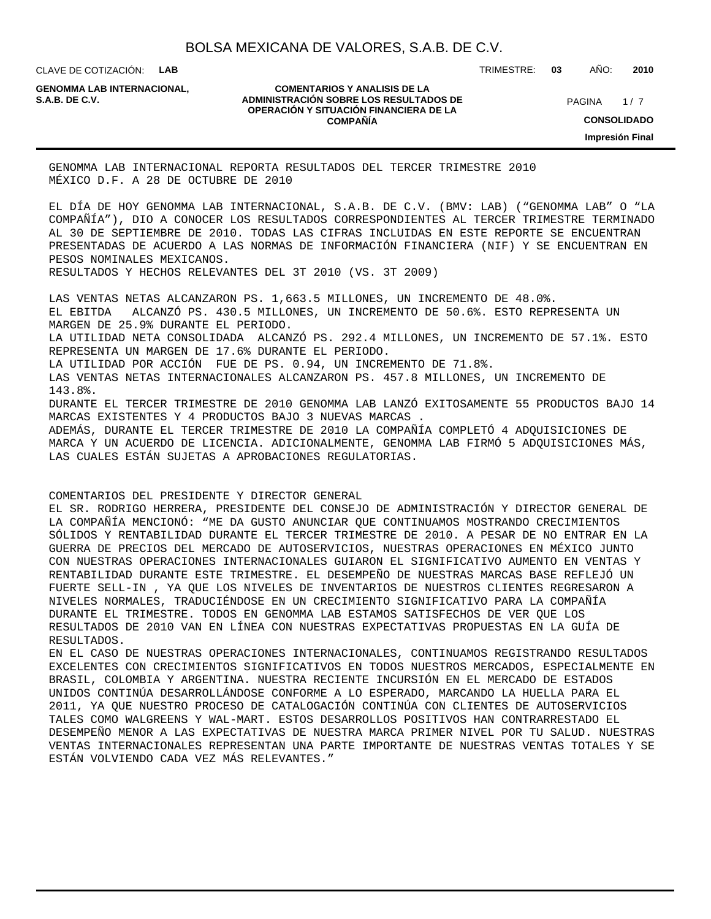CLAVE DE COTIZACIÓN: **LAB**

**GENOMMA LAB INTERNACIONAL,**

#### **COMENTARIOS Y ANALISIS DE LA ADMINISTRACIÓN SOBRE LOS RESULTADOS DE PAGINA 1/7 OPERACIÓN Y SITUACIÓN FINANCIERA DE LA COMPAÑÍA**

TRIMESTRE: **03** AÑO: **2010**

 $1/7$ **CONSOLIDADO Impresión Final**

GENOMMA LAB INTERNACIONAL REPORTA RESULTADOS DEL TERCER TRIMESTRE 2010 MÉXICO D.F. A 28 DE OCTUBRE DE 2010

EL DÍA DE HOY GENOMMA LAB INTERNACIONAL, S.A.B. DE C.V. (BMV: LAB) ("GENOMMA LAB" O "LA COMPAÑÍA"), DIO A CONOCER LOS RESULTADOS CORRESPONDIENTES AL TERCER TRIMESTRE TERMINADO AL 30 DE SEPTIEMBRE DE 2010. TODAS LAS CIFRAS INCLUIDAS EN ESTE REPORTE SE ENCUENTRAN PRESENTADAS DE ACUERDO A LAS NORMAS DE INFORMACIÓN FINANCIERA (NIF) Y SE ENCUENTRAN EN PESOS NOMINALES MEXICANOS.

RESULTADOS Y HECHOS RELEVANTES DEL 3T 2010 (VS. 3T 2009)

 LAS VENTAS NETAS ALCANZARON PS. 1,663.5 MILLONES, UN INCREMENTO DE 48.0%. EL EBITDA ALCANZÓ PS. 430.5 MILLONES, UN INCREMENTO DE 50.6%. ESTO REPRESENTA UN MARGEN DE 25.9% DURANTE EL PERIODO. LA UTILIDAD NETA CONSOLIDADA ALCANZÓ PS. 292.4 MILLONES, UN INCREMENTO DE 57.1%. ESTO REPRESENTA UN MARGEN DE 17.6% DURANTE EL PERIODO.

 LA UTILIDAD POR ACCIÓN FUE DE PS. 0.94, UN INCREMENTO DE 71.8%.

 LAS VENTAS NETAS INTERNACIONALES ALCANZARON PS. 457.8 MILLONES, UN INCREMENTO DE 143.8%.

 DURANTE EL TERCER TRIMESTRE DE 2010 GENOMMA LAB LANZÓ EXITOSAMENTE 55 PRODUCTOS BAJO 14 MARCAS EXISTENTES Y 4 PRODUCTOS BAJO 3 NUEVAS MARCAS .

 ADEMÁS, DURANTE EL TERCER TRIMESTRE DE 2010 LA COMPAÑÍA COMPLETÓ 4 ADQUISICIONES DE MARCA Y UN ACUERDO DE LICENCIA. ADICIONALMENTE, GENOMMA LAB FIRMÓ 5 ADQUISICIONES MÁS, LAS CUALES ESTÁN SUJETAS A APROBACIONES REGULATORIAS.

COMENTARIOS DEL PRESIDENTE Y DIRECTOR GENERAL

EL SR. RODRIGO HERRERA, PRESIDENTE DEL CONSEJO DE ADMINISTRACIÓN Y DIRECTOR GENERAL DE LA COMPAÑÍA MENCIONÓ: "ME DA GUSTO ANUNCIAR QUE CONTINUAMOS MOSTRANDO CRECIMIENTOS SÓLIDOS Y RENTABILIDAD DURANTE EL TERCER TRIMESTRE DE 2010. A PESAR DE NO ENTRAR EN LA GUERRA DE PRECIOS DEL MERCADO DE AUTOSERVICIOS, NUESTRAS OPERACIONES EN MÉXICO JUNTO CON NUESTRAS OPERACIONES INTERNACIONALES GUIARON EL SIGNIFICATIVO AUMENTO EN VENTAS Y RENTABILIDAD DURANTE ESTE TRIMESTRE. EL DESEMPEÑO DE NUESTRAS MARCAS BASE REFLEJÓ UN FUERTE SELL-IN , YA QUE LOS NIVELES DE INVENTARIOS DE NUESTROS CLIENTES REGRESARON A NIVELES NORMALES, TRADUCIÉNDOSE EN UN CRECIMIENTO SIGNIFICATIVO PARA LA COMPAÑÍA DURANTE EL TRIMESTRE. TODOS EN GENOMMA LAB ESTAMOS SATISFECHOS DE VER QUE LOS RESULTADOS DE 2010 VAN EN LÍNEA CON NUESTRAS EXPECTATIVAS PROPUESTAS EN LA GUÍA DE RESULTADOS.

EN EL CASO DE NUESTRAS OPERACIONES INTERNACIONALES, CONTINUAMOS REGISTRANDO RESULTADOS EXCELENTES CON CRECIMIENTOS SIGNIFICATIVOS EN TODOS NUESTROS MERCADOS, ESPECIALMENTE EN BRASIL, COLOMBIA Y ARGENTINA. NUESTRA RECIENTE INCURSIÓN EN EL MERCADO DE ESTADOS UNIDOS CONTINÚA DESARROLLÁNDOSE CONFORME A LO ESPERADO, MARCANDO LA HUELLA PARA EL 2011, YA QUE NUESTRO PROCESO DE CATALOGACIÓN CONTINÚA CON CLIENTES DE AUTOSERVICIOS TALES COMO WALGREENS Y WAL-MART. ESTOS DESARROLLOS POSITIVOS HAN CONTRARRESTADO EL DESEMPEÑO MENOR A LAS EXPECTATIVAS DE NUESTRA MARCA PRIMER NIVEL POR TU SALUD. NUESTRAS VENTAS INTERNACIONALES REPRESENTAN UNA PARTE IMPORTANTE DE NUESTRAS VENTAS TOTALES Y SE ESTÁN VOLVIENDO CADA VEZ MÁS RELEVANTES."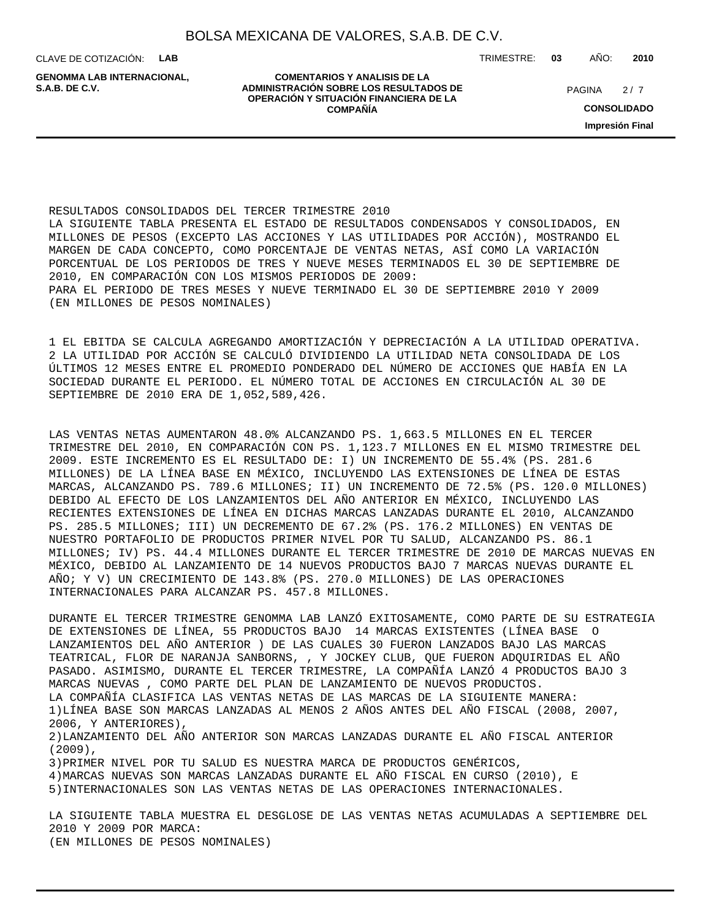CLAVE DE COTIZACIÓN: **LAB**

**GENOMMA LAB INTERNACIONAL,**

**COMENTARIOS Y ANALISIS DE LA ADMINISTRACIÓN SOBRE LOS RESULTADOS DE PAGINA 2/7 PAGINA 2/7 OPERACIÓN Y SITUACIÓN FINANCIERA DE LA COMPAÑÍA**

TRIMESTRE: **03** AÑO: **2010**

 $2/7$ 

**CONSOLIDADO**

**Impresión Final**

RESULTADOS CONSOLIDADOS DEL TERCER TRIMESTRE 2010 LA SIGUIENTE TABLA PRESENTA EL ESTADO DE RESULTADOS CONDENSADOS Y CONSOLIDADOS, EN MILLONES DE PESOS (EXCEPTO LAS ACCIONES Y LAS UTILIDADES POR ACCIÓN), MOSTRANDO EL MARGEN DE CADA CONCEPTO, COMO PORCENTAJE DE VENTAS NETAS, ASÍ COMO LA VARIACIÓN PORCENTUAL DE LOS PERIODOS DE TRES Y NUEVE MESES TERMINADOS EL 30 DE SEPTIEMBRE DE 2010, EN COMPARACIÓN CON LOS MISMOS PERIODOS DE 2009: PARA EL PERIODO DE TRES MESES Y NUEVE TERMINADO EL 30 DE SEPTIEMBRE 2010 Y 2009 (EN MILLONES DE PESOS NOMINALES)

1 EL EBITDA SE CALCULA AGREGANDO AMORTIZACIÓN Y DEPRECIACIÓN A LA UTILIDAD OPERATIVA. 2 LA UTILIDAD POR ACCIÓN SE CALCULÓ DIVIDIENDO LA UTILIDAD NETA CONSOLIDADA DE LOS ÚLTIMOS 12 MESES ENTRE EL PROMEDIO PONDERADO DEL NÚMERO DE ACCIONES QUE HABÍA EN LA SOCIEDAD DURANTE EL PERIODO. EL NÚMERO TOTAL DE ACCIONES EN CIRCULACIÓN AL 30 DE SEPTIEMBRE DE 2010 ERA DE 1,052,589,426.

LAS VENTAS NETAS AUMENTARON 48.0% ALCANZANDO PS. 1,663.5 MILLONES EN EL TERCER TRIMESTRE DEL 2010, EN COMPARACIÓN CON PS. 1,123.7 MILLONES EN EL MISMO TRIMESTRE DEL 2009. ESTE INCREMENTO ES EL RESULTADO DE: I) UN INCREMENTO DE 55.4% (PS. 281.6 MILLONES) DE LA LÍNEA BASE EN MÉXICO, INCLUYENDO LAS EXTENSIONES DE LÍNEA DE ESTAS MARCAS, ALCANZANDO PS. 789.6 MILLONES; II) UN INCREMENTO DE 72.5% (PS. 120.0 MILLONES) DEBIDO AL EFECTO DE LOS LANZAMIENTOS DEL AÑO ANTERIOR EN MÉXICO, INCLUYENDO LAS RECIENTES EXTENSIONES DE LÍNEA EN DICHAS MARCAS LANZADAS DURANTE EL 2010, ALCANZANDO PS. 285.5 MILLONES; III) UN DECREMENTO DE 67.2% (PS. 176.2 MILLONES) EN VENTAS DE NUESTRO PORTAFOLIO DE PRODUCTOS PRIMER NIVEL POR TU SALUD, ALCANZANDO PS. 86.1 MILLONES; IV) PS. 44.4 MILLONES DURANTE EL TERCER TRIMESTRE DE 2010 DE MARCAS NUEVAS EN MÉXICO, DEBIDO AL LANZAMIENTO DE 14 NUEVOS PRODUCTOS BAJO 7 MARCAS NUEVAS DURANTE EL AÑO; Y V) UN CRECIMIENTO DE 143.8% (PS. 270.0 MILLONES) DE LAS OPERACIONES INTERNACIONALES PARA ALCANZAR PS. 457.8 MILLONES.

DURANTE EL TERCER TRIMESTRE GENOMMA LAB LANZÓ EXITOSAMENTE, COMO PARTE DE SU ESTRATEGIA DE EXTENSIONES DE LÍNEA, 55 PRODUCTOS BAJO 14 MARCAS EXISTENTES (LÍNEA BASE O LANZAMIENTOS DEL AÑO ANTERIOR ) DE LAS CUALES 30 FUERON LANZADOS BAJO LAS MARCAS TEATRICAL, FLOR DE NARANJA SANBORNS, , Y JOCKEY CLUB, QUE FUERON ADQUIRIDAS EL AÑO PASADO. ASIMISMO, DURANTE EL TERCER TRIMESTRE, LA COMPAÑÍA LANZÓ 4 PRODUCTOS BAJO 3 MARCAS NUEVAS , COMO PARTE DEL PLAN DE LANZAMIENTO DE NUEVOS PRODUCTOS. LA COMPAÑÍA CLASIFICA LAS VENTAS NETAS DE LAS MARCAS DE LA SIGUIENTE MANERA: 1) LÍNEA BASE SON MARCAS LANZADAS AL MENOS 2 AÑOS ANTES DEL AÑO FISCAL (2008, 2007, 2006, Y ANTERIORES), 2) LANZAMIENTO DEL AÑO ANTERIOR SON MARCAS LANZADAS DURANTE EL AÑO FISCAL ANTERIOR  $(2009)$ . 3) PRIMER NIVEL POR TU SALUD ES NUESTRA MARCA DE PRODUCTOS GENÉRICOS, 4) MARCAS NUEVAS SON MARCAS LANZADAS DURANTE EL AÑO FISCAL EN CURSO (2010), E 5) INTERNACIONALES SON LAS VENTAS NETAS DE LAS OPERACIONES INTERNACIONALES. LA SIGUIENTE TABLA MUESTRA EL DESGLOSE DE LAS VENTAS NETAS ACUMULADAS A SEPTIEMBRE DEL 2010 Y 2009 POR MARCA:

(EN MILLONES DE PESOS NOMINALES)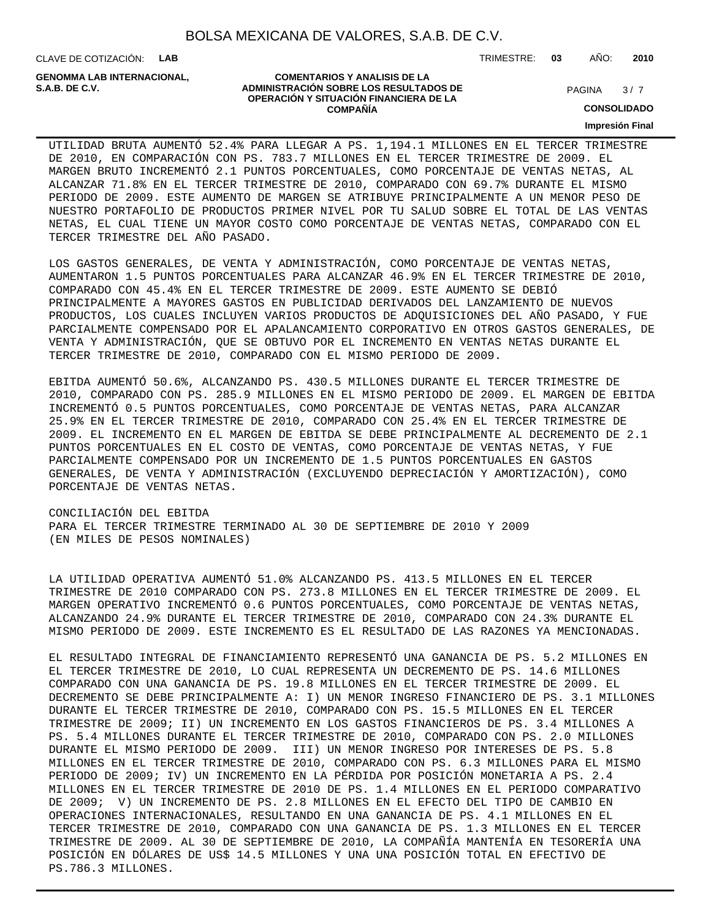CLAVE DE COTIZACIÓN: **LAB**

**GENOMMA LAB INTERNACIONAL,**

#### **COMENTARIOS Y ANALISIS DE LA ADMINISTRACIÓN SOBRE LOS RESULTADOS DE S.A.B. DE C.V.** PAGINA / 7 **OPERACIÓN Y SITUACIÓN FINANCIERA DE LA COMPAÑÍA**

 $3/7$ 

**CONSOLIDADO**

**Impresión Final**

UTILIDAD BRUTA AUMENTÓ 52.4% PARA LLEGAR A PS. 1,194.1 MILLONES EN EL TERCER TRIMESTRE DE 2010, EN COMPARACIÓN CON PS. 783.7 MILLONES EN EL TERCER TRIMESTRE DE 2009. EL MARGEN BRUTO INCREMENTÓ 2.1 PUNTOS PORCENTUALES, COMO PORCENTAJE DE VENTAS NETAS, AL ALCANZAR 71.8% EN EL TERCER TRIMESTRE DE 2010, COMPARADO CON 69.7% DURANTE EL MISMO PERIODO DE 2009. ESTE AUMENTO DE MARGEN SE ATRIBUYE PRINCIPALMENTE A UN MENOR PESO DE NUESTRO PORTAFOLIO DE PRODUCTOS PRIMER NIVEL POR TU SALUD SOBRE EL TOTAL DE LAS VENTAS NETAS, EL CUAL TIENE UN MAYOR COSTO COMO PORCENTAJE DE VENTAS NETAS, COMPARADO CON EL TERCER TRIMESTRE DEL AÑO PASADO.

LOS GASTOS GENERALES, DE VENTA Y ADMINISTRACIÓN, COMO PORCENTAJE DE VENTAS NETAS, AUMENTARON 1.5 PUNTOS PORCENTUALES PARA ALCANZAR 46.9% EN EL TERCER TRIMESTRE DE 2010, COMPARADO CON 45.4% EN EL TERCER TRIMESTRE DE 2009. ESTE AUMENTO SE DEBIÓ PRINCIPALMENTE A MAYORES GASTOS EN PUBLICIDAD DERIVADOS DEL LANZAMIENTO DE NUEVOS PRODUCTOS, LOS CUALES INCLUYEN VARIOS PRODUCTOS DE ADQUISICIONES DEL AÑO PASADO, Y FUE PARCIALMENTE COMPENSADO POR EL APALANCAMIENTO CORPORATIVO EN OTROS GASTOS GENERALES, DE VENTA Y ADMINISTRACIÓN, QUE SE OBTUVO POR EL INCREMENTO EN VENTAS NETAS DURANTE EL TERCER TRIMESTRE DE 2010, COMPARADO CON EL MISMO PERIODO DE 2009.

EBITDA AUMENTÓ 50.6%, ALCANZANDO PS. 430.5 MILLONES DURANTE EL TERCER TRIMESTRE DE 2010, COMPARADO CON PS. 285.9 MILLONES EN EL MISMO PERIODO DE 2009. EL MARGEN DE EBITDA INCREMENTÓ 0.5 PUNTOS PORCENTUALES, COMO PORCENTAJE DE VENTAS NETAS, PARA ALCANZAR 25.9% EN EL TERCER TRIMESTRE DE 2010, COMPARADO CON 25.4% EN EL TERCER TRIMESTRE DE 2009. EL INCREMENTO EN EL MARGEN DE EBITDA SE DEBE PRINCIPALMENTE AL DECREMENTO DE 2.1 PUNTOS PORCENTUALES EN EL COSTO DE VENTAS, COMO PORCENTAJE DE VENTAS NETAS, Y FUE PARCIALMENTE COMPENSADO POR UN INCREMENTO DE 1.5 PUNTOS PORCENTUALES EN GASTOS GENERALES, DE VENTA Y ADMINISTRACIÓN (EXCLUYENDO DEPRECIACIÓN Y AMORTIZACIÓN), COMO PORCENTAJE DE VENTAS NETAS.

CONCILIACIÓN DEL EBITDA PARA EL TERCER TRIMESTRE TERMINADO AL 30 DE SEPTIEMBRE DE 2010 Y 2009 (EN MILES DE PESOS NOMINALES)

LA UTILIDAD OPERATIVA AUMENTÓ 51.0% ALCANZANDO PS. 413.5 MILLONES EN EL TERCER TRIMESTRE DE 2010 COMPARADO CON PS. 273.8 MILLONES EN EL TERCER TRIMESTRE DE 2009. EL MARGEN OPERATIVO INCREMENTÓ 0.6 PUNTOS PORCENTUALES, COMO PORCENTAJE DE VENTAS NETAS, ALCANZANDO 24.9% DURANTE EL TERCER TRIMESTRE DE 2010, COMPARADO CON 24.3% DURANTE EL MISMO PERIODO DE 2009. ESTE INCREMENTO ES EL RESULTADO DE LAS RAZONES YA MENCIONADAS.

EL RESULTADO INTEGRAL DE FINANCIAMIENTO REPRESENTÓ UNA GANANCIA DE PS. 5.2 MILLONES EN EL TERCER TRIMESTRE DE 2010, LO CUAL REPRESENTA UN DECREMENTO DE PS. 14.6 MILLONES COMPARADO CON UNA GANANCIA DE PS. 19.8 MILLONES EN EL TERCER TRIMESTRE DE 2009. EL DECREMENTO SE DEBE PRINCIPALMENTE A: I) UN MENOR INGRESO FINANCIERO DE PS. 3.1 MILLONES DURANTE EL TERCER TRIMESTRE DE 2010, COMPARADO CON PS. 15.5 MILLONES EN EL TERCER TRIMESTRE DE 2009; II) UN INCREMENTO EN LOS GASTOS FINANCIEROS DE PS. 3.4 MILLONES A PS. 5.4 MILLONES DURANTE EL TERCER TRIMESTRE DE 2010, COMPARADO CON PS. 2.0 MILLONES DURANTE EL MISMO PERIODO DE 2009. III) UN MENOR INGRESO POR INTERESES DE PS. 5.8 MILLONES EN EL TERCER TRIMESTRE DE 2010, COMPARADO CON PS. 6.3 MILLONES PARA EL MISMO PERIODO DE 2009; IV) UN INCREMENTO EN LA PÉRDIDA POR POSICIÓN MONETARIA A PS. 2.4 MILLONES EN EL TERCER TRIMESTRE DE 2010 DE PS. 1.4 MILLONES EN EL PERIODO COMPARATIVO DE 2009; V) UN INCREMENTO DE PS. 2.8 MILLONES EN EL EFECTO DEL TIPO DE CAMBIO EN OPERACIONES INTERNACIONALES, RESULTANDO EN UNA GANANCIA DE PS. 4.1 MILLONES EN EL TERCER TRIMESTRE DE 2010, COMPARADO CON UNA GANANCIA DE PS. 1.3 MILLONES EN EL TERCER TRIMESTRE DE 2009. AL 30 DE SEPTIEMBRE DE 2010, LA COMPAÑÍA MANTENÍA EN TESORERÍA UNA POSICIÓN EN DÓLARES DE US\$ 14.5 MILLONES Y UNA UNA POSICIÓN TOTAL EN EFECTIVO DE PS.786.3 MILLONES.

TRIMESTRE: **03** AÑO: **2010**

| GENOMMA LAB INTERNACIOI |
|-------------------------|
| S.A.B. DE C.V.          |
|                         |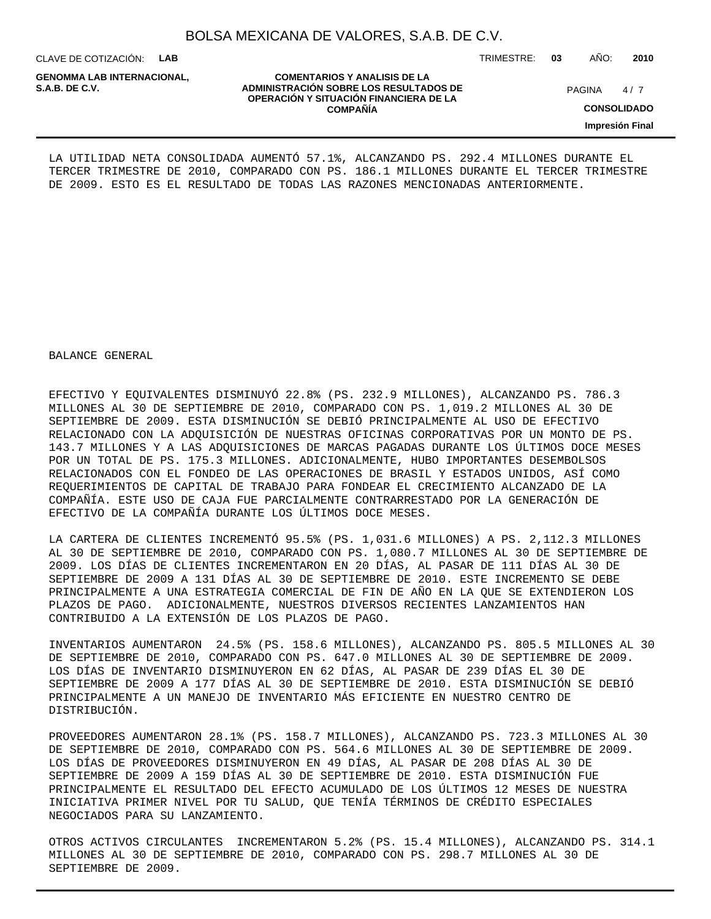CLAVE DE COTIZACIÓN: **LAB**

**GENOMMA LAB INTERNACIONAL,**

TRIMESTRE: **03** AÑO: **2010**

 $4/7$ 

**CONSOLIDADO**

**Impresión Final**

LA UTILIDAD NETA CONSOLIDADA AUMENTÓ 57.1%, ALCANZANDO PS. 292.4 MILLONES DURANTE EL TERCER TRIMESTRE DE 2010, COMPARADO CON PS. 186.1 MILLONES DURANTE EL TERCER TRIMESTRE DE 2009. ESTO ES EL RESULTADO DE TODAS LAS RAZONES MENCIONADAS ANTERIORMENTE.

BALANCE GENERAL

EFECTIVO Y EQUIVALENTES DISMINUYÓ 22.8% (PS. 232.9 MILLONES), ALCANZANDO PS. 786.3 MILLONES AL 30 DE SEPTIEMBRE DE 2010, COMPARADO CON PS. 1,019.2 MILLONES AL 30 DE SEPTIEMBRE DE 2009. ESTA DISMINUCIÓN SE DEBIÓ PRINCIPALMENTE AL USO DE EFECTIVO RELACIONADO CON LA ADQUISICIÓN DE NUESTRAS OFICINAS CORPORATIVAS POR UN MONTO DE PS. 143.7 MILLONES Y A LAS ADQUISICIONES DE MARCAS PAGADAS DURANTE LOS ÚLTIMOS DOCE MESES POR UN TOTAL DE PS. 175.3 MILLONES. ADICIONALMENTE, HUBO IMPORTANTES DESEMBOLSOS RELACIONADOS CON EL FONDEO DE LAS OPERACIONES DE BRASIL Y ESTADOS UNIDOS, ASÍ COMO REQUERIMIENTOS DE CAPITAL DE TRABAJO PARA FONDEAR EL CRECIMIENTO ALCANZADO DE LA COMPAÑÍA. ESTE USO DE CAJA FUE PARCIALMENTE CONTRARRESTADO POR LA GENERACIÓN DE EFECTIVO DE LA COMPAÑÍA DURANTE LOS ÚLTIMOS DOCE MESES.

LA CARTERA DE CLIENTES INCREMENTÓ 95.5% (PS. 1,031.6 MILLONES) A PS. 2,112.3 MILLONES AL 30 DE SEPTIEMBRE DE 2010, COMPARADO CON PS. 1,080.7 MILLONES AL 30 DE SEPTIEMBRE DE 2009. LOS DÍAS DE CLIENTES INCREMENTARON EN 20 DÍAS, AL PASAR DE 111 DÍAS AL 30 DE SEPTIEMBRE DE 2009 A 131 DÍAS AL 30 DE SEPTIEMBRE DE 2010. ESTE INCREMENTO SE DEBE PRINCIPALMENTE A UNA ESTRATEGIA COMERCIAL DE FIN DE AÑO EN LA QUE SE EXTENDIERON LOS PLAZOS DE PAGO. ADICIONALMENTE, NUESTROS DIVERSOS RECIENTES LANZAMIENTOS HAN CONTRIBUIDO A LA EXTENSIÓN DE LOS PLAZOS DE PAGO.

INVENTARIOS AUMENTARON 24.5% (PS. 158.6 MILLONES), ALCANZANDO PS. 805.5 MILLONES AL 30 DE SEPTIEMBRE DE 2010, COMPARADO CON PS. 647.0 MILLONES AL 30 DE SEPTIEMBRE DE 2009. LOS DÍAS DE INVENTARIO DISMINUYERON EN 62 DÍAS, AL PASAR DE 239 DÍAS EL 30 DE SEPTIEMBRE DE 2009 A 177 DÍAS AL 30 DE SEPTIEMBRE DE 2010. ESTA DISMINUCIÓN SE DEBIÓ PRINCIPALMENTE A UN MANEJO DE INVENTARIO MÁS EFICIENTE EN NUESTRO CENTRO DE DISTRIBUCIÓN.

PROVEEDORES AUMENTARON 28.1% (PS. 158.7 MILLONES), ALCANZANDO PS. 723.3 MILLONES AL 30 DE SEPTIEMBRE DE 2010, COMPARADO CON PS. 564.6 MILLONES AL 30 DE SEPTIEMBRE DE 2009. LOS DÍAS DE PROVEEDORES DISMINUYERON EN 49 DÍAS, AL PASAR DE 208 DÍAS AL 30 DE SEPTIEMBRE DE 2009 A 159 DÍAS AL 30 DE SEPTIEMBRE DE 2010. ESTA DISMINUCIÓN FUE PRINCIPALMENTE EL RESULTADO DEL EFECTO ACUMULADO DE LOS ÚLTIMOS 12 MESES DE NUESTRA INICIATIVA PRIMER NIVEL POR TU SALUD, QUE TENÍA TÉRMINOS DE CRÉDITO ESPECIALES NEGOCIADOS PARA SU LANZAMIENTO.

OTROS ACTIVOS CIRCULANTES INCREMENTARON 5.2% (PS. 15.4 MILLONES), ALCANZANDO PS. 314.1 MILLONES AL 30 DE SEPTIEMBRE DE 2010, COMPARADO CON PS. 298.7 MILLONES AL 30 DE SEPTIEMBRE DE 2009.

**COMENTARIOS Y ANALISIS DE LA ADMINISTRACIÓN SOBRE LOS RESULTADOS DE PAGINA 1997 E PAGINA 2018 OPERACIÓN Y SITUACIÓN FINANCIERA DE LA COMPAÑÍA**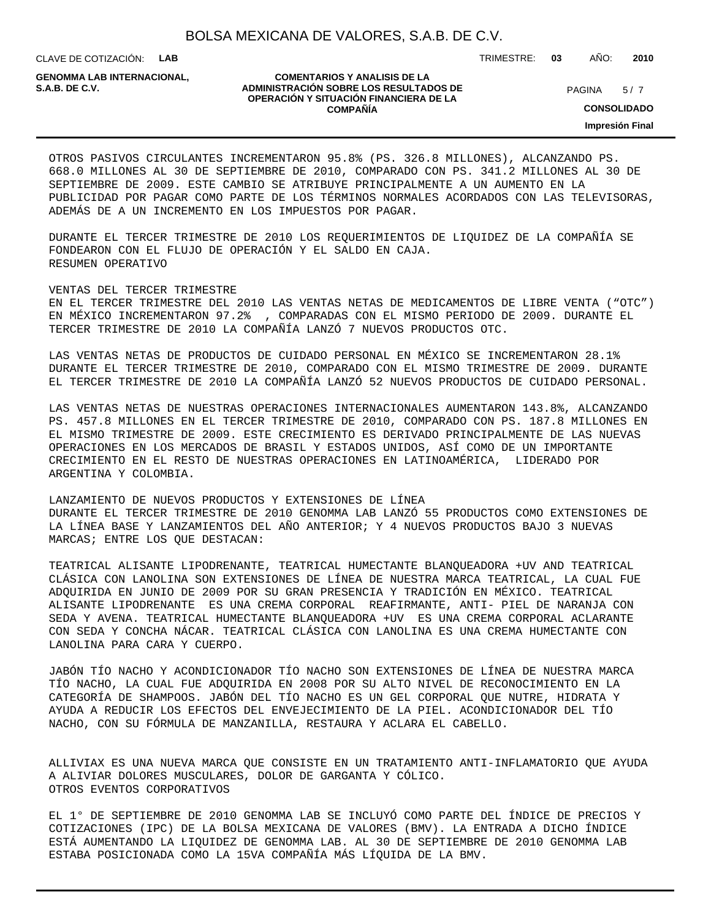CLAVE DE COTIZACIÓN: **LAB** TRIMESTRE: **03** AÑO: **2010**

**GENOMMA LAB INTERNACIONAL,**

#### **COMENTARIOS Y ANALISIS DE LA ADMINISTRACIÓN SOBRE LOS RESULTADOS DE S.A.B. DE C.V.** PAGINA / 7 **OPERACIÓN Y SITUACIÓN FINANCIERA DE LA COMPAÑÍA**

 $5/7$ 

**CONSOLIDADO**

**Impresión Final**

OTROS PASIVOS CIRCULANTES INCREMENTARON 95.8% (PS. 326.8 MILLONES), ALCANZANDO PS. 668.0 MILLONES AL 30 DE SEPTIEMBRE DE 2010, COMPARADO CON PS. 341.2 MILLONES AL 30 DE SEPTIEMBRE DE 2009. ESTE CAMBIO SE ATRIBUYE PRINCIPALMENTE A UN AUMENTO EN LA PUBLICIDAD POR PAGAR COMO PARTE DE LOS TÉRMINOS NORMALES ACORDADOS CON LAS TELEVISORAS, ADEMÁS DE A UN INCREMENTO EN LOS IMPUESTOS POR PAGAR.

DURANTE EL TERCER TRIMESTRE DE 2010 LOS REQUERIMIENTOS DE LIQUIDEZ DE LA COMPAÑÍA SE FONDEARON CON EL FLUJO DE OPERACIÓN Y EL SALDO EN CAJA. RESUMEN OPERATIVO

VENTAS DEL TERCER TRIMESTRE

EN EL TERCER TRIMESTRE DEL 2010 LAS VENTAS NETAS DE MEDICAMENTOS DE LIBRE VENTA ("OTC") EN MÉXICO INCREMENTARON 97.2% , COMPARADAS CON EL MISMO PERIODO DE 2009. DURANTE EL TERCER TRIMESTRE DE 2010 LA COMPAÑÍA LANZÓ 7 NUEVOS PRODUCTOS OTC.

LAS VENTAS NETAS DE PRODUCTOS DE CUIDADO PERSONAL EN MÉXICO SE INCREMENTARON 28.1% DURANTE EL TERCER TRIMESTRE DE 2010, COMPARADO CON EL MISMO TRIMESTRE DE 2009. DURANTE EL TERCER TRIMESTRE DE 2010 LA COMPAÑÍA LANZÓ 52 NUEVOS PRODUCTOS DE CUIDADO PERSONAL.

LAS VENTAS NETAS DE NUESTRAS OPERACIONES INTERNACIONALES AUMENTARON 143.8%, ALCANZANDO PS. 457.8 MILLONES EN EL TERCER TRIMESTRE DE 2010, COMPARADO CON PS. 187.8 MILLONES EN EL MISMO TRIMESTRE DE 2009. ESTE CRECIMIENTO ES DERIVADO PRINCIPALMENTE DE LAS NUEVAS OPERACIONES EN LOS MERCADOS DE BRASIL Y ESTADOS UNIDOS, ASÍ COMO DE UN IMPORTANTE CRECIMIENTO EN EL RESTO DE NUESTRAS OPERACIONES EN LATINOAMÉRICA, LIDERADO POR ARGENTINA Y COLOMBIA.

LANZAMIENTO DE NUEVOS PRODUCTOS Y EXTENSIONES DE LÍNEA DURANTE EL TERCER TRIMESTRE DE 2010 GENOMMA LAB LANZÓ 55 PRODUCTOS COMO EXTENSIONES DE LA LÍNEA BASE Y LANZAMIENTOS DEL AÑO ANTERIOR; Y 4 NUEVOS PRODUCTOS BAJO 3 NUEVAS MARCAS; ENTRE LOS QUE DESTACAN:

TEATRICAL ALISANTE LIPODRENANTE, TEATRICAL HUMECTANTE BLANQUEADORA +UV AND TEATRICAL CLÁSICA CON LANOLINA SON EXTENSIONES DE LÍNEA DE NUESTRA MARCA TEATRICAL, LA CUAL FUE ADQUIRIDA EN JUNIO DE 2009 POR SU GRAN PRESENCIA Y TRADICIÓN EN MÉXICO. TEATRICAL ALISANTE LIPODRENANTE ES UNA CREMA CORPORAL REAFIRMANTE, ANTI- PIEL DE NARANJA CON SEDA Y AVENA. TEATRICAL HUMECTANTE BLANQUEADORA +UV ES UNA CREMA CORPORAL ACLARANTE CON SEDA Y CONCHA NÁCAR. TEATRICAL CLÁSICA CON LANOLINA ES UNA CREMA HUMECTANTE CON LANOLINA PARA CARA Y CUERPO.

JABÓN TÍO NACHO Y ACONDICIONADOR TÍO NACHO SON EXTENSIONES DE LÍNEA DE NUESTRA MARCA TÍO NACHO, LA CUAL FUE ADQUIRIDA EN 2008 POR SU ALTO NIVEL DE RECONOCIMIENTO EN LA CATEGORÍA DE SHAMPOOS. JABÓN DEL TÍO NACHO ES UN GEL CORPORAL QUE NUTRE, HIDRATA Y AYUDA A REDUCIR LOS EFECTOS DEL ENVEJECIMIENTO DE LA PIEL. ACONDICIONADOR DEL TÍO NACHO, CON SU FÓRMULA DE MANZANILLA, RESTAURA Y ACLARA EL CABELLO.

ALLIVIAX ES UNA NUEVA MARCA QUE CONSISTE EN UN TRATAMIENTO ANTI-INFLAMATORIO QUE AYUDA A ALIVIAR DOLORES MUSCULARES, DOLOR DE GARGANTA Y CÓLICO. OTROS EVENTOS CORPORATIVOS

 EL 1° DE SEPTIEMBRE DE 2010 GENOMMA LAB SE INCLUYÓ COMO PARTE DEL ÍNDICE DE PRECIOS Y COTIZACIONES (IPC) DE LA BOLSA MEXICANA DE VALORES (BMV). LA ENTRADA A DICHO ÍNDICE ESTÁ AUMENTANDO LA LIQUIDEZ DE GENOMMA LAB. AL 30 DE SEPTIEMBRE DE 2010 GENOMMA LAB ESTABA POSICIONADA COMO LA 15VA COMPAÑÍA MÁS LÍQUIDA DE LA BMV.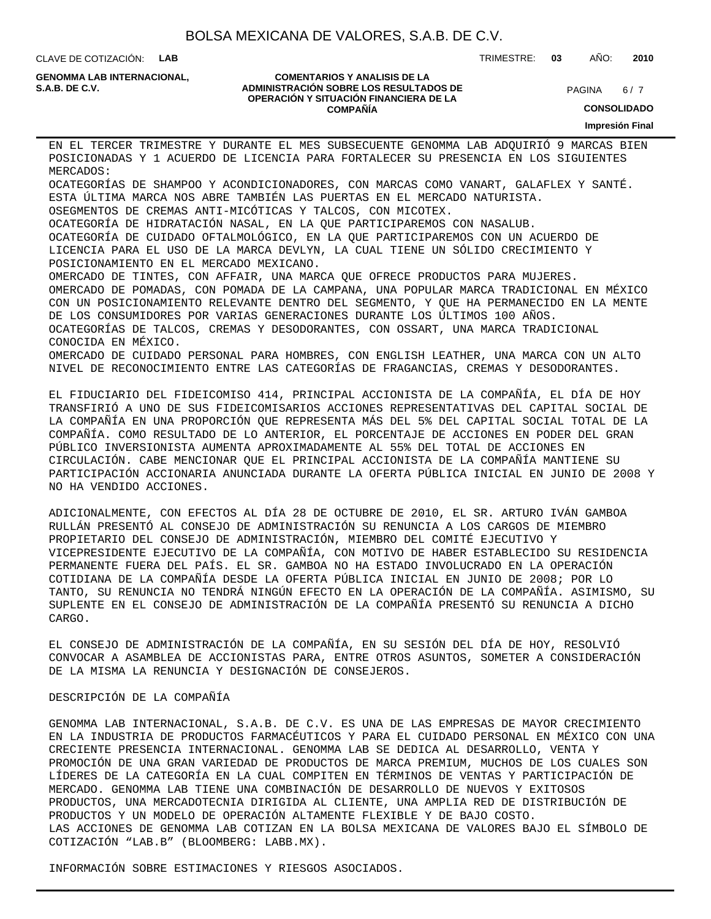CLAVE DE COTIZACIÓN: **LAB**

**GENOMMA LAB INTERNACIONAL,**

#### **COMENTARIOS Y ANALISIS DE LA ADMINISTRACIÓN SOBRE LOS RESULTADOS DE S.A.B. DE C.V.** PAGINA / 7 **OPERACIÓN Y SITUACIÓN FINANCIERA DE LA COMPAÑÍA**

 $6/7$ 

TRIMESTRE: **03** AÑO: **2010**

**CONSOLIDADO**

**Impresión Final**

 EN EL TERCER TRIMESTRE Y DURANTE EL MES SUBSECUENTE GENOMMA LAB ADQUIRIÓ 9 MARCAS BIEN POSICIONADAS Y 1 ACUERDO DE LICENCIA PARA FORTALECER SU PRESENCIA EN LOS SIGUIENTES MERCADOS: O CATEGORÍAS DE SHAMPOO Y ACONDICIONADORES, CON MARCAS COMO VANART, GALAFLEX Y SANTÉ.

ESTA ÚLTIMA MARCA NOS ABRE TAMBIÉN LAS PUERTAS EN EL MERCADO NATURISTA.

O SEGMENTOS DE CREMAS ANTI-MICÓTICAS Y TALCOS, CON MICOTEX.

O CATEGORÍA DE HIDRATACIÓN NASAL, EN LA QUE PARTICIPAREMOS CON NASALUB.

O CATEGORÍA DE CUIDADO OFTALMOLÓGICO, EN LA QUE PARTICIPAREMOS CON UN ACUERDO DE LICENCIA PARA EL USO DE LA MARCA DEVLYN, LA CUAL TIENE UN SÓLIDO CRECIMIENTO Y POSICIONAMIENTO EN EL MERCADO MEXICANO.

O MERCADO DE TINTES, CON AFFAIR, UNA MARCA QUE OFRECE PRODUCTOS PARA MUJERES. O MERCADO DE POMADAS, CON POMADA DE LA CAMPANA, UNA POPULAR MARCA TRADICIONAL EN MÉXICO CON UN POSICIONAMIENTO RELEVANTE DENTRO DEL SEGMENTO, Y QUE HA PERMANECIDO EN LA MENTE DE LOS CONSUMIDORES POR VARIAS GENERACIONES DURANTE LOS ÚLTIMOS 100 AÑOS. O CATEGORÍAS DE TALCOS, CREMAS Y DESODORANTES, CON OSSART, UNA MARCA TRADICIONAL CONOCIDA EN MÉXICO. O MERCADO DE CUIDADO PERSONAL PARA HOMBRES, CON ENGLISH LEATHER, UNA MARCA CON UN ALTO NIVEL DE RECONOCIMIENTO ENTRE LAS CATEGORÍAS DE FRAGANCIAS, CREMAS Y DESODORANTES.

 EL FIDUCIARIO DEL FIDEICOMISO 414, PRINCIPAL ACCIONISTA DE LA COMPAÑÍA, EL DÍA DE HOY TRANSFIRIÓ A UNO DE SUS FIDEICOMISARIOS ACCIONES REPRESENTATIVAS DEL CAPITAL SOCIAL DE LA COMPAÑÍA EN UNA PROPORCIÓN QUE REPRESENTA MÁS DEL 5% DEL CAPITAL SOCIAL TOTAL DE LA COMPAÑÍA. COMO RESULTADO DE LO ANTERIOR, EL PORCENTAJE DE ACCIONES EN PODER DEL GRAN PÚBLICO INVERSIONISTA AUMENTA APROXIMADAMENTE AL 55% DEL TOTAL DE ACCIONES EN CIRCULACIÓN. CABE MENCIONAR QUE EL PRINCIPAL ACCIONISTA DE LA COMPAÑÍA MANTIENE SU PARTICIPACIÓN ACCIONARIA ANUNCIADA DURANTE LA OFERTA PÚBLICA INICIAL EN JUNIO DE 2008 Y NO HA VENDIDO ACCIONES.

ADICIONALMENTE, CON EFECTOS AL DÍA 28 DE OCTUBRE DE 2010, EL SR. ARTURO IVÁN GAMBOA RULLÁN PRESENTÓ AL CONSEJO DE ADMINISTRACIÓN SU RENUNCIA A LOS CARGOS DE MIEMBRO PROPIETARIO DEL CONSEJO DE ADMINISTRACIÓN, MIEMBRO DEL COMITÉ EJECUTIVO Y VICEPRESIDENTE EJECUTIVO DE LA COMPAÑÍA, CON MOTIVO DE HABER ESTABLECIDO SU RESIDENCIA PERMANENTE FUERA DEL PAÍS. EL SR. GAMBOA NO HA ESTADO INVOLUCRADO EN LA OPERACIÓN COTIDIANA DE LA COMPAÑÍA DESDE LA OFERTA PÚBLICA INICIAL EN JUNIO DE 2008; POR LO TANTO, SU RENUNCIA NO TENDRÁ NINGÚN EFECTO EN LA OPERACIÓN DE LA COMPAÑÍA. ASIMISMO, SU SUPLENTE EN EL CONSEJO DE ADMINISTRACIÓN DE LA COMPAÑÍA PRESENTÓ SU RENUNCIA A DICHO CARGO.

EL CONSEJO DE ADMINISTRACIÓN DE LA COMPAÑÍA, EN SU SESIÓN DEL DÍA DE HOY, RESOLVIÓ CONVOCAR A ASAMBLEA DE ACCIONISTAS PARA, ENTRE OTROS ASUNTOS, SOMETER A CONSIDERACIÓN DE LA MISMA LA RENUNCIA Y DESIGNACIÓN DE CONSEJEROS.

### DESCRIPCIÓN DE LA COMPAÑÍA

GENOMMA LAB INTERNACIONAL, S.A.B. DE C.V. ES UNA DE LAS EMPRESAS DE MAYOR CRECIMIENTO EN LA INDUSTRIA DE PRODUCTOS FARMACÉUTICOS Y PARA EL CUIDADO PERSONAL EN MÉXICO CON UNA CRECIENTE PRESENCIA INTERNACIONAL. GENOMMA LAB SE DEDICA AL DESARROLLO, VENTA Y PROMOCIÓN DE UNA GRAN VARIEDAD DE PRODUCTOS DE MARCA PREMIUM, MUCHOS DE LOS CUALES SON LÍDERES DE LA CATEGORÍA EN LA CUAL COMPITEN EN TÉRMINOS DE VENTAS Y PARTICIPACIÓN DE MERCADO. GENOMMA LAB TIENE UNA COMBINACIÓN DE DESARROLLO DE NUEVOS Y EXITOSOS PRODUCTOS, UNA MERCADOTECNIA DIRIGIDA AL CLIENTE, UNA AMPLIA RED DE DISTRIBUCIÓN DE PRODUCTOS Y UN MODELO DE OPERACIÓN ALTAMENTE FLEXIBLE Y DE BAJO COSTO. LAS ACCIONES DE GENOMMA LAB COTIZAN EN LA BOLSA MEXICANA DE VALORES BAJO EL SÍMBOLO DE COTIZACIÓN "LAB.B" (BLOOMBERG: LABB.MX).

INFORMACIÓN SOBRE ESTIMACIONES Y RIESGOS ASOCIADOS.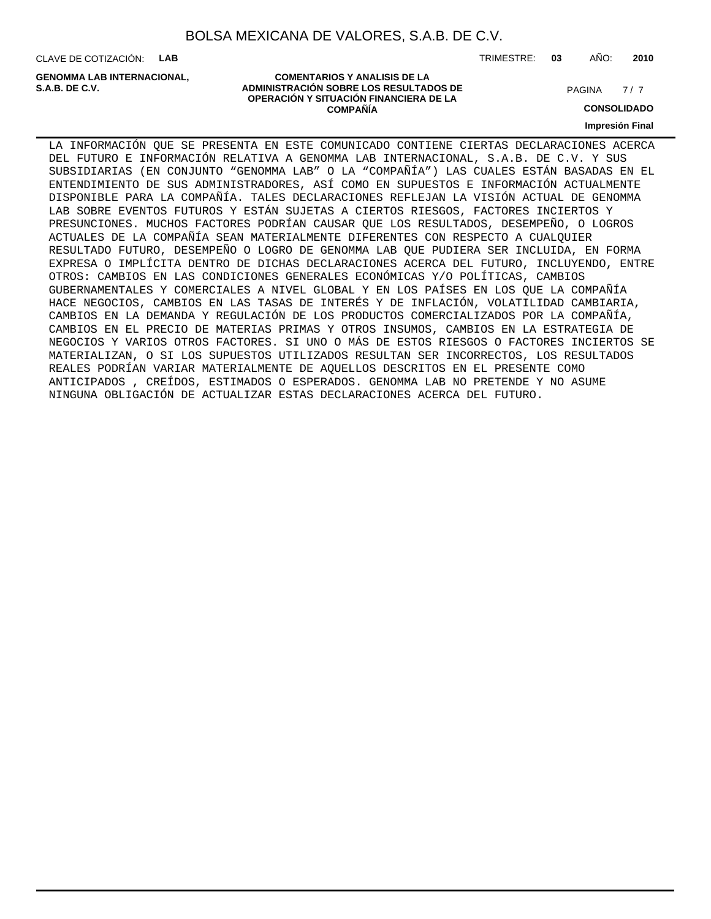CLAVE DE COTIZACIÓN: **LAB**

**ADMINISTRACIÓN SOBRE LOS RESULTADOS DE PAGINA 1997 E PAGINA 2018 GENOMMA LAB INTERNACIONAL,**

TRIMESTRE: **03** AÑO: **2010**

 $7/7$ 

**OPERACIÓN Y SITUACIÓN FINANCIERA DE LA COMPAÑÍA**

**COMENTARIOS Y ANALISIS DE LA**

**CONSOLIDADO**

**Impresión Final**

LA INFORMACIÓN QUE SE PRESENTA EN ESTE COMUNICADO CONTIENE CIERTAS DECLARACIONES ACERCA DEL FUTURO E INFORMACIÓN RELATIVA A GENOMMA LAB INTERNACIONAL, S.A.B. DE C.V. Y SUS SUBSIDIARIAS (EN CONJUNTO "GENOMMA LAB" O LA "COMPAÑÍA") LAS CUALES ESTÁN BASADAS EN EL ENTENDIMIENTO DE SUS ADMINISTRADORES, ASÍ COMO EN SUPUESTOS E INFORMACIÓN ACTUALMENTE DISPONIBLE PARA LA COMPAÑÍA. TALES DECLARACIONES REFLEJAN LA VISIÓN ACTUAL DE GENOMMA LAB SOBRE EVENTOS FUTUROS Y ESTÁN SUJETAS A CIERTOS RIESGOS, FACTORES INCIERTOS Y PRESUNCIONES. MUCHOS FACTORES PODRÍAN CAUSAR QUE LOS RESULTADOS, DESEMPEÑO, O LOGROS ACTUALES DE LA COMPAÑÍA SEAN MATERIALMENTE DIFERENTES CON RESPECTO A CUALQUIER RESULTADO FUTURO, DESEMPEÑO O LOGRO DE GENOMMA LAB QUE PUDIERA SER INCLUIDA, EN FORMA EXPRESA O IMPLÍCITA DENTRO DE DICHAS DECLARACIONES ACERCA DEL FUTURO, INCLUYENDO, ENTRE OTROS: CAMBIOS EN LAS CONDICIONES GENERALES ECONÓMICAS Y/O POLÍTICAS, CAMBIOS GUBERNAMENTALES Y COMERCIALES A NIVEL GLOBAL Y EN LOS PAÍSES EN LOS QUE LA COMPAÑÍA HACE NEGOCIOS, CAMBIOS EN LAS TASAS DE INTERÉS Y DE INFLACIÓN, VOLATILIDAD CAMBIARIA, CAMBIOS EN LA DEMANDA Y REGULACIÓN DE LOS PRODUCTOS COMERCIALIZADOS POR LA COMPAÑÍA, CAMBIOS EN EL PRECIO DE MATERIAS PRIMAS Y OTROS INSUMOS, CAMBIOS EN LA ESTRATEGIA DE NEGOCIOS Y VARIOS OTROS FACTORES. SI UNO O MÁS DE ESTOS RIESGOS O FACTORES INCIERTOS SE MATERIALIZAN, O SI LOS SUPUESTOS UTILIZADOS RESULTAN SER INCORRECTOS, LOS RESULTADOS REALES PODRÍAN VARIAR MATERIALMENTE DE AQUELLOS DESCRITOS EN EL PRESENTE COMO ANTICIPADOS , CREÍDOS, ESTIMADOS O ESPERADOS. GENOMMA LAB NO PRETENDE Y NO ASUME NINGUNA OBLIGACIÓN DE ACTUALIZAR ESTAS DECLARACIONES ACERCA DEL FUTURO.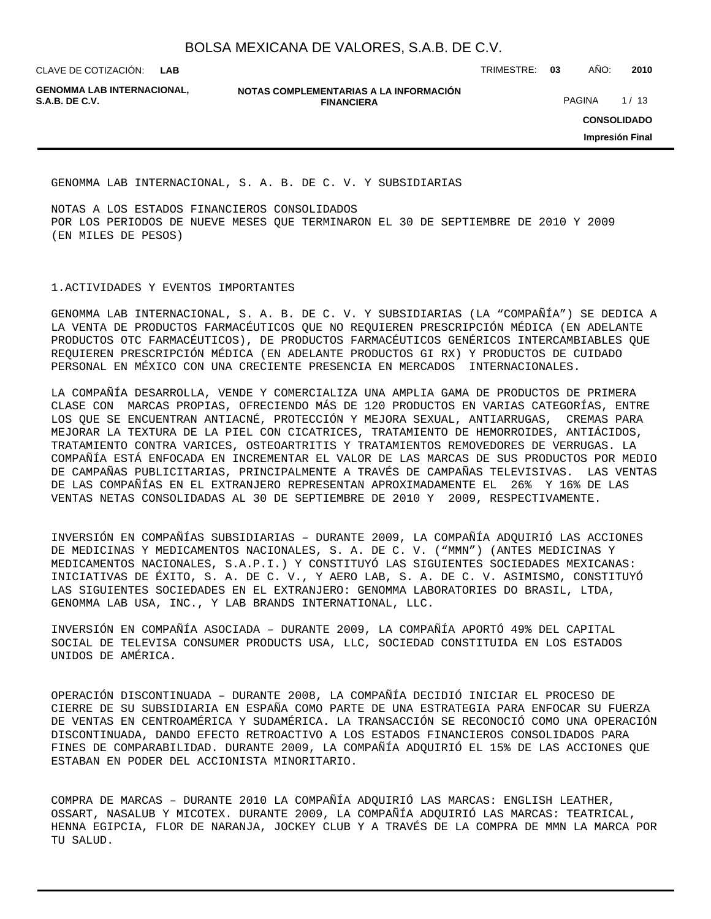CLAVE DE COTIZACIÓN: TRIMESTRE: **03** AÑO: **2010 LAB**

**GENOMMA LAB INTERNACIONAL,**

**NOTAS COMPLEMENTARIAS A LA INFORMACIÓN FINANCIERA S.A.B. DE C.V.** PAGINA 1/13

**CONSOLIDADO**

**Impresión Final**

GENOMMA LAB INTERNACIONAL, S. A. B. DE C. V. Y SUBSIDIARIAS

NOTAS A LOS ESTADOS FINANCIEROS CONSOLIDADOS POR LOS PERIODOS DE NUEVE MESES QUE TERMINARON EL 30 DE SEPTIEMBRE DE 2010 Y 2009 (EN MILES DE PESOS)

1. ACTIVIDADES Y EVENTOS IMPORTANTES

GENOMMA LAB INTERNACIONAL, S. A. B. DE C. V. Y SUBSIDIARIAS (LA "COMPAÑÍA") SE DEDICA A LA VENTA DE PRODUCTOS FARMACÉUTICOS QUE NO REQUIEREN PRESCRIPCIÓN MÉDICA (EN ADELANTE PRODUCTOS OTC FARMACÉUTICOS), DE PRODUCTOS FARMACÉUTICOS GENÉRICOS INTERCAMBIABLES QUE REQUIEREN PRESCRIPCIÓN MÉDICA (EN ADELANTE PRODUCTOS GI RX) Y PRODUCTOS DE CUIDADO PERSONAL EN MÉXICO CON UNA CRECIENTE PRESENCIA EN MERCADOS INTERNACIONALES.

LA COMPAÑÍA DESARROLLA, VENDE Y COMERCIALIZA UNA AMPLIA GAMA DE PRODUCTOS DE PRIMERA CLASE CON MARCAS PROPIAS, OFRECIENDO MÁS DE 120 PRODUCTOS EN VARIAS CATEGORÍAS, ENTRE LOS QUE SE ENCUENTRAN ANTIACNÉ, PROTECCIÓN Y MEJORA SEXUAL, ANTIARRUGAS, CREMAS PARA MEJORAR LA TEXTURA DE LA PIEL CON CICATRICES, TRATAMIENTO DE HEMORROIDES, ANTIÁCIDOS, TRATAMIENTO CONTRA VARICES, OSTEOARTRITIS Y TRATAMIENTOS REMOVEDORES DE VERRUGAS. LA COMPAÑÍA ESTÁ ENFOCADA EN INCREMENTAR EL VALOR DE LAS MARCAS DE SUS PRODUCTOS POR MEDIO DE CAMPAÑAS PUBLICITARIAS, PRINCIPALMENTE A TRAVÉS DE CAMPAÑAS TELEVISIVAS. LAS VENTAS DE LAS COMPAÑÍAS EN EL EXTRANJERO REPRESENTAN APROXIMADAMENTE EL 26% Y 16% DE LAS VENTAS NETAS CONSOLIDADAS AL 30 DE SEPTIEMBRE DE 2010 Y 2009, RESPECTIVAMENTE.

INVERSIÓN EN COMPAÑÍAS SUBSIDIARIAS – DURANTE 2009, LA COMPAÑÍA ADQUIRIÓ LAS ACCIONES DE MEDICINAS Y MEDICAMENTOS NACIONALES, S. A. DE C. V. ("MMN") (ANTES MEDICINAS Y MEDICAMENTOS NACIONALES, S.A.P.I.) Y CONSTITUYÓ LAS SIGUIENTES SOCIEDADES MEXICANAS: INICIATIVAS DE ÉXITO, S. A. DE C. V., Y AERO LAB, S. A. DE C. V. ASIMISMO, CONSTITUYÓ LAS SIGUIENTES SOCIEDADES EN EL EXTRANJERO: GENOMMA LABORATORIES DO BRASIL, LTDA, GENOMMA LAB USA, INC., Y LAB BRANDS INTERNATIONAL, LLC.

INVERSIÓN EN COMPAÑÍA ASOCIADA – DURANTE 2009, LA COMPAÑÍA APORTÓ 49% DEL CAPITAL SOCIAL DE TELEVISA CONSUMER PRODUCTS USA, LLC, SOCIEDAD CONSTITUIDA EN LOS ESTADOS UNIDOS DE AMÉRICA.

OPERACIÓN DISCONTINUADA – DURANTE 2008, LA COMPAÑÍA DECIDIÓ INICIAR EL PROCESO DE CIERRE DE SU SUBSIDIARIA EN ESPAÑA COMO PARTE DE UNA ESTRATEGIA PARA ENFOCAR SU FUERZA DE VENTAS EN CENTROAMÉRICA Y SUDAMÉRICA. LA TRANSACCIÓN SE RECONOCIÓ COMO UNA OPERACIÓN DISCONTINUADA, DANDO EFECTO RETROACTIVO A LOS ESTADOS FINANCIEROS CONSOLIDADOS PARA FINES DE COMPARABILIDAD. DURANTE 2009, LA COMPAÑÍA ADQUIRIÓ EL 15% DE LAS ACCIONES QUE ESTABAN EN PODER DEL ACCIONISTA MINORITARIO.

COMPRA DE MARCAS – DURANTE 2010 LA COMPAÑÍA ADQUIRIÓ LAS MARCAS: ENGLISH LEATHER, OSSART, NASALUB Y MICOTEX. DURANTE 2009, LA COMPAÑÍA ADQUIRIÓ LAS MARCAS: TEATRICAL, HENNA EGIPCIA, FLOR DE NARANJA, JOCKEY CLUB Y A TRAVÉS DE LA COMPRA DE MMN LA MARCA POR TU SALUD.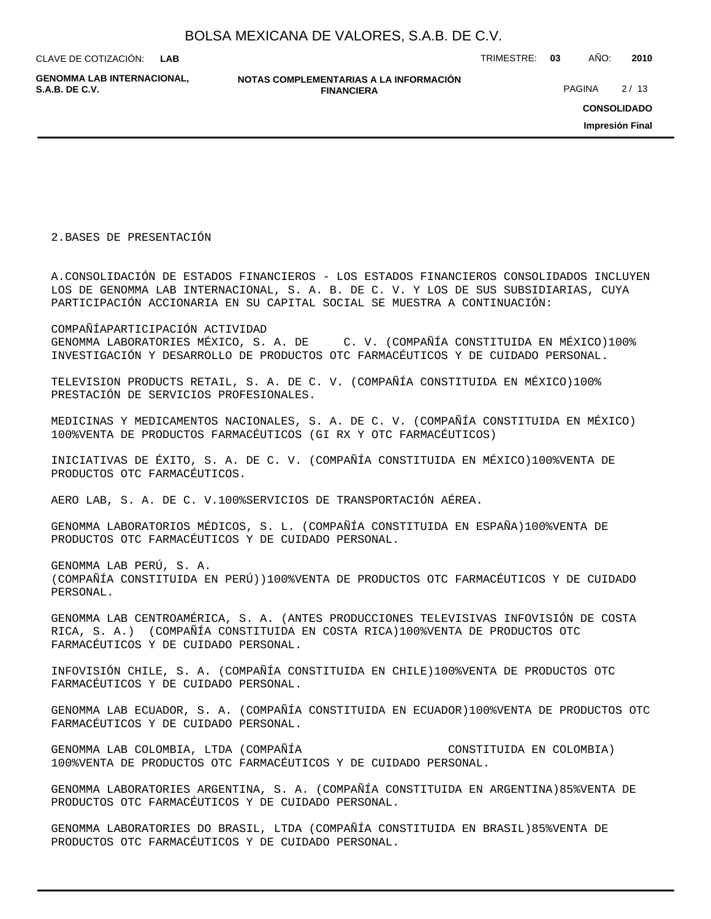| BOLSA MEXICANA DE VALORES, S.A.B. DE C.V. |  |  |
|-------------------------------------------|--|--|
|-------------------------------------------|--|--|

**GENOMMA LAB INTERNACIONAL,**

**NOTAS COMPLEMENTARIAS A LA INFORMACIÓN FINANCIERA S.A.B. DE C.V.** PAGINA 2 / 13

CLAVE DE COTIZACIÓN: TRIMESTRE: **03** AÑO: **2010**

**CONSOLIDADO**

**Impresión Final**

2. BASES DE PRESENTACIÓN

A. CONSOLIDACIÓN DE ESTADOS FINANCIEROS - LOS ESTADOS FINANCIEROS CONSOLIDADOS INCLUYEN LOS DE GENOMMA LAB INTERNACIONAL, S. A. B. DE C. V. Y LOS DE SUS SUBSIDIARIAS, CUYA PARTICIPACIÓN ACCIONARIA EN SU CAPITAL SOCIAL SE MUESTRA A CONTINUACIÓN:

COMPAÑÍA PARTICIPACIÓN ACTIVIDAD GENOMMA LABORATORIES MÉXICO, S. A. DE C. V. (COMPAÑÍA CONSTITUIDA EN MÉXICO) 100% INVESTIGACIÓN Y DESARROLLO DE PRODUCTOS OTC FARMACÉUTICOS Y DE CUIDADO PERSONAL.

TELEVISION PRODUCTS RETAIL, S. A. DE C. V. (COMPAÑÍA CONSTITUIDA EN MÉXICO) 100% PRESTACIÓN DE SERVICIOS PROFESIONALES.

MEDICINAS Y MEDICAMENTOS NACIONALES, S. A. DE C. V. (COMPAÑÍA CONSTITUIDA EN MÉXICO) 100% VENTA DE PRODUCTOS FARMACÉUTICOS (GI RX Y OTC FARMACÉUTICOS)

INICIATIVAS DE ÉXITO, S. A. DE C. V. (COMPAÑÍA CONSTITUIDA EN MÉXICO) 100% VENTA DE PRODUCTOS OTC FARMACÉUTICOS.

AERO LAB, S. A. DE C. V. 100% SERVICIOS DE TRANSPORTACIÓN AÉREA.

GENOMMA LABORATORIOS MÉDICOS, S. L. (COMPAÑÍA CONSTITUIDA EN ESPAÑA) 100% VENTA DE PRODUCTOS OTC FARMACÉUTICOS Y DE CUIDADO PERSONAL.

GENOMMA LAB PERÚ, S. A. (COMPAÑÍA CONSTITUIDA EN PERÚ)) 100% VENTA DE PRODUCTOS OTC FARMACÉUTICOS Y DE CUIDADO PERSONAL.

GENOMMA LAB CENTROAMÉRICA, S. A. (ANTES PRODUCCIONES TELEVISIVAS INFOVISIÓN DE COSTA RICA, S. A.) (COMPAÑÍA CONSTITUIDA EN COSTA RICA) 100% VENTA DE PRODUCTOS OTC FARMACÉUTICOS Y DE CUIDADO PERSONAL.

INFOVISIÓN CHILE, S. A. (COMPAÑÍA CONSTITUIDA EN CHILE) 100% VENTA DE PRODUCTOS OTC FARMACÉUTICOS Y DE CUIDADO PERSONAL.

GENOMMA LAB ECUADOR, S. A. (COMPAÑÍA CONSTITUIDA EN ECUADOR) 100% VENTA DE PRODUCTOS OTC FARMACÉUTICOS Y DE CUIDADO PERSONAL.

GENOMMA LAB COLOMBIA, LTDA (COMPAÑÍA CONSTITUIDA EN COLOMBIA) 100% VENTA DE PRODUCTOS OTC FARMACÉUTICOS Y DE CUIDADO PERSONAL.

GENOMMA LABORATORIES ARGENTINA, S. A. (COMPAÑÍA CONSTITUIDA EN ARGENTINA) 85% VENTA DE PRODUCTOS OTC FARMACÉUTICOS Y DE CUIDADO PERSONAL.

GENOMMA LABORATORIES DO BRASIL, LTDA (COMPAÑÍA CONSTITUIDA EN BRASIL) 85% VENTA DE PRODUCTOS OTC FARMACÉUTICOS Y DE CUIDADO PERSONAL.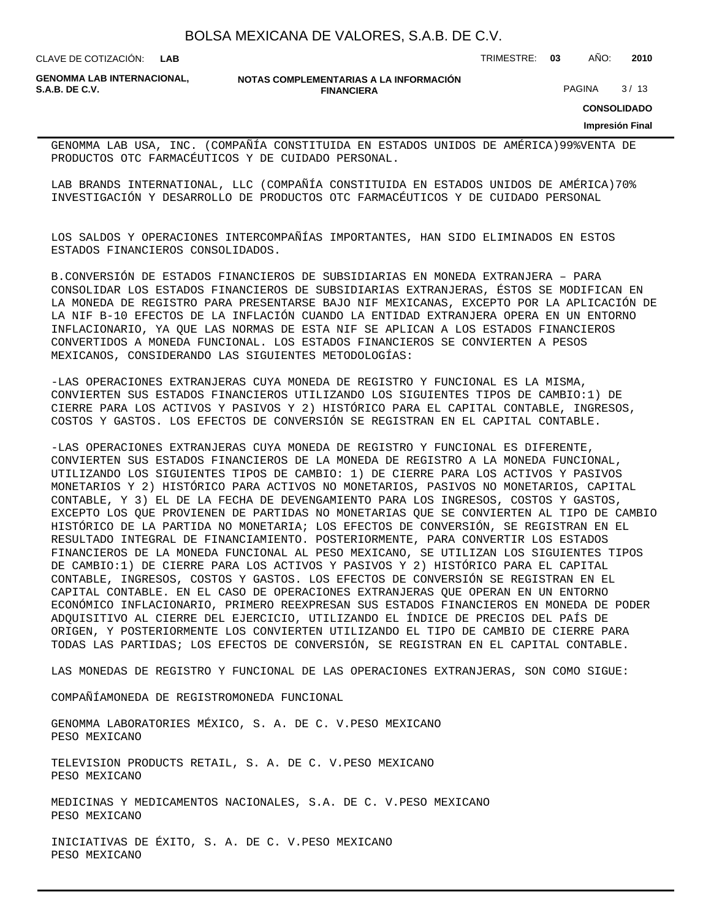**LAB**

CLAVE DE COTIZACIÓN: TRIMESTRE: **03** AÑO: **2010**

**GENOMMA LAB INTERNACIONAL,**

**NOTAS COMPLEMENTARIAS A LA INFORMACIÓN FINANCIERA S.A.B. DE C.V.** PAGINA 8 / 13

**CONSOLIDADO**

**Impresión Final**

GENOMMA LAB USA, INC. (COMPAÑÍA CONSTITUIDA EN ESTADOS UNIDOS DE AMÉRICA) 99% VENTA DE PRODUCTOS OTC FARMACÉUTICOS Y DE CUIDADO PERSONAL.

LAB BRANDS INTERNATIONAL, LLC (COMPAÑÍA CONSTITUIDA EN ESTADOS UNIDOS DE AMÉRICA) 70% INVESTIGACIÓN Y DESARROLLO DE PRODUCTOS OTC FARMACÉUTICOS Y DE CUIDADO PERSONAL

LOS SALDOS Y OPERACIONES INTERCOMPAÑÍAS IMPORTANTES, HAN SIDO ELIMINADOS EN ESTOS ESTADOS FINANCIEROS CONSOLIDADOS.

B. CONVERSIÓN DE ESTADOS FINANCIEROS DE SUBSIDIARIAS EN MONEDA EXTRANJERA – PARA CONSOLIDAR LOS ESTADOS FINANCIEROS DE SUBSIDIARIAS EXTRANJERAS, ÉSTOS SE MODIFICAN EN LA MONEDA DE REGISTRO PARA PRESENTARSE BAJO NIF MEXICANAS, EXCEPTO POR LA APLICACIÓN DE LA NIF B-10 EFECTOS DE LA INFLACIÓN CUANDO LA ENTIDAD EXTRANJERA OPERA EN UN ENTORNO INFLACIONARIO, YA QUE LAS NORMAS DE ESTA NIF SE APLICAN A LOS ESTADOS FINANCIEROS CONVERTIDOS A MONEDA FUNCIONAL. LOS ESTADOS FINANCIEROS SE CONVIERTEN A PESOS MEXICANOS, CONSIDERANDO LAS SIGUIENTES METODOLOGÍAS:

- LAS OPERACIONES EXTRANJERAS CUYA MONEDA DE REGISTRO Y FUNCIONAL ES LA MISMA, CONVIERTEN SUS ESTADOS FINANCIEROS UTILIZANDO LOS SIGUIENTES TIPOS DE CAMBIO:1) DE CIERRE PARA LOS ACTIVOS Y PASIVOS Y 2) HISTÓRICO PARA EL CAPITAL CONTABLE, INGRESOS, COSTOS Y GASTOS. LOS EFECTOS DE CONVERSIÓN SE REGISTRAN EN EL CAPITAL CONTABLE.

- LAS OPERACIONES EXTRANJERAS CUYA MONEDA DE REGISTRO Y FUNCIONAL ES DIFERENTE, CONVIERTEN SUS ESTADOS FINANCIEROS DE LA MONEDA DE REGISTRO A LA MONEDA FUNCIONAL, UTILIZANDO LOS SIGUIENTES TIPOS DE CAMBIO: 1) DE CIERRE PARA LOS ACTIVOS Y PASIVOS MONETARIOS Y 2) HISTÓRICO PARA ACTIVOS NO MONETARIOS, PASIVOS NO MONETARIOS, CAPITAL CONTABLE, Y 3) EL DE LA FECHA DE DEVENGAMIENTO PARA LOS INGRESOS, COSTOS Y GASTOS, EXCEPTO LOS QUE PROVIENEN DE PARTIDAS NO MONETARIAS QUE SE CONVIERTEN AL TIPO DE CAMBIO HISTÓRICO DE LA PARTIDA NO MONETARIA; LOS EFECTOS DE CONVERSIÓN, SE REGISTRAN EN EL RESULTADO INTEGRAL DE FINANCIAMIENTO. POSTERIORMENTE, PARA CONVERTIR LOS ESTADOS FINANCIEROS DE LA MONEDA FUNCIONAL AL PESO MEXICANO, SE UTILIZAN LOS SIGUIENTES TIPOS DE CAMBIO:1) DE CIERRE PARA LOS ACTIVOS Y PASIVOS Y 2) HISTÓRICO PARA EL CAPITAL CONTABLE, INGRESOS, COSTOS Y GASTOS. LOS EFECTOS DE CONVERSIÓN SE REGISTRAN EN EL CAPITAL CONTABLE. EN EL CASO DE OPERACIONES EXTRANJERAS QUE OPERAN EN UN ENTORNO ECONÓMICO INFLACIONARIO, PRIMERO REEXPRESAN SUS ESTADOS FINANCIEROS EN MONEDA DE PODER ADQUISITIVO AL CIERRE DEL EJERCICIO, UTILIZANDO EL ÍNDICE DE PRECIOS DEL PAÍS DE ORIGEN, Y POSTERIORMENTE LOS CONVIERTEN UTILIZANDO EL TIPO DE CAMBIO DE CIERRE PARA TODAS LAS PARTIDAS; LOS EFECTOS DE CONVERSIÓN, SE REGISTRAN EN EL CAPITAL CONTABLE.

LAS MONEDAS DE REGISTRO Y FUNCIONAL DE LAS OPERACIONES EXTRANJERAS, SON COMO SIGUE:

COMPAÑÍA MONEDA DE REGISTRO MONEDA FUNCIONAL

GENOMMA LABORATORIES MÉXICO, S. A. DE C. V. PESO MEXICANO PESO MEXICANO

TELEVISION PRODUCTS RETAIL, S. A. DE C. V. PESO MEXICANO PESO MEXICANO

MEDICINAS Y MEDICAMENTOS NACIONALES, S.A. DE C. V. PESO MEXICANO PESO MEXICANO

INICIATIVAS DE ÉXITO, S. A. DE C. V. PESO MEXICANO PESO MEXICANO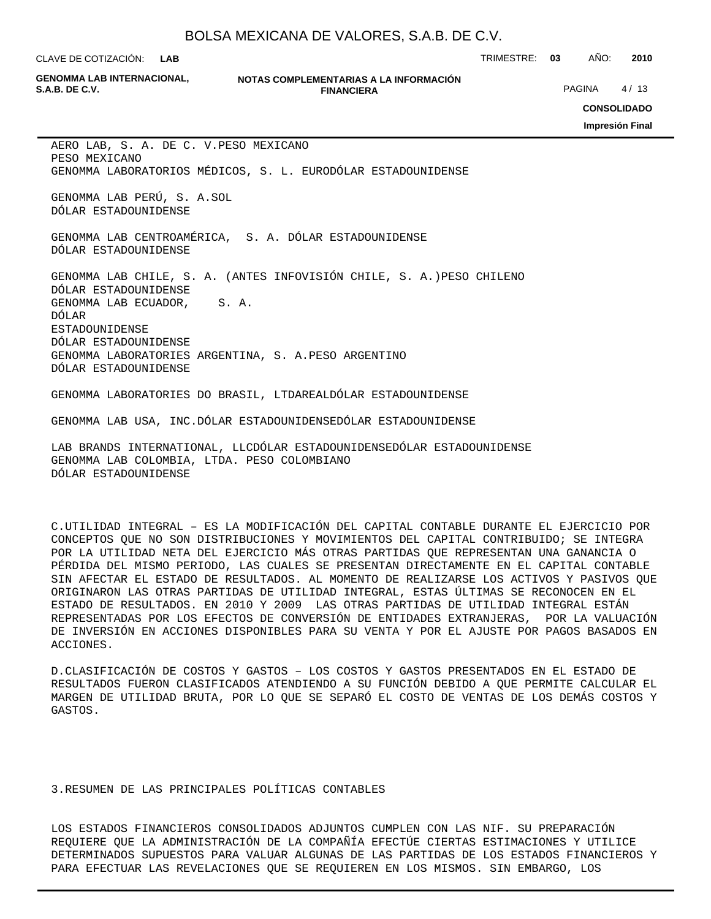**LAB**

CLAVE DE COTIZACIÓN: TRIMESTRE: **03** AÑO: **2010**

**GENOMMA LAB INTERNACIONAL,**

#### **NOTAS COMPLEMENTARIAS A LA INFORMACIÓN FINANCIERA S.A.B. DE C.V.** PAGINA 4/13

**CONSOLIDADO**

**Impresión Final**

AERO LAB, S. A. DE C. V. PESO MEXICANO PESO MEXICANO GENOMMA LABORATORIOS MÉDICOS, S. L. EURO DÓLAR ESTADOUNIDENSE

GENOMMA LAB PERÚ, S. A. SOL DÓLAR ESTADOUNIDENSE

GENOMMA LAB CENTROAMÉRICA, S. A. DÓLAR ESTADOUNIDENSE DÓLAR ESTADOUNIDENSE

GENOMMA LAB CHILE, S. A. (ANTES INFOVISIÓN CHILE, S. A.) PESO CHILENO DÓLAR ESTADOUNIDENSE GENOMMA LAB ECUADOR, S.A. DÓLAR ESTADOUNIDENSE DÓLAR ESTADOUNIDENSE GENOMMA LABORATORIES ARGENTINA, S. A. PESO ARGENTINO DÓLAR ESTADOUNIDENSE

GENOMMA LABORATORIES DO BRASIL, LTDA REAL DÓLAR ESTADOUNIDENSE

GENOMMA LAB USA, INC. DÓLAR ESTADOUNIDENSE DÓLAR ESTADOUNIDENSE

LAB BRANDS INTERNATIONAL, LLC DÓLAR ESTADOUNIDENSE DÓLAR ESTADOUNIDENSE GENOMMA LAB COLOMBIA, LTDA. PESO COLOMBIANO DÓLAR ESTADOUNIDENSE

C. UTILIDAD INTEGRAL – ES LA MODIFICACIÓN DEL CAPITAL CONTABLE DURANTE EL EJERCICIO POR CONCEPTOS QUE NO SON DISTRIBUCIONES Y MOVIMIENTOS DEL CAPITAL CONTRIBUIDO; SE INTEGRA POR LA UTILIDAD NETA DEL EJERCICIO MÁS OTRAS PARTIDAS QUE REPRESENTAN UNA GANANCIA O PÉRDIDA DEL MISMO PERIODO, LAS CUALES SE PRESENTAN DIRECTAMENTE EN EL CAPITAL CONTABLE SIN AFECTAR EL ESTADO DE RESULTADOS. AL MOMENTO DE REALIZARSE LOS ACTIVOS Y PASIVOS QUE ORIGINARON LAS OTRAS PARTIDAS DE UTILIDAD INTEGRAL, ESTAS ÚLTIMAS SE RECONOCEN EN EL ESTADO DE RESULTADOS. EN 2010 Y 2009 LAS OTRAS PARTIDAS DE UTILIDAD INTEGRAL ESTÁN REPRESENTADAS POR LOS EFECTOS DE CONVERSIÓN DE ENTIDADES EXTRANJERAS, POR LA VALUACIÓN DE INVERSIÓN EN ACCIONES DISPONIBLES PARA SU VENTA Y POR EL AJUSTE POR PAGOS BASADOS EN ACCIONES.

D. CLASIFICACIÓN DE COSTOS Y GASTOS – LOS COSTOS Y GASTOS PRESENTADOS EN EL ESTADO DE RESULTADOS FUERON CLASIFICADOS ATENDIENDO A SU FUNCIÓN DEBIDO A QUE PERMITE CALCULAR EL MARGEN DE UTILIDAD BRUTA, POR LO QUE SE SEPARÓ EL COSTO DE VENTAS DE LOS DEMÁS COSTOS Y GASTOS.

### 3. RESUMEN DE LAS PRINCIPALES POLÍTICAS CONTABLES

LOS ESTADOS FINANCIEROS CONSOLIDADOS ADJUNTOS CUMPLEN CON LAS NIF. SU PREPARACIÓN REQUIERE QUE LA ADMINISTRACIÓN DE LA COMPAÑÍA EFECTÚE CIERTAS ESTIMACIONES Y UTILICE DETERMINADOS SUPUESTOS PARA VALUAR ALGUNAS DE LAS PARTIDAS DE LOS ESTADOS FINANCIEROS Y PARA EFECTUAR LAS REVELACIONES QUE SE REQUIEREN EN LOS MISMOS. SIN EMBARGO, LOS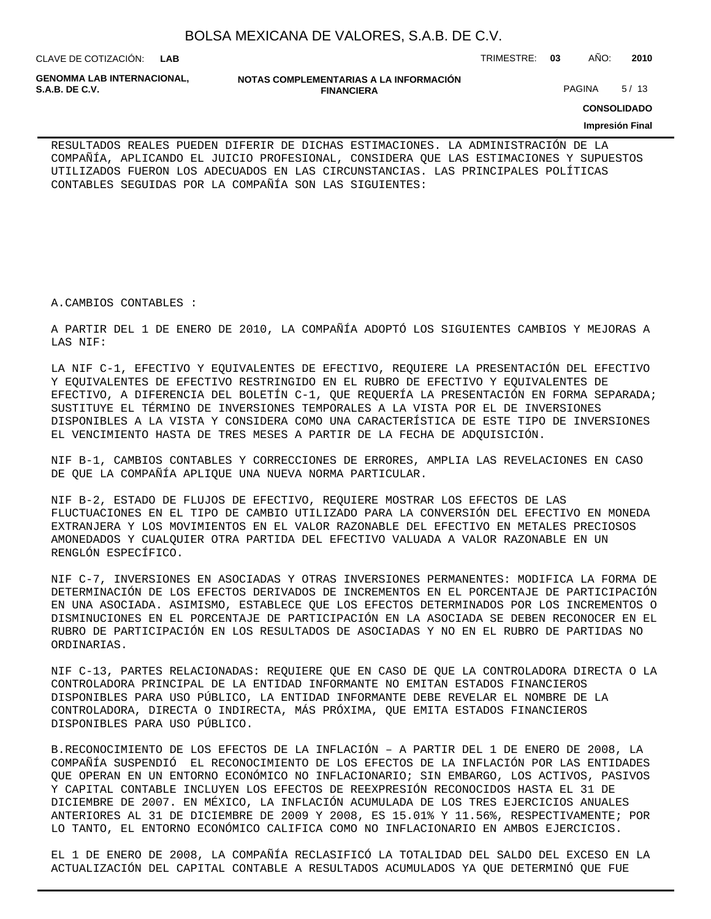CLAVE DE COTIZACIÓN: TRIMESTRE: **03** AÑO: **2010 LAB**

**GENOMMA LAB INTERNACIONAL,**

**NOTAS COMPLEMENTARIAS A LA INFORMACIÓN FINANCIERA S.A.B. DE C.V.** PAGINA 5/13

**CONSOLIDADO**

#### **Impresión Final**

RESULTADOS REALES PUEDEN DIFERIR DE DICHAS ESTIMACIONES. LA ADMINISTRACIÓN DE LA COMPAÑÍA, APLICANDO EL JUICIO PROFESIONAL, CONSIDERA QUE LAS ESTIMACIONES Y SUPUESTOS UTILIZADOS FUERON LOS ADECUADOS EN LAS CIRCUNSTANCIAS. LAS PRINCIPALES POLÍTICAS CONTABLES SEGUIDAS POR LA COMPAÑÍA SON LAS SIGUIENTES:

A. CAMBIOS CONTABLES :

A PARTIR DEL 1 DE ENERO DE 2010, LA COMPAÑÍA ADOPTÓ LOS SIGUIENTES CAMBIOS Y MEJORAS A LAS NIF:

LA NIF C-1, EFECTIVO Y EQUIVALENTES DE EFECTIVO, REQUIERE LA PRESENTACIÓN DEL EFECTIVO Y EQUIVALENTES DE EFECTIVO RESTRINGIDO EN EL RUBRO DE EFECTIVO Y EQUIVALENTES DE EFECTIVO, A DIFERENCIA DEL BOLETÍN C-1, QUE REQUERÍA LA PRESENTACIÓN EN FORMA SEPARADA; SUSTITUYE EL TÉRMINO DE INVERSIONES TEMPORALES A LA VISTA POR EL DE INVERSIONES DISPONIBLES A LA VISTA Y CONSIDERA COMO UNA CARACTERÍSTICA DE ESTE TIPO DE INVERSIONES EL VENCIMIENTO HASTA DE TRES MESES A PARTIR DE LA FECHA DE ADQUISICIÓN.

NIF B-1, CAMBIOS CONTABLES Y CORRECCIONES DE ERRORES, AMPLIA LAS REVELACIONES EN CASO DE QUE LA COMPAÑÍA APLIQUE UNA NUEVA NORMA PARTICULAR.

NIF B-2, ESTADO DE FLUJOS DE EFECTIVO, REQUIERE MOSTRAR LOS EFECTOS DE LAS FLUCTUACIONES EN EL TIPO DE CAMBIO UTILIZADO PARA LA CONVERSIÓN DEL EFECTIVO EN MONEDA EXTRANJERA Y LOS MOVIMIENTOS EN EL VALOR RAZONABLE DEL EFECTIVO EN METALES PRECIOSOS AMONEDADOS Y CUALQUIER OTRA PARTIDA DEL EFECTIVO VALUADA A VALOR RAZONABLE EN UN RENGLÓN ESPECÍFICO.

NIF C-7, INVERSIONES EN ASOCIADAS Y OTRAS INVERSIONES PERMANENTES: MODIFICA LA FORMA DE DETERMINACIÓN DE LOS EFECTOS DERIVADOS DE INCREMENTOS EN EL PORCENTAJE DE PARTICIPACIÓN EN UNA ASOCIADA. ASIMISMO, ESTABLECE QUE LOS EFECTOS DETERMINADOS POR LOS INCREMENTOS O DISMINUCIONES EN EL PORCENTAJE DE PARTICIPACIÓN EN LA ASOCIADA SE DEBEN RECONOCER EN EL RUBRO DE PARTICIPACIÓN EN LOS RESULTADOS DE ASOCIADAS Y NO EN EL RUBRO DE PARTIDAS NO ORDINARIAS.

NIF C-13, PARTES RELACIONADAS: REQUIERE QUE EN CASO DE QUE LA CONTROLADORA DIRECTA O LA CONTROLADORA PRINCIPAL DE LA ENTIDAD INFORMANTE NO EMITAN ESTADOS FINANCIEROS DISPONIBLES PARA USO PÚBLICO, LA ENTIDAD INFORMANTE DEBE REVELAR EL NOMBRE DE LA CONTROLADORA, DIRECTA O INDIRECTA, MÁS PRÓXIMA, QUE EMITA ESTADOS FINANCIEROS DISPONIBLES PARA USO PÚBLICO.

B. RECONOCIMIENTO DE LOS EFECTOS DE LA INFLACIÓN – A PARTIR DEL 1 DE ENERO DE 2008, LA COMPAÑÍA SUSPENDIÓ EL RECONOCIMIENTO DE LOS EFECTOS DE LA INFLACIÓN POR LAS ENTIDADES QUE OPERAN EN UN ENTORNO ECONÓMICO NO INFLACIONARIO; SIN EMBARGO, LOS ACTIVOS, PASIVOS Y CAPITAL CONTABLE INCLUYEN LOS EFECTOS DE REEXPRESIÓN RECONOCIDOS HASTA EL 31 DE DICIEMBRE DE 2007. EN MÉXICO, LA INFLACIÓN ACUMULADA DE LOS TRES EJERCICIOS ANUALES ANTERIORES AL 31 DE DICIEMBRE DE 2009 Y 2008, ES 15.01% Y 11.56%, RESPECTIVAMENTE; POR LO TANTO, EL ENTORNO ECONÓMICO CALIFICA COMO NO INFLACIONARIO EN AMBOS EJERCICIOS.

EL 1 DE ENERO DE 2008, LA COMPAÑÍA RECLASIFICÓ LA TOTALIDAD DEL SALDO DEL EXCESO EN LA ACTUALIZACIÓN DEL CAPITAL CONTABLE A RESULTADOS ACUMULADOS YA QUE DETERMINÓ QUE FUE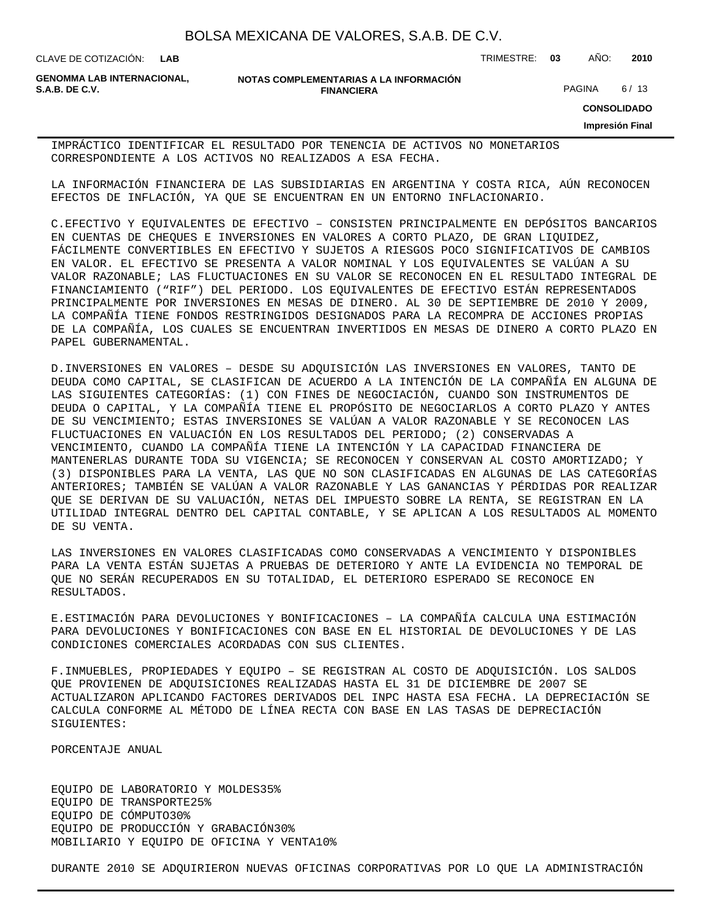| BOLSA MEXICANA DE VALORES, S.A.B. DE C.V. |  |  |  |
|-------------------------------------------|--|--|--|
|-------------------------------------------|--|--|--|

CLAVE DE COTIZACIÓN: TRIMESTRE: **03** AÑO: **2010**

**GENOMMA LAB INTERNACIONAL,**

**NOTAS COMPLEMENTARIAS A LA INFORMACIÓN FINANCIERA S.A.B. DE C.V.** PAGINA 6/13

**CONSOLIDADO**

**Impresión Final**

IMPRÁCTICO IDENTIFICAR EL RESULTADO POR TENENCIA DE ACTIVOS NO MONETARIOS CORRESPONDIENTE A LOS ACTIVOS NO REALIZADOS A ESA FECHA.

LA INFORMACIÓN FINANCIERA DE LAS SUBSIDIARIAS EN ARGENTINA Y COSTA RICA, AÚN RECONOCEN EFECTOS DE INFLACIÓN, YA QUE SE ENCUENTRAN EN UN ENTORNO INFLACIONARIO.

C. EFECTIVO Y EQUIVALENTES DE EFECTIVO – CONSISTEN PRINCIPALMENTE EN DEPÓSITOS BANCARIOS EN CUENTAS DE CHEQUES E INVERSIONES EN VALORES A CORTO PLAZO, DE GRAN LIQUIDEZ, FÁCILMENTE CONVERTIBLES EN EFECTIVO Y SUJETOS A RIESGOS POCO SIGNIFICATIVOS DE CAMBIOS EN VALOR. EL EFECTIVO SE PRESENTA A VALOR NOMINAL Y LOS EQUIVALENTES SE VALÚAN A SU VALOR RAZONABLE; LAS FLUCTUACIONES EN SU VALOR SE RECONOCEN EN EL RESULTADO INTEGRAL DE FINANCIAMIENTO ("RIF") DEL PERIODO. LOS EQUIVALENTES DE EFECTIVO ESTÁN REPRESENTADOS PRINCIPALMENTE POR INVERSIONES EN MESAS DE DINERO. AL 30 DE SEPTIEMBRE DE 2010 Y 2009, LA COMPAÑÍA TIENE FONDOS RESTRINGIDOS DESIGNADOS PARA LA RECOMPRA DE ACCIONES PROPIAS DE LA COMPAÑÍA, LOS CUALES SE ENCUENTRAN INVERTIDOS EN MESAS DE DINERO A CORTO PLAZO EN PAPEL GUBERNAMENTAL.

D. INVERSIONES EN VALORES – DESDE SU ADQUISICIÓN LAS INVERSIONES EN VALORES, TANTO DE DEUDA COMO CAPITAL, SE CLASIFICAN DE ACUERDO A LA INTENCIÓN DE LA COMPAÑÍA EN ALGUNA DE LAS SIGUIENTES CATEGORÍAS: (1) CON FINES DE NEGOCIACIÓN, CUANDO SON INSTRUMENTOS DE DEUDA O CAPITAL, Y LA COMPAÑÍA TIENE EL PROPÓSITO DE NEGOCIARLOS A CORTO PLAZO Y ANTES DE SU VENCIMIENTO; ESTAS INVERSIONES SE VALÚAN A VALOR RAZONABLE Y SE RECONOCEN LAS FLUCTUACIONES EN VALUACIÓN EN LOS RESULTADOS DEL PERIODO; (2) CONSERVADAS A VENCIMIENTO, CUANDO LA COMPAÑÍA TIENE LA INTENCIÓN Y LA CAPACIDAD FINANCIERA DE MANTENERLAS DURANTE TODA SU VIGENCIA; SE RECONOCEN Y CONSERVAN AL COSTO AMORTIZADO; Y (3) DISPONIBLES PARA LA VENTA, LAS QUE NO SON CLASIFICADAS EN ALGUNAS DE LAS CATEGORÍAS ANTERIORES; TAMBIÉN SE VALÚAN A VALOR RAZONABLE Y LAS GANANCIAS Y PÉRDIDAS POR REALIZAR QUE SE DERIVAN DE SU VALUACIÓN, NETAS DEL IMPUESTO SOBRE LA RENTA, SE REGISTRAN EN LA UTILIDAD INTEGRAL DENTRO DEL CAPITAL CONTABLE, Y SE APLICAN A LOS RESULTADOS AL MOMENTO DE SU VENTA.

LAS INVERSIONES EN VALORES CLASIFICADAS COMO CONSERVADAS A VENCIMIENTO Y DISPONIBLES PARA LA VENTA ESTÁN SUJETAS A PRUEBAS DE DETERIORO Y ANTE LA EVIDENCIA NO TEMPORAL DE QUE NO SERÁN RECUPERADOS EN SU TOTALIDAD, EL DETERIORO ESPERADO SE RECONOCE EN RESULTADOS.

E. ESTIMACIÓN PARA DEVOLUCIONES Y BONIFICACIONES – LA COMPAÑÍA CALCULA UNA ESTIMACIÓN PARA DEVOLUCIONES Y BONIFICACIONES CON BASE EN EL HISTORIAL DE DEVOLUCIONES Y DE LAS CONDICIONES COMERCIALES ACORDADAS CON SUS CLIENTES.

F. INMUEBLES, PROPIEDADES Y EQUIPO – SE REGISTRAN AL COSTO DE ADQUISICIÓN. LOS SALDOS QUE PROVIENEN DE ADQUISICIONES REALIZADAS HASTA EL 31 DE DICIEMBRE DE 2007 SE ACTUALIZARON APLICANDO FACTORES DERIVADOS DEL INPC HASTA ESA FECHA. LA DEPRECIACIÓN SE CALCULA CONFORME AL MÉTODO DE LÍNEA RECTA CON BASE EN LAS TASAS DE DEPRECIACIÓN SIGUIENTES:

 PORCENTAJE ANUAL

EQUIPO DE LABORATORIO Y MOLDES 35% EQUIPO DE TRANSPORTE 25% EQUIPO DE CÓMPUTO 30% EQUIPO DE PRODUCCIÓN Y GRABACIÓN 30% MOBILIARIO Y EQUIPO DE OFICINA Y VENTA 10%

DURANTE 2010 SE ADQUIRIERON NUEVAS OFICINAS CORPORATIVAS POR LO QUE LA ADMINISTRACIÓN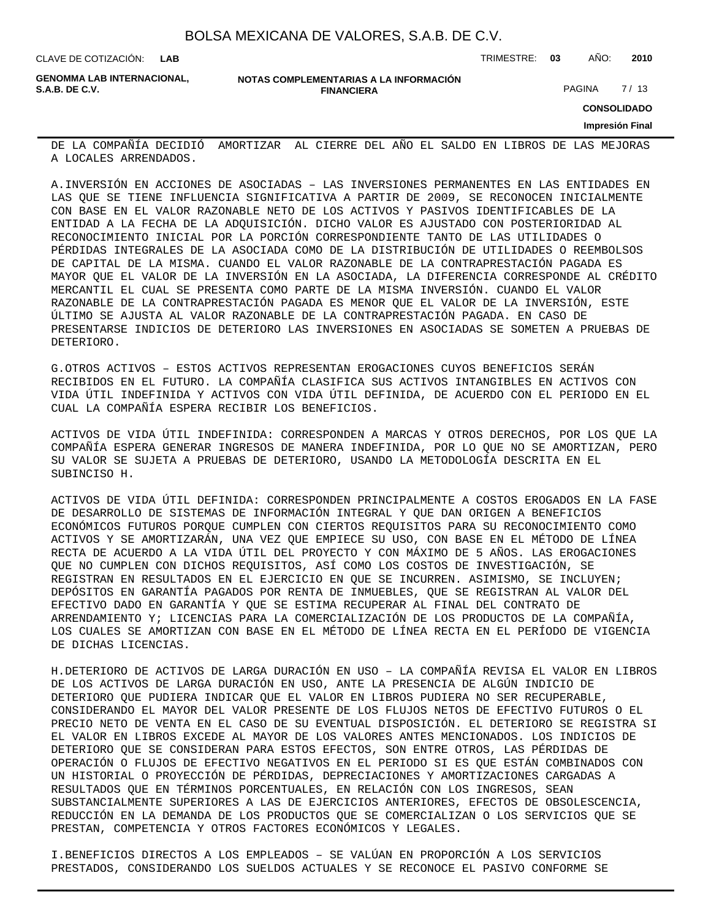CLAVE DE COTIZACIÓN: TRIMESTRE: **03** AÑO: **2010**

**GENOMMA LAB INTERNACIONAL,**

**NOTAS COMPLEMENTARIAS A LA INFORMACIÓN FINANCIERA S.A.B. DE C.V.** PAGINA 27 / 13

**CONSOLIDADO**

**Impresión Final**

DE LA COMPAÑÍA DECIDIÓ AMORTIZAR AL CIERRE DEL AÑO EL SALDO EN LIBROS DE LAS MEJORAS A LOCALES ARRENDADOS.

A. INVERSIÓN EN ACCIONES DE ASOCIADAS – LAS INVERSIONES PERMANENTES EN LAS ENTIDADES EN LAS QUE SE TIENE INFLUENCIA SIGNIFICATIVA A PARTIR DE 2009, SE RECONOCEN INICIALMENTE CON BASE EN EL VALOR RAZONABLE NETO DE LOS ACTIVOS Y PASIVOS IDENTIFICABLES DE LA ENTIDAD A LA FECHA DE LA ADQUISICIÓN. DICHO VALOR ES AJUSTADO CON POSTERIORIDAD AL RECONOCIMIENTO INICIAL POR LA PORCIÓN CORRESPONDIENTE TANTO DE LAS UTILIDADES O PÉRDIDAS INTEGRALES DE LA ASOCIADA COMO DE LA DISTRIBUCIÓN DE UTILIDADES O REEMBOLSOS DE CAPITAL DE LA MISMA. CUANDO EL VALOR RAZONABLE DE LA CONTRAPRESTACIÓN PAGADA ES MAYOR QUE EL VALOR DE LA INVERSIÓN EN LA ASOCIADA, LA DIFERENCIA CORRESPONDE AL CRÉDITO MERCANTIL EL CUAL SE PRESENTA COMO PARTE DE LA MISMA INVERSIÓN. CUANDO EL VALOR RAZONABLE DE LA CONTRAPRESTACIÓN PAGADA ES MENOR QUE EL VALOR DE LA INVERSIÓN, ESTE ÚLTIMO SE AJUSTA AL VALOR RAZONABLE DE LA CONTRAPRESTACIÓN PAGADA. EN CASO DE PRESENTARSE INDICIOS DE DETERIORO LAS INVERSIONES EN ASOCIADAS SE SOMETEN A PRUEBAS DE DETERIORO.

G. OTROS ACTIVOS – ESTOS ACTIVOS REPRESENTAN EROGACIONES CUYOS BENEFICIOS SERÁN RECIBIDOS EN EL FUTURO. LA COMPAÑÍA CLASIFICA SUS ACTIVOS INTANGIBLES EN ACTIVOS CON VIDA ÚTIL INDEFINIDA Y ACTIVOS CON VIDA ÚTIL DEFINIDA, DE ACUERDO CON EL PERIODO EN EL CUAL LA COMPAÑÍA ESPERA RECIBIR LOS BENEFICIOS.

ACTIVOS DE VIDA ÚTIL INDEFINIDA: CORRESPONDEN A MARCAS Y OTROS DERECHOS, POR LOS QUE LA COMPAÑÍA ESPERA GENERAR INGRESOS DE MANERA INDEFINIDA, POR LO QUE NO SE AMORTIZAN, PERO SU VALOR SE SUJETA A PRUEBAS DE DETERIORO, USANDO LA METODOLOGÍA DESCRITA EN EL SUBINCISO H.

ACTIVOS DE VIDA ÚTIL DEFINIDA: CORRESPONDEN PRINCIPALMENTE A COSTOS EROGADOS EN LA FASE DE DESARROLLO DE SISTEMAS DE INFORMACIÓN INTEGRAL Y QUE DAN ORIGEN A BENEFICIOS ECONÓMICOS FUTUROS PORQUE CUMPLEN CON CIERTOS REQUISITOS PARA SU RECONOCIMIENTO COMO ACTIVOS Y SE AMORTIZARÁN, UNA VEZ QUE EMPIECE SU USO, CON BASE EN EL MÉTODO DE LÍNEA RECTA DE ACUERDO A LA VIDA ÚTIL DEL PROYECTO Y CON MÁXIMO DE 5 AÑOS. LAS EROGACIONES QUE NO CUMPLEN CON DICHOS REQUISITOS, ASÍ COMO LOS COSTOS DE INVESTIGACIÓN, SE REGISTRAN EN RESULTADOS EN EL EJERCICIO EN QUE SE INCURREN. ASIMISMO, SE INCLUYEN; DEPÓSITOS EN GARANTÍA PAGADOS POR RENTA DE INMUEBLES, QUE SE REGISTRAN AL VALOR DEL EFECTIVO DADO EN GARANTÍA Y QUE SE ESTIMA RECUPERAR AL FINAL DEL CONTRATO DE ARRENDAMIENTO Y; LICENCIAS PARA LA COMERCIALIZACIÓN DE LOS PRODUCTOS DE LA COMPAÑÍA, LOS CUALES SE AMORTIZAN CON BASE EN EL MÉTODO DE LÍNEA RECTA EN EL PERÍODO DE VIGENCIA DE DICHAS LICENCIAS.

H. DETERIORO DE ACTIVOS DE LARGA DURACIÓN EN USO – LA COMPAÑÍA REVISA EL VALOR EN LIBROS DE LOS ACTIVOS DE LARGA DURACIÓN EN USO, ANTE LA PRESENCIA DE ALGÚN INDICIO DE DETERIORO QUE PUDIERA INDICAR QUE EL VALOR EN LIBROS PUDIERA NO SER RECUPERABLE, CONSIDERANDO EL MAYOR DEL VALOR PRESENTE DE LOS FLUJOS NETOS DE EFECTIVO FUTUROS O EL PRECIO NETO DE VENTA EN EL CASO DE SU EVENTUAL DISPOSICIÓN. EL DETERIORO SE REGISTRA SI EL VALOR EN LIBROS EXCEDE AL MAYOR DE LOS VALORES ANTES MENCIONADOS. LOS INDICIOS DE DETERIORO QUE SE CONSIDERAN PARA ESTOS EFECTOS, SON ENTRE OTROS, LAS PÉRDIDAS DE OPERACIÓN O FLUJOS DE EFECTIVO NEGATIVOS EN EL PERIODO SI ES QUE ESTÁN COMBINADOS CON UN HISTORIAL O PROYECCIÓN DE PÉRDIDAS, DEPRECIACIONES Y AMORTIZACIONES CARGADAS A RESULTADOS QUE EN TÉRMINOS PORCENTUALES, EN RELACIÓN CON LOS INGRESOS, SEAN SUBSTANCIALMENTE SUPERIORES A LAS DE EJERCICIOS ANTERIORES, EFECTOS DE OBSOLESCENCIA, REDUCCIÓN EN LA DEMANDA DE LOS PRODUCTOS QUE SE COMERCIALIZAN O LOS SERVICIOS QUE SE PRESTAN, COMPETENCIA Y OTROS FACTORES ECONÓMICOS Y LEGALES.

I. BENEFICIOS DIRECTOS A LOS EMPLEADOS – SE VALÚAN EN PROPORCIÓN A LOS SERVICIOS PRESTADOS, CONSIDERANDO LOS SUELDOS ACTUALES Y SE RECONOCE EL PASIVO CONFORME SE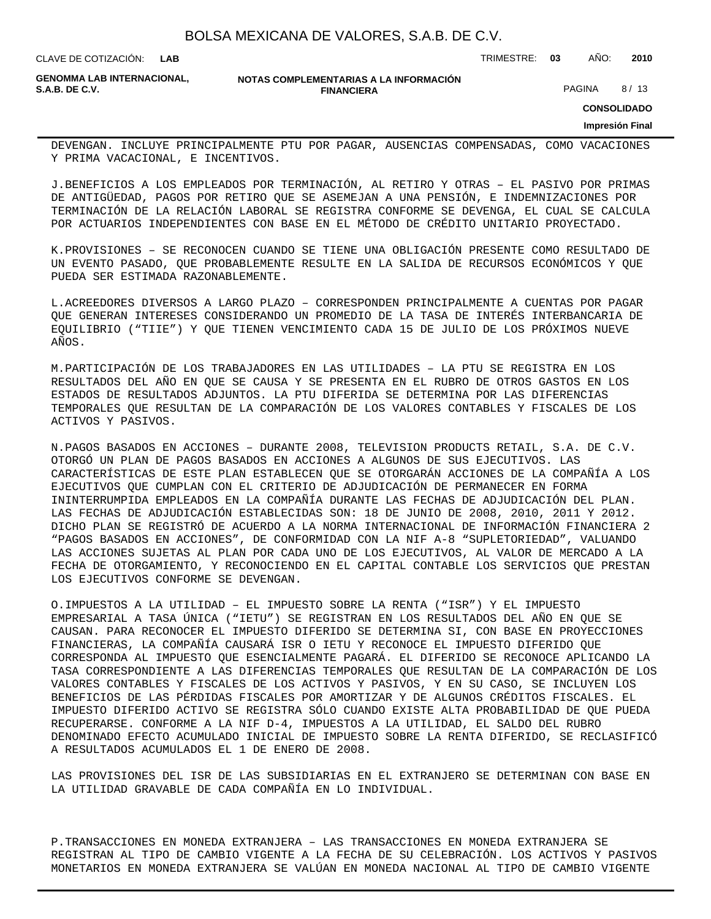CLAVE DE COTIZACIÓN: TRIMESTRE: **03** AÑO: **2010**

**GENOMMA LAB INTERNACIONAL,**

**NOTAS COMPLEMENTARIAS A LA INFORMACIÓN FINANCIERA S.A.B. DE C.V.** PAGINA 8 / 13

**CONSOLIDADO**

**Impresión Final**

DEVENGAN. INCLUYE PRINCIPALMENTE PTU POR PAGAR, AUSENCIAS COMPENSADAS, COMO VACACIONES Y PRIMA VACACIONAL, E INCENTIVOS.

J. BENEFICIOS A LOS EMPLEADOS POR TERMINACIÓN, AL RETIRO Y OTRAS – EL PASIVO POR PRIMAS DE ANTIGÜEDAD, PAGOS POR RETIRO QUE SE ASEMEJAN A UNA PENSIÓN, E INDEMNIZACIONES POR TERMINACIÓN DE LA RELACIÓN LABORAL SE REGISTRA CONFORME SE DEVENGA, EL CUAL SE CALCULA POR ACTUARIOS INDEPENDIENTES CON BASE EN EL MÉTODO DE CRÉDITO UNITARIO PROYECTADO.

K. PROVISIONES - SE RECONOCEN CUANDO SE TIENE UNA OBLIGACIÓN PRESENTE COMO RESULTADO DE UN EVENTO PASADO, QUE PROBABLEMENTE RESULTE EN LA SALIDA DE RECURSOS ECONÓMICOS Y QUE PUEDA SER ESTIMADA RAZONABLEMENTE.

L. ACREEDORES DIVERSOS A LARGO PLAZO – CORRESPONDEN PRINCIPALMENTE A CUENTAS POR PAGAR QUE GENERAN INTERESES CONSIDERANDO UN PROMEDIO DE LA TASA DE INTERÉS INTERBANCARIA DE EQUILIBRIO ("TIIE") Y QUE TIENEN VENCIMIENTO CADA 15 DE JULIO DE LOS PRÓXIMOS NUEVE AÑOS.

M. PARTICIPACIÓN DE LOS TRABAJADORES EN LAS UTILIDADES – LA PTU SE REGISTRA EN LOS RESULTADOS DEL AÑO EN QUE SE CAUSA Y SE PRESENTA EN EL RUBRO DE OTROS GASTOS EN LOS ESTADOS DE RESULTADOS ADJUNTOS. LA PTU DIFERIDA SE DETERMINA POR LAS DIFERENCIAS TEMPORALES QUE RESULTAN DE LA COMPARACIÓN DE LOS VALORES CONTABLES Y FISCALES DE LOS ACTIVOS Y PASIVOS.

N. PAGOS BASADOS EN ACCIONES – DURANTE 2008, TELEVISION PRODUCTS RETAIL, S.A. DE C.V. OTORGÓ UN PLAN DE PAGOS BASADOS EN ACCIONES A ALGUNOS DE SUS EJECUTIVOS. LAS CARACTERÍSTICAS DE ESTE PLAN ESTABLECEN QUE SE OTORGARÁN ACCIONES DE LA COMPAÑÍA A LOS EJECUTIVOS QUE CUMPLAN CON EL CRITERIO DE ADJUDICACIÓN DE PERMANECER EN FORMA ININTERRUMPIDA EMPLEADOS EN LA COMPAÑÍA DURANTE LAS FECHAS DE ADJUDICACIÓN DEL PLAN. LAS FECHAS DE ADJUDICACIÓN ESTABLECIDAS SON: 18 DE JUNIO DE 2008, 2010, 2011 Y 2012. DICHO PLAN SE REGISTRÓ DE ACUERDO A LA NORMA INTERNACIONAL DE INFORMACIÓN FINANCIERA 2 "PAGOS BASADOS EN ACCIONES", DE CONFORMIDAD CON LA NIF A-8 "SUPLETORIEDAD", VALUANDO LAS ACCIONES SUJETAS AL PLAN POR CADA UNO DE LOS EJECUTIVOS, AL VALOR DE MERCADO A LA FECHA DE OTORGAMIENTO, Y RECONOCIENDO EN EL CAPITAL CONTABLE LOS SERVICIOS QUE PRESTAN LOS EJECUTIVOS CONFORME SE DEVENGAN.

O. IMPUESTOS A LA UTILIDAD – EL IMPUESTO SOBRE LA RENTA ("ISR") Y EL IMPUESTO EMPRESARIAL A TASA ÚNICA ("IETU") SE REGISTRAN EN LOS RESULTADOS DEL AÑO EN QUE SE CAUSAN. PARA RECONOCER EL IMPUESTO DIFERIDO SE DETERMINA SI, CON BASE EN PROYECCIONES FINANCIERAS, LA COMPAÑÍA CAUSARÁ ISR O IETU Y RECONOCE EL IMPUESTO DIFERIDO QUE CORRESPONDA AL IMPUESTO QUE ESENCIALMENTE PAGARÁ. EL DIFERIDO SE RECONOCE APLICANDO LA TASA CORRESPONDIENTE A LAS DIFERENCIAS TEMPORALES QUE RESULTAN DE LA COMPARACIÓN DE LOS VALORES CONTABLES Y FISCALES DE LOS ACTIVOS Y PASIVOS, Y EN SU CASO, SE INCLUYEN LOS BENEFICIOS DE LAS PÉRDIDAS FISCALES POR AMORTIZAR Y DE ALGUNOS CRÉDITOS FISCALES. EL IMPUESTO DIFERIDO ACTIVO SE REGISTRA SÓLO CUANDO EXISTE ALTA PROBABILIDAD DE QUE PUEDA RECUPERARSE. CONFORME A LA NIF D-4, IMPUESTOS A LA UTILIDAD, EL SALDO DEL RUBRO DENOMINADO EFECTO ACUMULADO INICIAL DE IMPUESTO SOBRE LA RENTA DIFERIDO, SE RECLASIFICÓ A RESULTADOS ACUMULADOS EL 1 DE ENERO DE 2008.

LAS PROVISIONES DEL ISR DE LAS SUBSIDIARIAS EN EL EXTRANJERO SE DETERMINAN CON BASE EN LA UTILIDAD GRAVABLE DE CADA COMPAÑÍA EN LO INDIVIDUAL.

P. TRANSACCIONES EN MONEDA EXTRANJERA - LAS TRANSACCIONES EN MONEDA EXTRANJERA SE REGISTRAN AL TIPO DE CAMBIO VIGENTE A LA FECHA DE SU CELEBRACIÓN. LOS ACTIVOS Y PASIVOS MONETARIOS EN MONEDA EXTRANJERA SE VALÚAN EN MONEDA NACIONAL AL TIPO DE CAMBIO VIGENTE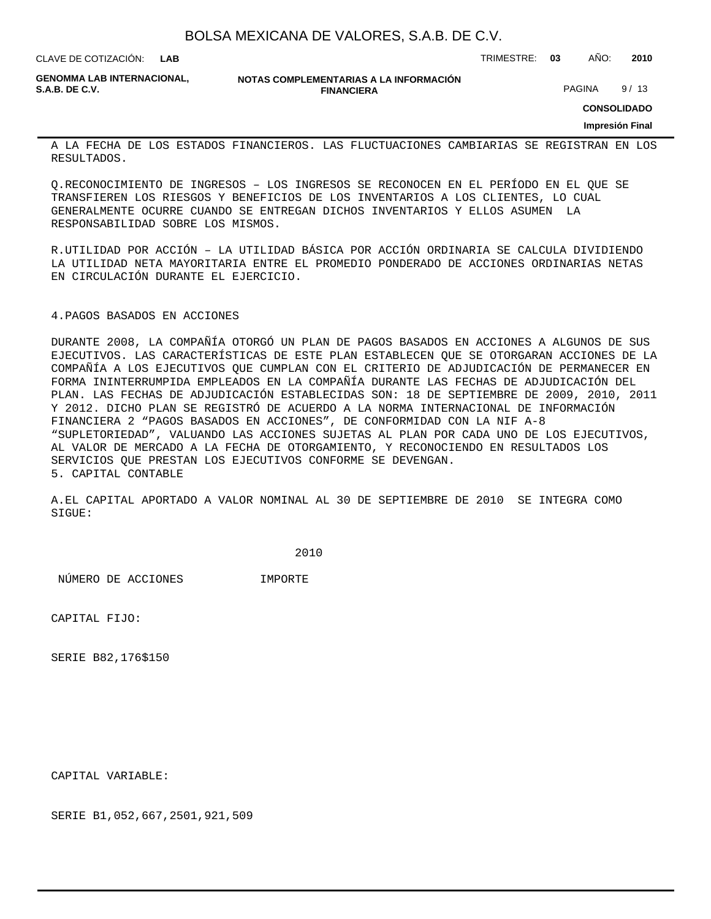| BOLSA MEXICANA DE VALORES, S.A.B. DE C.V. |  |  |  |
|-------------------------------------------|--|--|--|
|-------------------------------------------|--|--|--|

CLAVE DE COTIZACIÓN: TRIMESTRE: **03** AÑO: **2010 LAB**

**GENOMMA LAB INTERNACIONAL,**

**NOTAS COMPLEMENTARIAS A LA INFORMACIÓN FINANCIERA S.A.B. DE C.V.** PAGINA 9/13

**CONSOLIDADO**

**Impresión Final**

A LA FECHA DE LOS ESTADOS FINANCIEROS. LAS FLUCTUACIONES CAMBIARIAS SE REGISTRAN EN LOS RESULTADOS.

Q. RECONOCIMIENTO DE INGRESOS – LOS INGRESOS SE RECONOCEN EN EL PERÍODO EN EL QUE SE TRANSFIEREN LOS RIESGOS Y BENEFICIOS DE LOS INVENTARIOS A LOS CLIENTES, LO CUAL GENERALMENTE OCURRE CUANDO SE ENTREGAN DICHOS INVENTARIOS Y ELLOS ASUMEN LA RESPONSABILIDAD SOBRE LOS MISMOS.

R. UTILIDAD POR ACCIÓN – LA UTILIDAD BÁSICA POR ACCIÓN ORDINARIA SE CALCULA DIVIDIENDO LA UTILIDAD NETA MAYORITARIA ENTRE EL PROMEDIO PONDERADO DE ACCIONES ORDINARIAS NETAS EN CIRCULACIÓN DURANTE EL EJERCICIO.

#### 4. PAGOS BASADOS EN ACCIONES

DURANTE 2008, LA COMPAÑÍA OTORGÓ UN PLAN DE PAGOS BASADOS EN ACCIONES A ALGUNOS DE SUS EJECUTIVOS. LAS CARACTERÍSTICAS DE ESTE PLAN ESTABLECEN QUE SE OTORGARAN ACCIONES DE LA COMPAÑÍA A LOS EJECUTIVOS QUE CUMPLAN CON EL CRITERIO DE ADJUDICACIÓN DE PERMANECER EN FORMA ININTERRUMPIDA EMPLEADOS EN LA COMPAÑÍA DURANTE LAS FECHAS DE ADJUDICACIÓN DEL PLAN. LAS FECHAS DE ADJUDICACIÓN ESTABLECIDAS SON: 18 DE SEPTIEMBRE DE 2009, 2010, 2011 Y 2012. DICHO PLAN SE REGISTRÓ DE ACUERDO A LA NORMA INTERNACIONAL DE INFORMACIÓN FINANCIERA 2 "PAGOS BASADOS EN ACCIONES", DE CONFORMIDAD CON LA NIF A-8 "SUPLETORIEDAD", VALUANDO LAS ACCIONES SUJETAS AL PLAN POR CADA UNO DE LOS EJECUTIVOS, AL VALOR DE MERCADO A LA FECHA DE OTORGAMIENTO, Y RECONOCIENDO EN RESULTADOS LOS SERVICIOS QUE PRESTAN LOS EJECUTIVOS CONFORME SE DEVENGAN. 5. CAPITAL CONTABLE

A. EL CAPITAL APORTADO A VALOR NOMINAL AL 30 DE SEPTIEMBRE DE 2010 SE INTEGRA COMO SIGUE:

 2010

 NÚMERO DE ACCIONES IMPORTE

CAPITAL FIJO:

SERIE B 82,176 \$150

CAPITAL VARIABLE:

SERIE B 1,052,667,250 1,921,509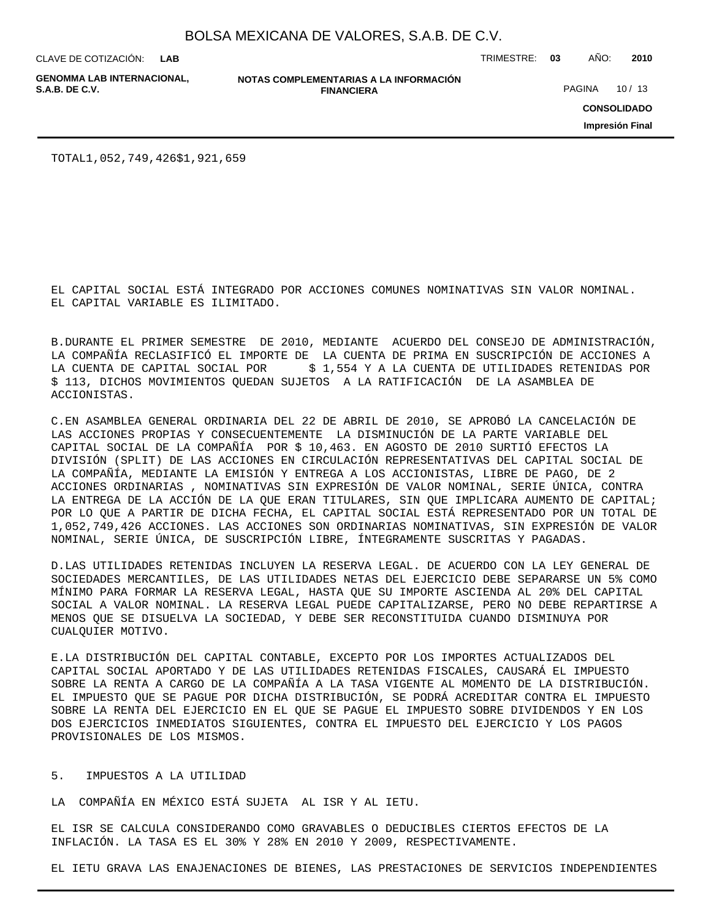**LAB**

**GENOMMA LAB INTERNACIONAL,**

**NOTAS COMPLEMENTARIAS A LA INFORMACIÓN FINANCIERA**

CLAVE DE COTIZACIÓN: TRIMESTRE: **03** AÑO: **2010**

PAGINA 10 / 13

**CONSOLIDADO**

**Impresión Final**

TOTAL 1,052,749,426 \$1,921,659

EL CAPITAL SOCIAL ESTÁ INTEGRADO POR ACCIONES COMUNES NOMINATIVAS SIN VALOR NOMINAL. EL CAPITAL VARIABLE ES ILIMITADO.

B. DURANTE EL PRIMER SEMESTRE DE 2010, MEDIANTE ACUERDO DEL CONSEJO DE ADMINISTRACIÓN, LA COMPAÑÍA RECLASIFICÓ EL IMPORTE DE LA CUENTA DE PRIMA EN SUSCRIPCIÓN DE ACCIONES A LA CUENTA DE CAPITAL SOCIAL POR \$ 1,554 Y A LA CUENTA DE UTILIDADES RETENIDAS POR \$ 113, DICHOS MOVIMIENTOS QUEDAN SUJETOS A LA RATIFICACIÓN DE LA ASAMBLEA DE ACCIONISTAS.

C. EN ASAMBLEA GENERAL ORDINARIA DEL 22 DE ABRIL DE 2010, SE APROBÓ LA CANCELACIÓN DE LAS ACCIONES PROPIAS Y CONSECUENTEMENTE LA DISMINUCIÓN DE LA PARTE VARIABLE DEL CAPITAL SOCIAL DE LA COMPAÑÍA POR \$ 10,463. EN AGOSTO DE 2010 SURTIÓ EFECTOS LA DIVISIÓN (SPLIT) DE LAS ACCIONES EN CIRCULACIÓN REPRESENTATIVAS DEL CAPITAL SOCIAL DE LA COMPAÑÍA, MEDIANTE LA EMISIÓN Y ENTREGA A LOS ACCIONISTAS, LIBRE DE PAGO, DE 2 ACCIONES ORDINARIAS , NOMINATIVAS SIN EXPRESIÓN DE VALOR NOMINAL, SERIE ÚNICA, CONTRA LA ENTREGA DE LA ACCIÓN DE LA QUE ERAN TITULARES, SIN QUE IMPLICARA AUMENTO DE CAPITAL; POR LO QUE A PARTIR DE DICHA FECHA, EL CAPITAL SOCIAL ESTÁ REPRESENTADO POR UN TOTAL DE 1,052,749,426 ACCIONES. LAS ACCIONES SON ORDINARIAS NOMINATIVAS, SIN EXPRESIÓN DE VALOR NOMINAL, SERIE ÚNICA, DE SUSCRIPCIÓN LIBRE, ÍNTEGRAMENTE SUSCRITAS Y PAGADAS.

D. LAS UTILIDADES RETENIDAS INCLUYEN LA RESERVA LEGAL. DE ACUERDO CON LA LEY GENERAL DE SOCIEDADES MERCANTILES, DE LAS UTILIDADES NETAS DEL EJERCICIO DEBE SEPARARSE UN 5% COMO MÍNIMO PARA FORMAR LA RESERVA LEGAL, HASTA QUE SU IMPORTE ASCIENDA AL 20% DEL CAPITAL SOCIAL A VALOR NOMINAL. LA RESERVA LEGAL PUEDE CAPITALIZARSE, PERO NO DEBE REPARTIRSE A MENOS QUE SE DISUELVA LA SOCIEDAD, Y DEBE SER RECONSTITUIDA CUANDO DISMINUYA POR CUALQUIER MOTIVO.

E. LA DISTRIBUCIÓN DEL CAPITAL CONTABLE, EXCEPTO POR LOS IMPORTES ACTUALIZADOS DEL CAPITAL SOCIAL APORTADO Y DE LAS UTILIDADES RETENIDAS FISCALES, CAUSARÁ EL IMPUESTO SOBRE LA RENTA A CARGO DE LA COMPAÑÍA A LA TASA VIGENTE AL MOMENTO DE LA DISTRIBUCIÓN. EL IMPUESTO QUE SE PAGUE POR DICHA DISTRIBUCIÓN, SE PODRÁ ACREDITAR CONTRA EL IMPUESTO SOBRE LA RENTA DEL EJERCICIO EN EL QUE SE PAGUE EL IMPUESTO SOBRE DIVIDENDOS Y EN LOS DOS EJERCICIOS INMEDIATOS SIGUIENTES, CONTRA EL IMPUESTO DEL EJERCICIO Y LOS PAGOS PROVISIONALES DE LOS MISMOS.

### 5. IMPUESTOS A LA UTILIDAD

LA COMPAÑÍA EN MÉXICO ESTÁ SUJETA AL ISR Y AL IETU.

EL ISR SE CALCULA CONSIDERANDO COMO GRAVABLES O DEDUCIBLES CIERTOS EFECTOS DE LA INFLACIÓN. LA TASA ES EL 30% Y 28% EN 2010 Y 2009, RESPECTIVAMENTE.

EL IETU GRAVA LAS ENAJENACIONES DE BIENES, LAS PRESTACIONES DE SERVICIOS INDEPENDIENTES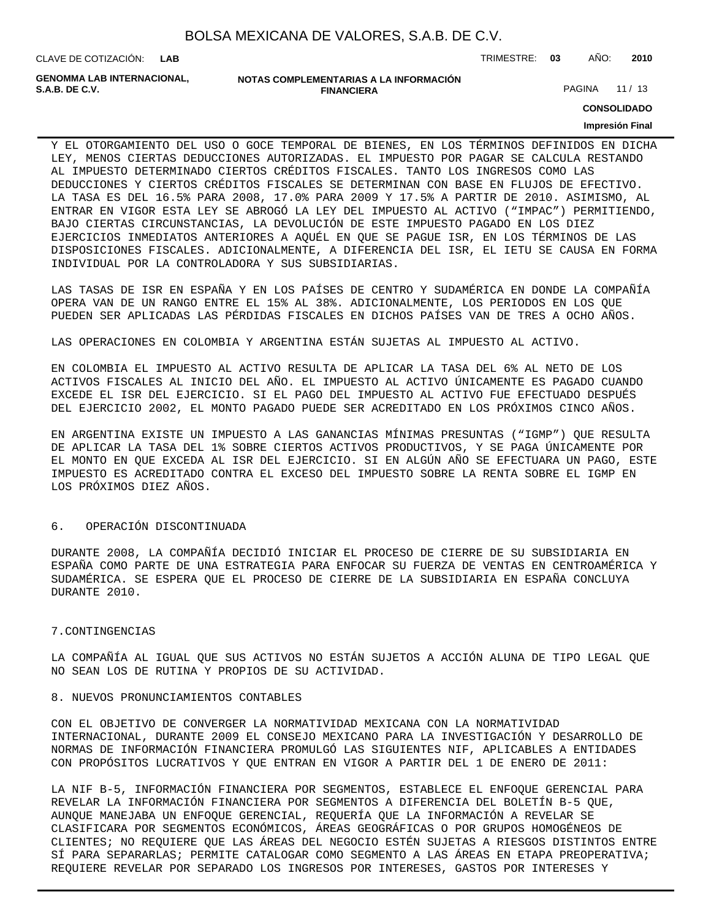CLAVE DE COTIZACIÓN: TRIMESTRE: **03** AÑO: **2010 LAB**

**GENOMMA LAB INTERNACIONAL,**

```
NOTAS COMPLEMENTARIAS A LA INFORMACIÓN
   FINANCIERA
```
PAGINA 11 / 13

**CONSOLIDADO**

#### **Impresión Final**

Y EL OTORGAMIENTO DEL USO O GOCE TEMPORAL DE BIENES, EN LOS TÉRMINOS DEFINIDOS EN DICHA LEY, MENOS CIERTAS DEDUCCIONES AUTORIZADAS. EL IMPUESTO POR PAGAR SE CALCULA RESTANDO AL IMPUESTO DETERMINADO CIERTOS CRÉDITOS FISCALES. TANTO LOS INGRESOS COMO LAS DEDUCCIONES Y CIERTOS CRÉDITOS FISCALES SE DETERMINAN CON BASE EN FLUJOS DE EFECTIVO. LA TASA ES DEL 16.5% PARA 2008, 17.0% PARA 2009 Y 17.5% A PARTIR DE 2010. ASIMISMO, AL ENTRAR EN VIGOR ESTA LEY SE ABROGÓ LA LEY DEL IMPUESTO AL ACTIVO ("IMPAC") PERMITIENDO, BAJO CIERTAS CIRCUNSTANCIAS, LA DEVOLUCIÓN DE ESTE IMPUESTO PAGADO EN LOS DIEZ EJERCICIOS INMEDIATOS ANTERIORES A AQUÉL EN QUE SE PAGUE ISR, EN LOS TÉRMINOS DE LAS DISPOSICIONES FISCALES. ADICIONALMENTE, A DIFERENCIA DEL ISR, EL IETU SE CAUSA EN FORMA INDIVIDUAL POR LA CONTROLADORA Y SUS SUBSIDIARIAS.

LAS TASAS DE ISR EN ESPAÑA Y EN LOS PAÍSES DE CENTRO Y SUDAMÉRICA EN DONDE LA COMPAÑÍA OPERA VAN DE UN RANGO ENTRE EL 15% AL 38%. ADICIONALMENTE, LOS PERIODOS EN LOS QUE PUEDEN SER APLICADAS LAS PÉRDIDAS FISCALES EN DICHOS PAÍSES VAN DE TRES A OCHO AÑOS.

LAS OPERACIONES EN COLOMBIA Y ARGENTINA ESTÁN SUJETAS AL IMPUESTO AL ACTIVO.

EN COLOMBIA EL IMPUESTO AL ACTIVO RESULTA DE APLICAR LA TASA DEL 6% AL NETO DE LOS ACTIVOS FISCALES AL INICIO DEL AÑO. EL IMPUESTO AL ACTIVO ÚNICAMENTE ES PAGADO CUANDO EXCEDE EL ISR DEL EJERCICIO. SI EL PAGO DEL IMPUESTO AL ACTIVO FUE EFECTUADO DESPUÉS DEL EJERCICIO 2002, EL MONTO PAGADO PUEDE SER ACREDITADO EN LOS PRÓXIMOS CINCO AÑOS.

EN ARGENTINA EXISTE UN IMPUESTO A LAS GANANCIAS MÍNIMAS PRESUNTAS ("IGMP") QUE RESULTA DE APLICAR LA TASA DEL 1% SOBRE CIERTOS ACTIVOS PRODUCTIVOS, Y SE PAGA ÚNICAMENTE POR EL MONTO EN QUE EXCEDA AL ISR DEL EJERCICIO. SI EN ALGÚN AÑO SE EFECTUARA UN PAGO, ESTE IMPUESTO ES ACREDITADO CONTRA EL EXCESO DEL IMPUESTO SOBRE LA RENTA SOBRE EL IGMP EN LOS PRÓXIMOS DIEZ AÑOS.

### 6. OPERACIÓN DISCONTINUADA

DURANTE 2008, LA COMPAÑÍA DECIDIÓ INICIAR EL PROCESO DE CIERRE DE SU SUBSIDIARIA EN ESPAÑA COMO PARTE DE UNA ESTRATEGIA PARA ENFOCAR SU FUERZA DE VENTAS EN CENTROAMÉRICA Y SUDAMÉRICA. SE ESPERA QUE EL PROCESO DE CIERRE DE LA SUBSIDIARIA EN ESPAÑA CONCLUYA DURANTE 2010.

#### 7. CONTINGENCIAS

LA COMPAÑÍA AL IGUAL QUE SUS ACTIVOS NO ESTÁN SUJETOS A ACCIÓN ALUNA DE TIPO LEGAL QUE NO SEAN LOS DE RUTINA Y PROPIOS DE SU ACTIVIDAD.

### 8. NUEVOS PRONUNCIAMIENTOS CONTABLES

CON EL OBJETIVO DE CONVERGER LA NORMATIVIDAD MEXICANA CON LA NORMATIVIDAD INTERNACIONAL, DURANTE 2009 EL CONSEJO MEXICANO PARA LA INVESTIGACIÓN Y DESARROLLO DE NORMAS DE INFORMACIÓN FINANCIERA PROMULGÓ LAS SIGUIENTES NIF, APLICABLES A ENTIDADES CON PROPÓSITOS LUCRATIVOS Y QUE ENTRAN EN VIGOR A PARTIR DEL 1 DE ENERO DE 2011:

LA NIF B-5, INFORMACIÓN FINANCIERA POR SEGMENTOS, ESTABLECE EL ENFOQUE GERENCIAL PARA REVELAR LA INFORMACIÓN FINANCIERA POR SEGMENTOS A DIFERENCIA DEL BOLETÍN B-5 QUE, AUNQUE MANEJABA UN ENFOQUE GERENCIAL, REQUERÍA QUE LA INFORMACIÓN A REVELAR SE CLASIFICARA POR SEGMENTOS ECONÓMICOS, ÁREAS GEOGRÁFICAS O POR GRUPOS HOMOGÉNEOS DE CLIENTES; NO REQUIERE QUE LAS ÁREAS DEL NEGOCIO ESTÉN SUJETAS A RIESGOS DISTINTOS ENTRE SÍ PARA SEPARARLAS; PERMITE CATALOGAR COMO SEGMENTO A LAS ÁREAS EN ETAPA PREOPERATIVA; REQUIERE REVELAR POR SEPARADO LOS INGRESOS POR INTERESES, GASTOS POR INTERESES Y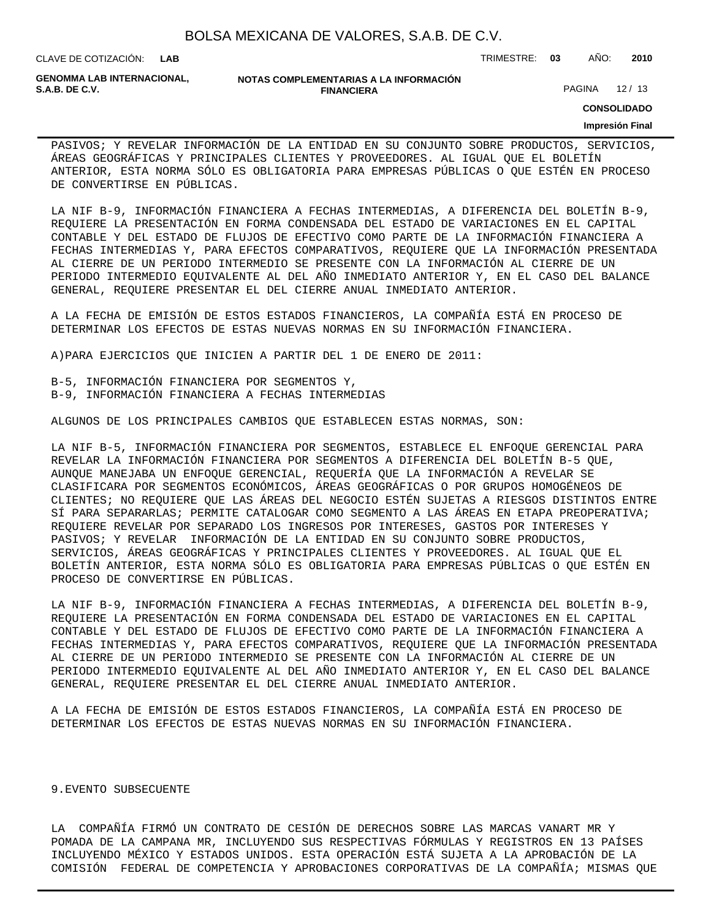CLAVE DE COTIZACIÓN: TRIMESTRE: **03** AÑO: **2010**

**GENOMMA LAB INTERNACIONAL,**

#### **NOTAS COMPLEMENTARIAS A LA INFORMACIÓN FINANCIERA**

PAGINA 12 / 13

**CONSOLIDADO**

#### **Impresión Final**

PASIVOS; Y REVELAR INFORMACIÓN DE LA ENTIDAD EN SU CONJUNTO SOBRE PRODUCTOS, SERVICIOS, ÁREAS GEOGRÁFICAS Y PRINCIPALES CLIENTES Y PROVEEDORES. AL IGUAL QUE EL BOLETÍN ANTERIOR, ESTA NORMA SÓLO ES OBLIGATORIA PARA EMPRESAS PÚBLICAS O QUE ESTÉN EN PROCESO DE CONVERTIRSE EN PÚBLICAS.

LA NIF B-9, INFORMACIÓN FINANCIERA A FECHAS INTERMEDIAS, A DIFERENCIA DEL BOLETÍN B-9, REQUIERE LA PRESENTACIÓN EN FORMA CONDENSADA DEL ESTADO DE VARIACIONES EN EL CAPITAL CONTABLE Y DEL ESTADO DE FLUJOS DE EFECTIVO COMO PARTE DE LA INFORMACIÓN FINANCIERA A FECHAS INTERMEDIAS Y, PARA EFECTOS COMPARATIVOS, REQUIERE QUE LA INFORMACIÓN PRESENTADA AL CIERRE DE UN PERIODO INTERMEDIO SE PRESENTE CON LA INFORMACIÓN AL CIERRE DE UN PERIODO INTERMEDIO EQUIVALENTE AL DEL AÑO INMEDIATO ANTERIOR Y, EN EL CASO DEL BALANCE GENERAL, REQUIERE PRESENTAR EL DEL CIERRE ANUAL INMEDIATO ANTERIOR.

A LA FECHA DE EMISIÓN DE ESTOS ESTADOS FINANCIEROS, LA COMPAÑÍA ESTÁ EN PROCESO DE DETERMINAR LOS EFECTOS DE ESTAS NUEVAS NORMAS EN SU INFORMACIÓN FINANCIERA.

A) PARA EJERCICIOS QUE INICIEN A PARTIR DEL 1 DE ENERO DE 2011:

B-5, INFORMACIÓN FINANCIERA POR SEGMENTOS Y, B-9, INFORMACIÓN FINANCIERA A FECHAS INTERMEDIAS

ALGUNOS DE LOS PRINCIPALES CAMBIOS QUE ESTABLECEN ESTAS NORMAS, SON:

LA NIF B-5, INFORMACIÓN FINANCIERA POR SEGMENTOS, ESTABLECE EL ENFOQUE GERENCIAL PARA REVELAR LA INFORMACIÓN FINANCIERA POR SEGMENTOS A DIFERENCIA DEL BOLETÍN B-5 QUE, AUNQUE MANEJABA UN ENFOQUE GERENCIAL, REQUERÍA QUE LA INFORMACIÓN A REVELAR SE CLASIFICARA POR SEGMENTOS ECONÓMICOS, ÁREAS GEOGRÁFICAS O POR GRUPOS HOMOGÉNEOS DE CLIENTES; NO REQUIERE QUE LAS ÁREAS DEL NEGOCIO ESTÉN SUJETAS A RIESGOS DISTINTOS ENTRE SÍ PARA SEPARARLAS; PERMITE CATALOGAR COMO SEGMENTO A LAS ÁREAS EN ETAPA PREOPERATIVA; REQUIERE REVELAR POR SEPARADO LOS INGRESOS POR INTERESES, GASTOS POR INTERESES Y PASIVOS; Y REVELAR INFORMACIÓN DE LA ENTIDAD EN SU CONJUNTO SOBRE PRODUCTOS, SERVICIOS, ÁREAS GEOGRÁFICAS Y PRINCIPALES CLIENTES Y PROVEEDORES. AL IGUAL QUE EL BOLETÍN ANTERIOR, ESTA NORMA SÓLO ES OBLIGATORIA PARA EMPRESAS PÚBLICAS O QUE ESTÉN EN PROCESO DE CONVERTIRSE EN PÚBLICAS.

LA NIF B-9, INFORMACIÓN FINANCIERA A FECHAS INTERMEDIAS, A DIFERENCIA DEL BOLETÍN B-9, REQUIERE LA PRESENTACIÓN EN FORMA CONDENSADA DEL ESTADO DE VARIACIONES EN EL CAPITAL CONTABLE Y DEL ESTADO DE FLUJOS DE EFECTIVO COMO PARTE DE LA INFORMACIÓN FINANCIERA A FECHAS INTERMEDIAS Y, PARA EFECTOS COMPARATIVOS, REQUIERE QUE LA INFORMACIÓN PRESENTADA AL CIERRE DE UN PERIODO INTERMEDIO SE PRESENTE CON LA INFORMACIÓN AL CIERRE DE UN PERIODO INTERMEDIO EQUIVALENTE AL DEL AÑO INMEDIATO ANTERIOR Y, EN EL CASO DEL BALANCE GENERAL, REQUIERE PRESENTAR EL DEL CIERRE ANUAL INMEDIATO ANTERIOR.

A LA FECHA DE EMISIÓN DE ESTOS ESTADOS FINANCIEROS, LA COMPAÑÍA ESTÁ EN PROCESO DE DETERMINAR LOS EFECTOS DE ESTAS NUEVAS NORMAS EN SU INFORMACIÓN FINANCIERA.

#### 9. EVENTO SUBSECUENTE

LA COMPAÑÍA FIRMÓ UN CONTRATO DE CESIÓN DE DERECHOS SOBRE LAS MARCAS VANART MR Y POMADA DE LA CAMPANA MR, INCLUYENDO SUS RESPECTIVAS FÓRMULAS Y REGISTROS EN 13 PAÍSES INCLUYENDO MÉXICO Y ESTADOS UNIDOS. ESTA OPERACIÓN ESTÁ SUJETA A LA APROBACIÓN DE LA COMISIÓN FEDERAL DE COMPETENCIA Y APROBACIONES CORPORATIVAS DE LA COMPAÑÍA; MISMAS QUE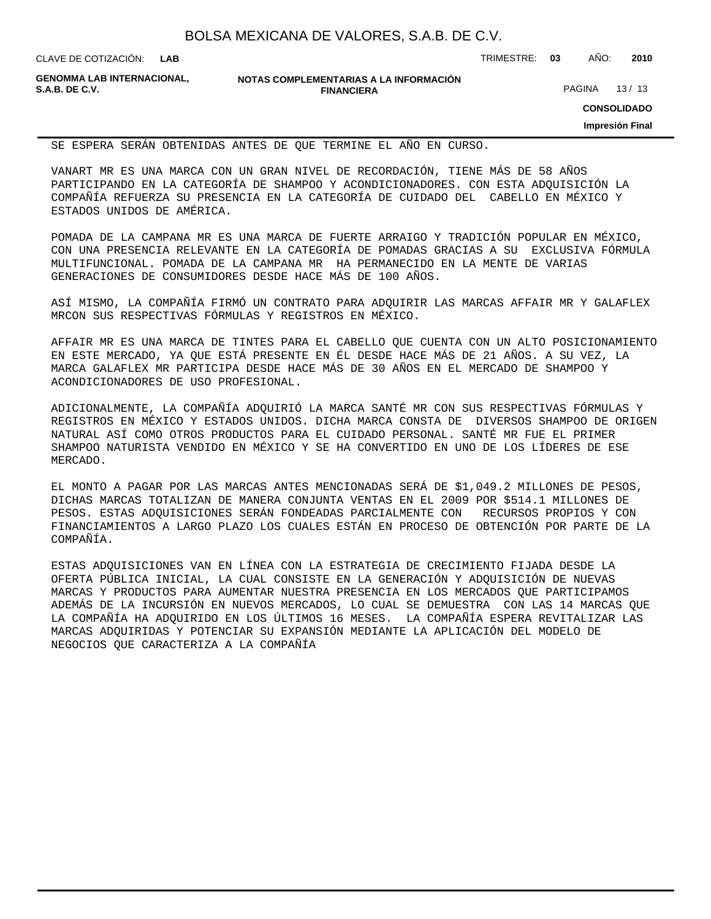CLAVE DE COTIZACIÓN: TRIMESTRE: **03** AÑO: **2010**

**GENOMMA LAB INTERNACIONAL,**

**NOTAS COMPLEMENTARIAS A LA INFORMACIÓN FINANCIERA**

PAGINA 13/13

**CONSOLIDADO**

**Impresión Final**

SE ESPERA SERÁN OBTENIDAS ANTES DE QUE TERMINE EL AÑO EN CURSO.

VANART MR ES UNA MARCA CON UN GRAN NIVEL DE RECORDACIÓN, TIENE MÁS DE 58 AÑOS PARTICIPANDO EN LA CATEGORÍA DE SHAMPOO Y ACONDICIONADORES. CON ESTA ADQUISICIÓN LA COMPAÑÍA REFUERZA SU PRESENCIA EN LA CATEGORÍA DE CUIDADO DEL CABELLO EN MÉXICO Y ESTADOS UNIDOS DE AMÉRICA.

POMADA DE LA CAMPANA MR ES UNA MARCA DE FUERTE ARRAIGO Y TRADICIÓN POPULAR EN MÉXICO, CON UNA PRESENCIA RELEVANTE EN LA CATEGORÍA DE POMADAS GRACIAS A SU EXCLUSIVA FÓRMULA MULTIFUNCIONAL. POMADA DE LA CAMPANA MR HA PERMANECIDO EN LA MENTE DE VARIAS GENERACIONES DE CONSUMIDORES DESDE HACE MÁS DE 100 AÑOS.

ASÍ MISMO, LA COMPAÑÍA FIRMÓ UN CONTRATO PARA ADQUIRIR LAS MARCAS AFFAIR MR Y GALAFLEX MRCON SUS RESPECTIVAS FÓRMULAS Y REGISTROS EN MÉXICO.

AFFAIR MR ES UNA MARCA DE TINTES PARA EL CABELLO QUE CUENTA CON UN ALTO POSICIONAMIENTO EN ESTE MERCADO, YA QUE ESTÁ PRESENTE EN ÉL DESDE HACE MÁS DE 21 AÑOS. A SU VEZ, LA MARCA GALAFLEX MR PARTICIPA DESDE HACE MÁS DE 30 AÑOS EN EL MERCADO DE SHAMPOO Y ACONDICIONADORES DE USO PROFESIONAL.

ADICIONALMENTE, LA COMPAÑÍA ADQUIRIÓ LA MARCA SANTÉ MR CON SUS RESPECTIVAS FÓRMULAS Y REGISTROS EN MÉXICO Y ESTADOS UNIDOS. DICHA MARCA CONSTA DE DIVERSOS SHAMPOO DE ORIGEN NATURAL ASÍ COMO OTROS PRODUCTOS PARA EL CUIDADO PERSONAL. SANTÉ MR FUE EL PRIMER SHAMPOO NATURISTA VENDIDO EN MÉXICO Y SE HA CONVERTIDO EN UNO DE LOS LÍDERES DE ESE MERCADO.

EL MONTO A PAGAR POR LAS MARCAS ANTES MENCIONADAS SERÁ DE \$1,049.2 MILLONES DE PESOS, DICHAS MARCAS TOTALIZAN DE MANERA CONJUNTA VENTAS EN EL 2009 POR \$514.1 MILLONES DE PESOS. ESTAS ADQUISICIONES SERÁN FONDEADAS PARCIALMENTE CON RECURSOS PROPIOS Y CON FINANCIAMIENTOS A LARGO PLAZO LOS CUALES ESTÁN EN PROCESO DE OBTENCIÓN POR PARTE DE LA COMPAÑÍA.

ESTAS ADQUISICIONES VAN EN LÍNEA CON LA ESTRATEGIA DE CRECIMIENTO FIJADA DESDE LA OFERTA PÚBLICA INICIAL, LA CUAL CONSISTE EN LA GENERACIÓN Y ADQUISICIÓN DE NUEVAS MARCAS Y PRODUCTOS PARA AUMENTAR NUESTRA PRESENCIA EN LOS MERCADOS QUE PARTICIPAMOS ADEMÁS DE LA INCURSIÓN EN NUEVOS MERCADOS, LO CUAL SE DEMUESTRA CON LAS 14 MARCAS QUE LA COMPAÑÍA HA ADQUIRIDO EN LOS ÚLTIMOS 16 MESES. LA COMPAÑÍA ESPERA REVITALIZAR LAS MARCAS ADQUIRIDAS Y POTENCIAR SU EXPANSIÓN MEDIANTE LA APLICACIÓN DEL MODELO DE NEGOCIOS QUE CARACTERIZA A LA COMPAÑÍA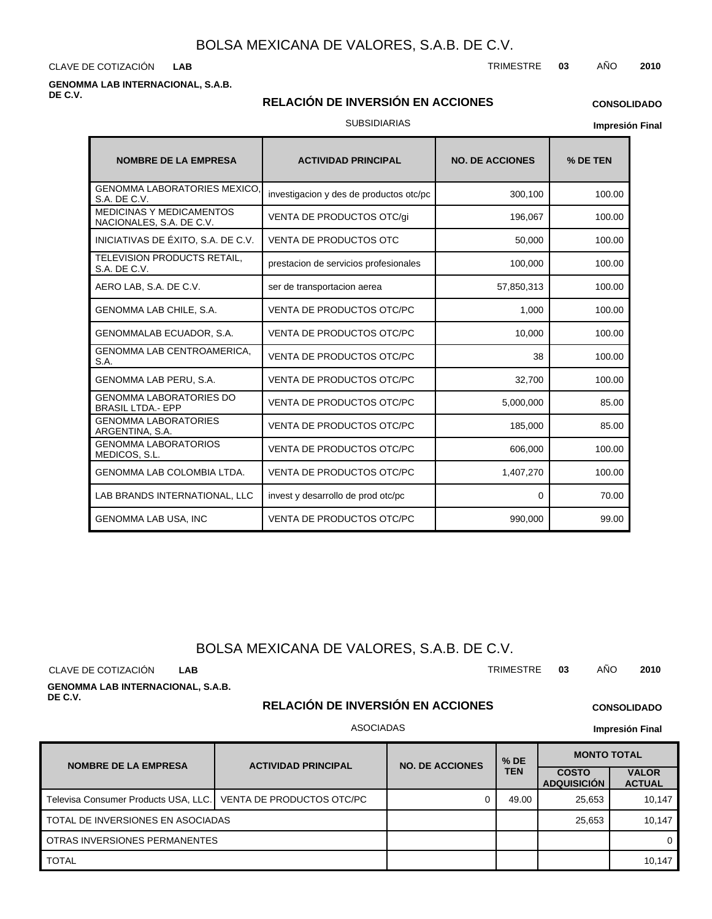CLAVE DE COTIZACIÓN TRIMESTRE **03** AÑO **2010 LAB**

### **GENOMMA LAB INTERNACIONAL, S.A.B. DE C.V.**

### **RELACIÓN DE INVERSIÓN EN ACCIONES**

### **CONSOLIDADO**

SUBSIDIARIAS

**Impresión Final**

| <b>NOMBRE DE LA EMPRESA</b>                                 | <b>ACTIVIDAD PRINCIPAL</b>              | <b>NO. DE ACCIONES</b> | % DE TEN |
|-------------------------------------------------------------|-----------------------------------------|------------------------|----------|
| <b>GENOMMA LABORATORIES MEXICO.</b><br>S.A. DE C.V.         | investigacion y des de productos otc/pc | 300,100                | 100.00   |
| <b>MEDICINAS Y MEDICAMENTOS</b><br>NACIONALES, S.A. DE C.V. | VENTA DE PRODUCTOS OTC/gi               | 196,067                | 100.00   |
| INICIATIVAS DE ÉXITO, S.A. DE C.V.                          | <b>VENTA DE PRODUCTOS OTC</b>           | 50,000                 | 100.00   |
| TELEVISION PRODUCTS RETAIL,<br>S.A. DE C.V.                 | prestacion de servicios profesionales   | 100,000                | 100.00   |
| AERO LAB, S.A. DE C.V.                                      | ser de transportacion aerea             | 57,850,313             | 100.00   |
| GENOMMA LAB CHILE, S.A.                                     | <b>VENTA DE PRODUCTOS OTC/PC</b>        | 1.000                  | 100.00   |
| GENOMMALAB ECUADOR, S.A.                                    | VENTA DE PRODUCTOS OTC/PC               | 10,000                 | 100.00   |
| GENOMMA LAB CENTROAMERICA,<br>S.A.                          | <b>VENTA DE PRODUCTOS OTC/PC</b>        | 38                     | 100.00   |
| GENOMMA LAB PERU, S.A.                                      | <b>VENTA DE PRODUCTOS OTC/PC</b>        | 32,700                 | 100.00   |
| <b>GENOMMA LABORATORIES DO</b><br><b>BRASIL LTDA.- EPP</b>  | <b>VENTA DE PRODUCTOS OTC/PC</b>        | 5,000,000              | 85.00    |
| <b>GENOMMA LABORATORIES</b><br>ARGENTINA, S.A.              | VENTA DE PRODUCTOS OTC/PC               | 185,000                | 85.00    |
| <b>GENOMMA LABORATORIOS</b><br>MEDICOS, S.L.                | VENTA DE PRODUCTOS OTC/PC               | 606,000                | 100.00   |
| <b>GENOMMA LAB COLOMBIA LTDA.</b>                           | <b>VENTA DE PRODUCTOS OTC/PC</b>        | 1,407,270              | 100.00   |
| LAB BRANDS INTERNATIONAL, LLC                               | invest y desarrollo de prod otc/pc      | 0                      | 70.00    |
| <b>GENOMMA LAB USA, INC</b>                                 | <b>VENTA DE PRODUCTOS OTC/PC</b>        | 990,000                | 99.00    |

# BOLSA MEXICANA DE VALORES, S.A.B. DE C.V.

CLAVE DE COTIZACIÓN TRIMESTRE **03** AÑO **2010 LAB**

**GENOMMA LAB INTERNACIONAL, S.A.B. DE C.V.**

# **RELACIÓN DE INVERSIÓN EN ACCIONES**

### ASOCIADAS

**NOMBRE DE LA EMPRESA | ACTIVIDAD PRINCIPAL COSTO ADQUISICIÓN VALOR ACTUAL MONTO TOTAL**<br>TEN COSTO I VAL **TEN NO. DE ACCIONES** Televisa Consumer Products USA, LLC. | VENTA DE PRODUCTOS OTC/PC | 0 49.00 | 49.00 25,653 | 10,147 TOTAL 10,147 OTRAS INVERSIONES PERMANENTES TOTAL DE INVERSIONES EN ASOCIADAS 25,653 10,147 0

**CONSOLIDADO Impresión Final**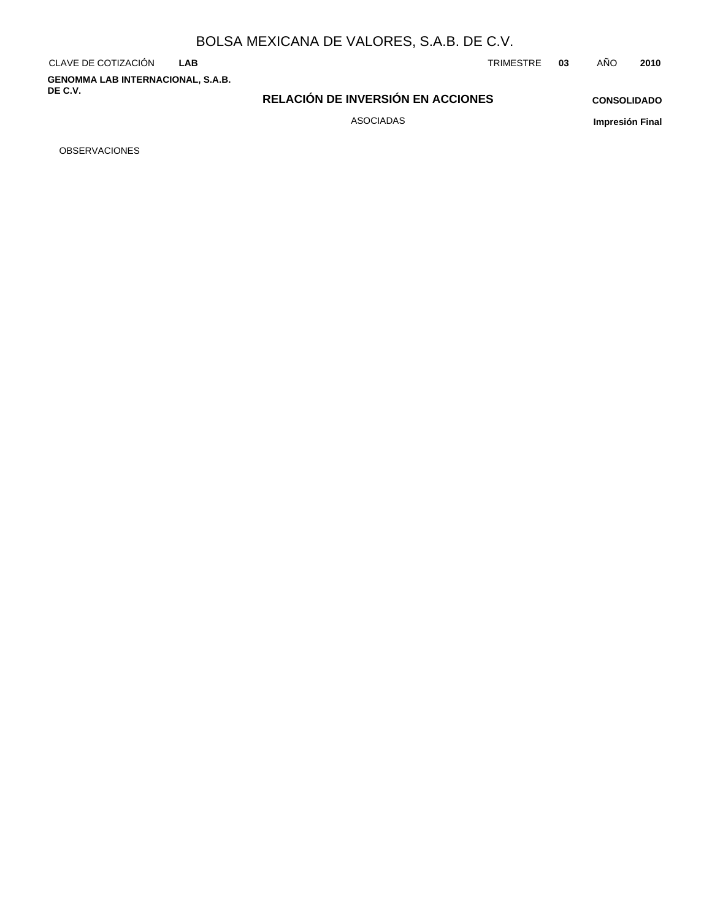**GENOMMA LAB INTERNACIONAL, S.A.B. DE C.V.**

CLAVE DE COTIZACIÓN TRIMESTRE **03** AÑO **2010**

**RELACIÓN DE INVERSIÓN EN ACCIONES**

**CONSOLIDADO**

ASOCIADAS

**Impresión Final**

OBSERVACIONES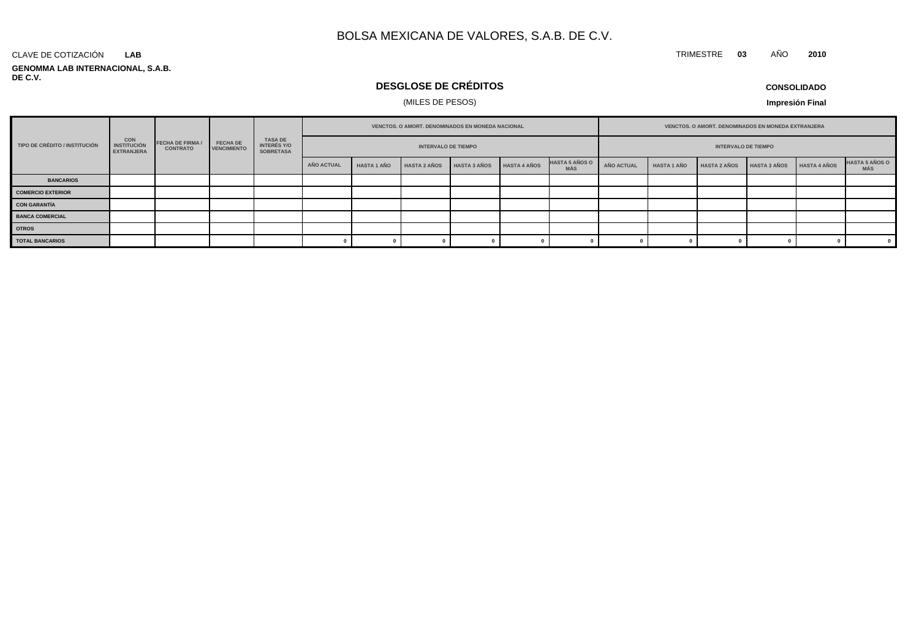#### **GENOMMA LAB INTERNACIONAL, S.A.B. DE C.V.** CLAVE DE COTIZACIÓN **LAB**

# **DESGLOSE DE CRÉDITOS**

## (MILES DE PESOS)

**Impresión Final**

| TIPO DE CRÉDITO / INSTITUCIÓN | <b>CON</b><br><b>INSTITUCIÓN</b><br><b>EXTRANJERA</b> |                                            |                                       | TASA DE<br>INTERÉS Y/O<br><b>SOBRETASA</b> | VENCTOS. O AMORT. DENOMINADOS EN MONEDA NACIONAL |                    |                     |                     |                     | VENCTOS. O AMORT. DENOMINADOS EN MONEDA EXTRANJERA |                            |                    |                     |                     |                     |                              |
|-------------------------------|-------------------------------------------------------|--------------------------------------------|---------------------------------------|--------------------------------------------|--------------------------------------------------|--------------------|---------------------|---------------------|---------------------|----------------------------------------------------|----------------------------|--------------------|---------------------|---------------------|---------------------|------------------------------|
|                               |                                                       | <b>FECHA DE FIRMA /</b><br><b>CONTRATO</b> | <b>FECHA DE</b><br><b>VENCIMIENTO</b> |                                            | <b>INTERVALO DE TIEMPO</b>                       |                    |                     |                     |                     |                                                    | <b>INTERVALO DE TIEMPO</b> |                    |                     |                     |                     |                              |
|                               |                                                       |                                            |                                       |                                            | <b>AÑO ACTUAL</b>                                | <b>HASTA 1 AÑO</b> | <b>HASTA 2 AÑOS</b> | <b>HASTA 3 AÑOS</b> | <b>HASTA 4 AÑOS</b> | <b>HASTA 5 AÑOS O</b><br><b>MÁS</b>                | AÑO ACTUAL                 | <b>HASTA 1 AÑO</b> | <b>HASTA 2 AÑOS</b> | <b>HASTA 3 AÑOS</b> | <b>HASTA 4 AÑOS</b> | <b>HASTA 5 AÑOS O</b><br>MÁS |
| <b>BANCARIOS</b>              |                                                       |                                            |                                       |                                            |                                                  |                    |                     |                     |                     |                                                    |                            |                    |                     |                     |                     |                              |
| <b>COMERCIO EXTERIOR</b>      |                                                       |                                            |                                       |                                            |                                                  |                    |                     |                     |                     |                                                    |                            |                    |                     |                     |                     |                              |
| <b>CON GARANTÍA</b>           |                                                       |                                            |                                       |                                            |                                                  |                    |                     |                     |                     |                                                    |                            |                    |                     |                     |                     |                              |
| <b>BANCA COMERCIAL</b>        |                                                       |                                            |                                       |                                            |                                                  |                    |                     |                     |                     |                                                    |                            |                    |                     |                     |                     |                              |
| <b>OTROS</b>                  |                                                       |                                            |                                       |                                            |                                                  |                    |                     |                     |                     |                                                    |                            |                    |                     |                     |                     |                              |
| <b>TOTAL BANCARIOS</b>        |                                                       |                                            |                                       |                                            |                                                  |                    |                     |                     |                     |                                                    |                            |                    |                     |                     |                     | $\overline{\mathbf{0}}$      |

### **CONSOLIDADO**

TRIMESTRE **03** AÑO **2010**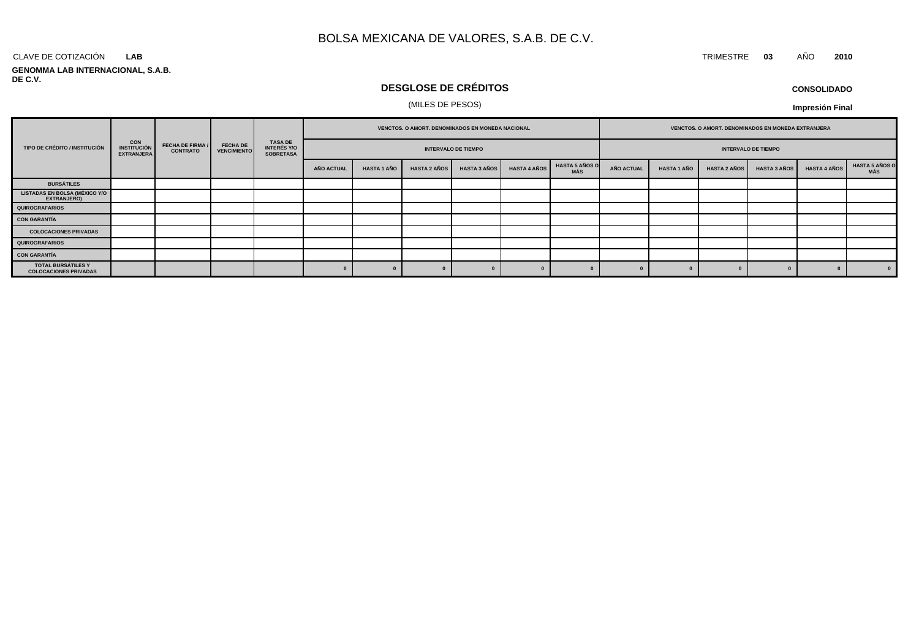#### CLAVE DE COTIZACIÓN TRIMESTRE **03** AÑO **2010 LAB**

#### **GENOMMA LAB INTERNACIONAL, S.A.B. DE C.V.**

# **DESGLOSE DE CRÉDITOS**

### (MILES DE PESOS)

| <b>CONSOLIDADO</b> |  |
|--------------------|--|
|--------------------|--|

|                                                     |                                                 |                                            |                                       | TASA DE<br>INTERÉS Y/O<br><b>SOBRETASA</b> | VENCTOS. O AMORT. DENOMINADOS EN MONEDA NACIONAL |                    |                     |                     |                     | VENCTOS. O AMORT. DENOMINADOS EN MONEDA EXTRANJERA |                            |                    |                     |                     |                     |                               |
|-----------------------------------------------------|-------------------------------------------------|--------------------------------------------|---------------------------------------|--------------------------------------------|--------------------------------------------------|--------------------|---------------------|---------------------|---------------------|----------------------------------------------------|----------------------------|--------------------|---------------------|---------------------|---------------------|-------------------------------|
| TIPO DE CRÉDITO / INSTITUCIÓN                       | <b>CON<br/>INSTITUCIÓN</b><br><b>EXTRANJERA</b> | <b>FECHA DE FIRMA /</b><br><b>CONTRATO</b> | <b>FECHA DE</b><br><b>VENCIMIENTO</b> |                                            | <b>INTERVALO DE TIEMPO</b>                       |                    |                     |                     |                     |                                                    | <b>INTERVALO DE TIEMPO</b> |                    |                     |                     |                     |                               |
|                                                     |                                                 |                                            |                                       |                                            | <b>AÑO ACTUAL</b>                                | <b>HASTA 1 AÑO</b> | <b>HASTA 2 AÑOS</b> | <b>HASTA 3 AÑOS</b> | <b>HASTA 4 AÑOS</b> | <b>HASTA 5 AÑOS O</b><br>MÁS                       | AÑO ACTUAL                 | <b>HASTA 1 AÑO</b> | <b>HASTA 2 AÑOS</b> | <b>HASTA 3 AÑOS</b> | <b>HASTA 4 AÑOS</b> | <b>HASTA 5 AÑOS O<br/>MÁS</b> |
| <b>BURSÁTILES</b>                                   |                                                 |                                            |                                       |                                            |                                                  |                    |                     |                     |                     |                                                    |                            |                    |                     |                     |                     |                               |
| <b>LISTADAS EN BOLSA (MÉXICO Y/O</b><br>EXTRANJERO) |                                                 |                                            |                                       |                                            |                                                  |                    |                     |                     |                     |                                                    |                            |                    |                     |                     |                     |                               |
| <b>QUIROGRAFARIOS</b>                               |                                                 |                                            |                                       |                                            |                                                  |                    |                     |                     |                     |                                                    |                            |                    |                     |                     |                     |                               |
| <b>CON GARANTÍA</b>                                 |                                                 |                                            |                                       |                                            |                                                  |                    |                     |                     |                     |                                                    |                            |                    |                     |                     |                     |                               |
| <b>COLOCACIONES PRIVADAS</b>                        |                                                 |                                            |                                       |                                            |                                                  |                    |                     |                     |                     |                                                    |                            |                    |                     |                     |                     |                               |
| QUIROGRAFARIOS                                      |                                                 |                                            |                                       |                                            |                                                  |                    |                     |                     |                     |                                                    |                            |                    |                     |                     |                     |                               |
| <b>CON GARANTÍA</b>                                 |                                                 |                                            |                                       |                                            |                                                  |                    |                     |                     |                     |                                                    |                            |                    |                     |                     |                     |                               |
| TOTAL BURSÁTILES Y<br><b>COLOCACIONES PRIVADAS</b>  |                                                 |                                            |                                       |                                            |                                                  |                    |                     |                     |                     |                                                    |                            |                    |                     |                     |                     | $\mathbf{0}$                  |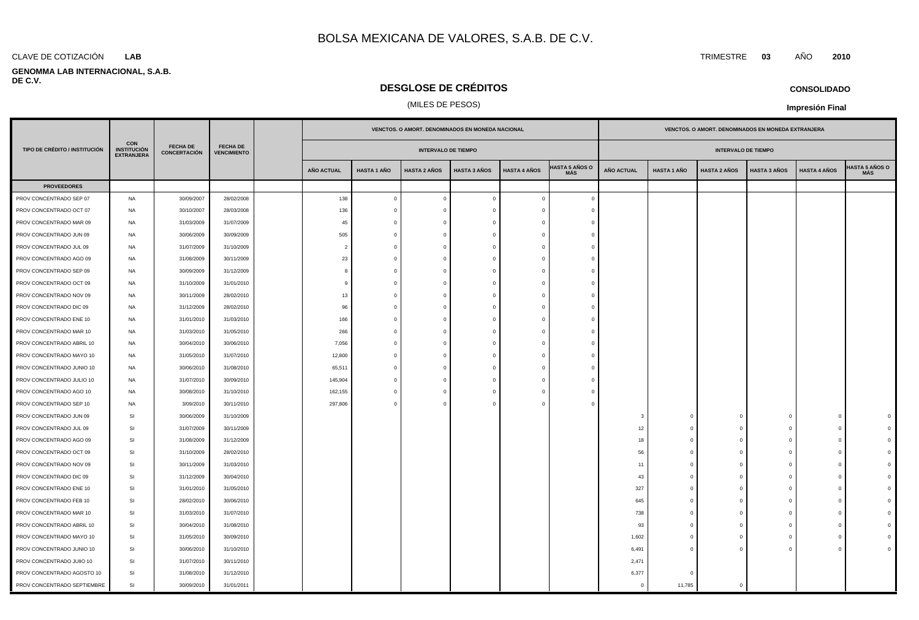### **LAB**

#### **GENOMMA LAB INTERNACIONAL, S.A.B. DE C.V.**

# **DESGLOSE DE CRÉDITOS**

### (MILES DE PESOS)

|                               |                                                       |                                 |                                       |                   |                    |                            | VENCTOS. O AMORT. DENOMINADOS EN MONEDA NACIONAL |                     |                              | VENCTOS. O AMORT. DENOMINADOS EN MONEDA EXTRANJERA |             |                            |                     |                     |                                     |
|-------------------------------|-------------------------------------------------------|---------------------------------|---------------------------------------|-------------------|--------------------|----------------------------|--------------------------------------------------|---------------------|------------------------------|----------------------------------------------------|-------------|----------------------------|---------------------|---------------------|-------------------------------------|
| TIPO DE CRÉDITO / INSTITUCIÓN | <b>CON</b><br><b>INSTITUCIÓN</b><br><b>EXTRANJERA</b> | <b>FECHA DE</b><br>CONCERTACIÓN | <b>FECHA DE</b><br><b>VENCIMIENTO</b> |                   |                    | <b>INTERVALO DE TIEMPO</b> |                                                  |                     |                              |                                                    |             | <b>INTERVALO DE TIEMPO</b> |                     |                     |                                     |
|                               |                                                       |                                 |                                       | <b>AÑO ACTUAL</b> | <b>HASTA 1 AÑO</b> | <b>HASTA 2 AÑOS</b>        | <b>HASTA 3 AÑOS</b>                              | <b>HASTA 4 AÑOS</b> | HASTA 5 AÑOS O<br><b>MÁS</b> | <b>AÑO ACTUAL</b>                                  | HASTA 1 AÑO | <b>HASTA 2 AÑOS</b>        | <b>HASTA 3 AÑOS</b> | <b>HASTA 4 AÑOS</b> | <b>HASTA 5 AÑOS O</b><br><b>MÁS</b> |
| <b>PROVEEDORES</b>            |                                                       |                                 |                                       |                   |                    |                            |                                                  |                     |                              |                                                    |             |                            |                     |                     |                                     |
| PROV CONCENTRADO SEP 07       | <b>NA</b>                                             | 30/09/2007                      | 28/02/2008                            | 138               | $\mathbf 0$        | $\overline{\mathbf{0}}$    | $\mathbf 0$                                      | $\overline{0}$      | $\mathbf{0}$                 |                                                    |             |                            |                     |                     |                                     |
| PROV CONCENTRADO OCT 07       | NA                                                    | 30/10/2007                      | 28/03/2008                            | 136               | $\Omega$           | $\Omega$                   |                                                  |                     |                              |                                                    |             |                            |                     |                     |                                     |
| PROV CONCENTRADO MAR 09       | NA                                                    | 31/03/2009                      | 31/07/2009                            | 45                | $\mathbf 0$        | $\Omega$                   |                                                  |                     | $\Omega$                     |                                                    |             |                            |                     |                     |                                     |
| PROV CONCENTRADO JUN 09       | NA                                                    | 30/06/2009                      | 30/09/2009                            | 505               | $\mathbf 0$        | $\Omega$                   |                                                  |                     |                              |                                                    |             |                            |                     |                     |                                     |
| PROV CONCENTRADO JUL 09       | NA                                                    | 31/07/2009                      | 31/10/2009                            | $\overline{2}$    | $\Omega$           | $\Omega$                   | O                                                | $\Omega$            | $\Omega$                     |                                                    |             |                            |                     |                     |                                     |
| PROV CONCENTRADO AGO 09       | NA                                                    | 31/08/2009                      | 30/11/2009                            | 23                | $\Omega$           | $\Omega$                   |                                                  |                     | $\Omega$                     |                                                    |             |                            |                     |                     |                                     |
| PROV CONCENTRADO SEP 09       | NA                                                    | 30/09/2009                      | 31/12/2009                            | -8                | $\mathbf 0$        | $\Omega$                   |                                                  |                     | $\Omega$                     |                                                    |             |                            |                     |                     |                                     |
| PROV CONCENTRADO OCT 09       | NA                                                    | 31/10/2009                      | 31/01/2010                            | -9                | $\Omega$           | $\Omega$                   |                                                  |                     | $\Omega$                     |                                                    |             |                            |                     |                     |                                     |
| PROV CONCENTRADO NOV 09       | NA                                                    | 30/11/2009                      | 28/02/2010                            | 13                | $\Omega$           | $\Omega$                   |                                                  |                     | $\Omega$                     |                                                    |             |                            |                     |                     |                                     |
| PROV CONCENTRADO DIC 09       | NA                                                    | 31/12/2009                      | 28/02/2010                            | 96                | $\mathbf 0$        | $\Omega$                   |                                                  |                     | $\Omega$                     |                                                    |             |                            |                     |                     |                                     |
| PROV CONCENTRADO ENE 10       | NA                                                    | 31/01/2010                      | 31/03/2010                            | 166               | $\Omega$           | $\Omega$                   |                                                  | $\Omega$            | $\Omega$                     |                                                    |             |                            |                     |                     |                                     |
| PROV CONCENTRADO MAR 10       | NA                                                    | 31/03/2010                      | 31/05/2010                            | 266               | $\mathbf 0$        | $\Omega$                   |                                                  |                     | $\Omega$                     |                                                    |             |                            |                     |                     |                                     |
| PROV CONCENTRADO ABRIL 10     | NA                                                    | 30/04/2010                      | 30/06/2010                            | 7,056             | $\mathbf 0$        | $\Omega$                   |                                                  |                     | $\Omega$                     |                                                    |             |                            |                     |                     |                                     |
| PROV CONCENTRADO MAYO 10      | NA                                                    | 31/05/2010                      | 31/07/2010                            | 12,800            | $\mathbf 0$        | $\Omega$                   | O                                                | $\Omega$            | $\Omega$                     |                                                    |             |                            |                     |                     |                                     |
| PROV CONCENTRADO JUNIO 10     | <b>NA</b>                                             | 30/06/2010                      | 31/08/2010                            | 65,511            | $\mathbf 0$        | $\Omega$                   |                                                  |                     |                              |                                                    |             |                            |                     |                     |                                     |
| PROV CONCENTRADO JULIO 10     | NA                                                    | 31/07/2010                      | 30/09/2010                            | 145,904           | $\mathbf 0$        | $\Omega$                   |                                                  |                     | $\Omega$                     |                                                    |             |                            |                     |                     |                                     |
| PROV CONCENTRADO AGO 10       | NA                                                    | 30/08/2010                      | 31/10/2010                            | 162,155           | $\mathbf 0$        | $\Omega$                   |                                                  | $\Omega$            |                              |                                                    |             |                            |                     |                     |                                     |
| PROV CONCENTRADO SEP 10       | <b>NA</b>                                             | 3/09/2010                       | 30/11/2010                            | 297,806           | $\Omega$           | $\Omega$                   |                                                  |                     |                              |                                                    |             |                            |                     |                     |                                     |
| PROV CONCENTRADO JUN 09       | SI                                                    | 30/06/2009                      | 31/10/2009                            |                   |                    |                            |                                                  |                     |                              | $\mathbf{3}$                                       |             | $\circ$                    |                     | $\Omega$            |                                     |
| PROV CONCENTRADO JUL 09       | SI                                                    | 31/07/2009                      | 30/11/2009                            |                   |                    |                            |                                                  |                     |                              | 12                                                 |             | $\Omega$                   | -0                  | $\Omega$            |                                     |
| PROV CONCENTRADO AGO 09       | SI                                                    | 31/08/2009                      | 31/12/2009                            |                   |                    |                            |                                                  |                     |                              | 18                                                 |             | $\Omega$                   | $\mathfrak{c}$      |                     |                                     |
| PROV CONCENTRADO OCT 09       | SI                                                    | 31/10/2009                      | 28/02/2010                            |                   |                    |                            |                                                  |                     |                              | 56                                                 | - C         | $\overline{0}$             | $\Omega$            | $\Omega$            |                                     |
| PROV CONCENTRADO NOV 09       | SI                                                    | 30/11/2009                      | 31/03/2010                            |                   |                    |                            |                                                  |                     |                              | 11                                                 | - C         | $\Omega$                   | $\Omega$            | $\Omega$            |                                     |
| PROV CONCENTRADO DIC 09       | SI                                                    | 31/12/2009                      | 30/04/2010                            |                   |                    |                            |                                                  |                     |                              | 43                                                 |             | $\Omega$                   | $\Omega$            | $\Omega$            |                                     |
| PROV CONCENTRADO ENE 10       | SI                                                    | 31/01/2010                      | 31/05/2010                            |                   |                    |                            |                                                  |                     |                              | 327                                                | $\Omega$    | $\overline{0}$             | $\Omega$            | $\Omega$            |                                     |
| PROV CONCENTRADO FEB 10       | SI                                                    | 28/02/2010                      | 30/06/2010                            |                   |                    |                            |                                                  |                     |                              | 645                                                | - C         | $\Omega$                   | $\Omega$            | $\Omega$            |                                     |
| PROV CONCENTRADO MAR 10       | SI                                                    | 31/03/2010                      | 31/07/2010                            |                   |                    |                            |                                                  |                     |                              | 738                                                |             | $\Omega$                   | $\Omega$            | $\Omega$            |                                     |
| PROV CONCENTRADO ABRIL 10     | SI                                                    | 30/04/2010                      | 31/08/2010                            |                   |                    |                            |                                                  |                     |                              | 93                                                 | $\sqrt{ }$  | $\overline{0}$             | $\Omega$            | $\Omega$            |                                     |
| PROV CONCENTRADO MAYO 10      | SI                                                    | 31/05/2010                      | 30/09/2010                            |                   |                    |                            |                                                  |                     |                              | 1,602                                              | - 0         | $\Omega$                   | - 0                 | $\Omega$            |                                     |
| PROV CONCENTRADO JUNIO 10     | SI                                                    | 30/06/2010                      | 31/10/2010                            |                   |                    |                            |                                                  |                     |                              | 6,491                                              |             | $\Omega$                   | $\epsilon$          | $\Omega$            |                                     |
| PROV CONCENTRADO JUIIO 10     | SI                                                    | 31/07/2010                      | 30/11/2010                            |                   |                    |                            |                                                  |                     |                              | 2,471                                              |             |                            |                     |                     |                                     |
| PROV CONCENTRADO AGOSTO 10    | SI                                                    | 31/08/2010                      | 31/12/2010                            |                   |                    |                            |                                                  |                     |                              | 6,377                                              |             |                            |                     |                     |                                     |
| PROV CONCENTRADO SEPTIEMBRE   | <b>SI</b>                                             | 30/09/2010                      | 31/01/2011                            |                   |                    |                            |                                                  |                     |                              | $\overline{0}$                                     | 11,785      | $\Omega$                   |                     |                     |                                     |

#### CLAVE DE COTIZACIÓN TRIMESTRE **03** AÑO **2010**

**CONSOLIDADO**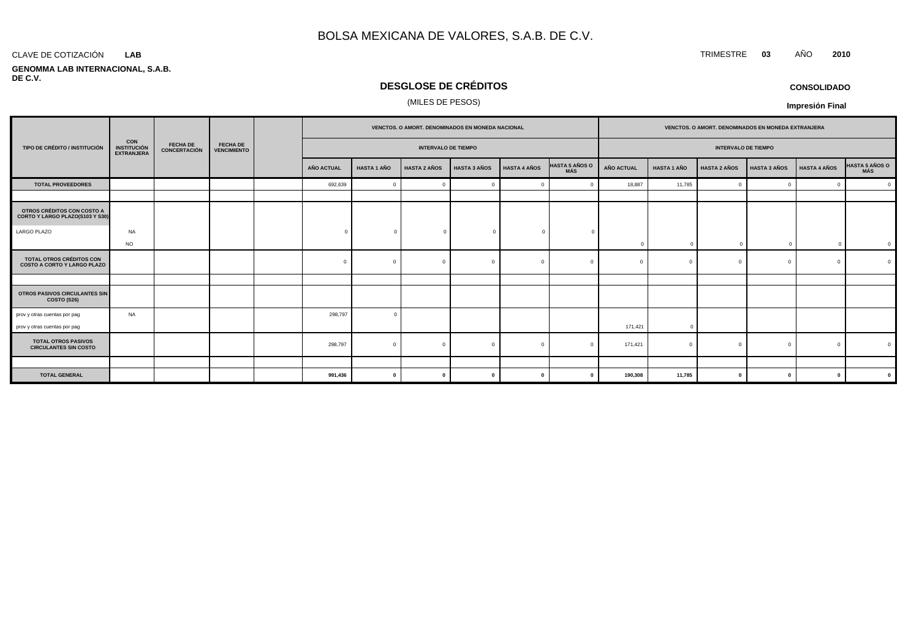#### CLAVE DE COTIZACIÓN TRIMESTRE **03** AÑO **2010 LAB**

**GENOMMA LAB INTERNACIONAL, S.A.B. DE C.V.**

# **DESGLOSE DE CRÉDITOS**

### (MILES DE PESOS)

| <b>CONSOLIDADO</b> |
|--------------------|
|--------------------|

|                                                                                                                                                                           | VENCTOS. O AMORT. DENOMINADOS EN MONEDA NACIONAL |  |  |                            |                    |                     | VENCTOS. O AMORT. DENOMINADOS EN MONEDA EXTRANJERA |                     |                              |                            |                    |                     |                     |                     |                |
|---------------------------------------------------------------------------------------------------------------------------------------------------------------------------|--------------------------------------------------|--|--|----------------------------|--------------------|---------------------|----------------------------------------------------|---------------------|------------------------------|----------------------------|--------------------|---------------------|---------------------|---------------------|----------------|
| <b>CON</b><br><b>FECHA DE</b><br><b>FECHA DE</b><br>TIPO DE CRÉDITO / INSTITUCIÓN<br><b>INSTITUCIÓN</b><br><b>CONCERTACIÓN</b><br><b>VENCIMIENTO</b><br><b>EXTRANJERA</b> |                                                  |  |  | <b>INTERVALO DE TIEMPO</b> |                    |                     |                                                    |                     |                              | <b>INTERVALO DE TIEMPO</b> |                    |                     |                     |                     |                |
|                                                                                                                                                                           |                                                  |  |  | <b>AÑO ACTUAL</b>          | <b>HASTA 1 AÑO</b> | <b>HASTA 2 AÑOS</b> | <b>HASTA 3 AÑOS</b>                                | <b>HASTA 4 AÑOS</b> | <b>HASTA 5 AÑOS O</b><br>MÁS | <b>AÑO ACTUAL</b>          | <b>HASTA 1 AÑO</b> | <b>HASTA 2 AÑOS</b> | <b>HASTA 3 AÑOS</b> | <b>HASTA 4 AÑOS</b> | HASTA 5 AÑOS O |
| <b>TOTAL PROVEEDORES</b>                                                                                                                                                  |                                                  |  |  | 692,639                    | $\overline{0}$     | $\Omega$            |                                                    | $\Omega$            |                              | 18,887                     | 11,785             | $\Omega$            | $\overline{0}$      | $\mathbf 0$         | $\mathbf{0}$   |
|                                                                                                                                                                           |                                                  |  |  |                            |                    |                     |                                                    |                     |                              |                            |                    |                     |                     |                     |                |
| OTROS CRÉDITOS CON COSTO A<br>CORTO Y LARGO PLAZO(S103 Y S30)                                                                                                             |                                                  |  |  |                            |                    |                     |                                                    |                     |                              |                            |                    |                     |                     |                     |                |
| LARGO PLAZO                                                                                                                                                               | <b>NA</b>                                        |  |  | $\Omega$                   | $\bigcap$          |                     | $^{\circ}$                                         | $\Omega$            |                              |                            |                    |                     |                     |                     |                |
|                                                                                                                                                                           | <b>NO</b>                                        |  |  |                            |                    |                     |                                                    |                     |                              | $\Omega$                   | $\cap$             |                     | $\sqrt{ }$          |                     | $\mathbf 0$    |
| <b>TOTAL OTROS CRÉDITOS CON</b><br><b>COSTO A CORTO Y LARGO PLAZO</b>                                                                                                     |                                                  |  |  | <sup>n</sup>               | - C                | $\Omega$            |                                                    | $\bigcap$           |                              | $\Omega$                   |                    | $\Omega$            | $\Omega$            | $\Omega$            | $\Omega$       |
|                                                                                                                                                                           |                                                  |  |  |                            |                    |                     |                                                    |                     |                              |                            |                    |                     |                     |                     |                |
| OTROS PASIVOS CIRCULANTES SIN<br>COSTO (S26)                                                                                                                              |                                                  |  |  |                            |                    |                     |                                                    |                     |                              |                            |                    |                     |                     |                     |                |
| prov y otras cuentas por pag                                                                                                                                              | NA                                               |  |  | 298,797                    | $\Omega$           |                     |                                                    |                     |                              |                            |                    |                     |                     |                     |                |
| prov y otras cuentas por pag                                                                                                                                              |                                                  |  |  |                            |                    |                     |                                                    |                     |                              | 171,421                    | $\Omega$           |                     |                     |                     |                |
| <b>TOTAL OTROS PASIVOS</b><br><b>CIRCULANTES SIN COSTO</b>                                                                                                                |                                                  |  |  | 298,797                    | $\mathfrak{g}$     | $\Omega$            |                                                    | $\Omega$            |                              | 171,421                    |                    | $\Omega$            |                     | $\Omega$            |                |
|                                                                                                                                                                           |                                                  |  |  |                            |                    |                     |                                                    |                     |                              |                            |                    |                     |                     |                     |                |
| <b>TOTAL GENERAL</b>                                                                                                                                                      |                                                  |  |  | 991,436                    | 0                  | $\mathbf{0}$        | U                                                  | $\mathbf{0}$        |                              | 190,308                    | 11,785             | $\mathbf{0}$        | - 0                 | $\mathbf{0}$        | $\mathbf{0}$   |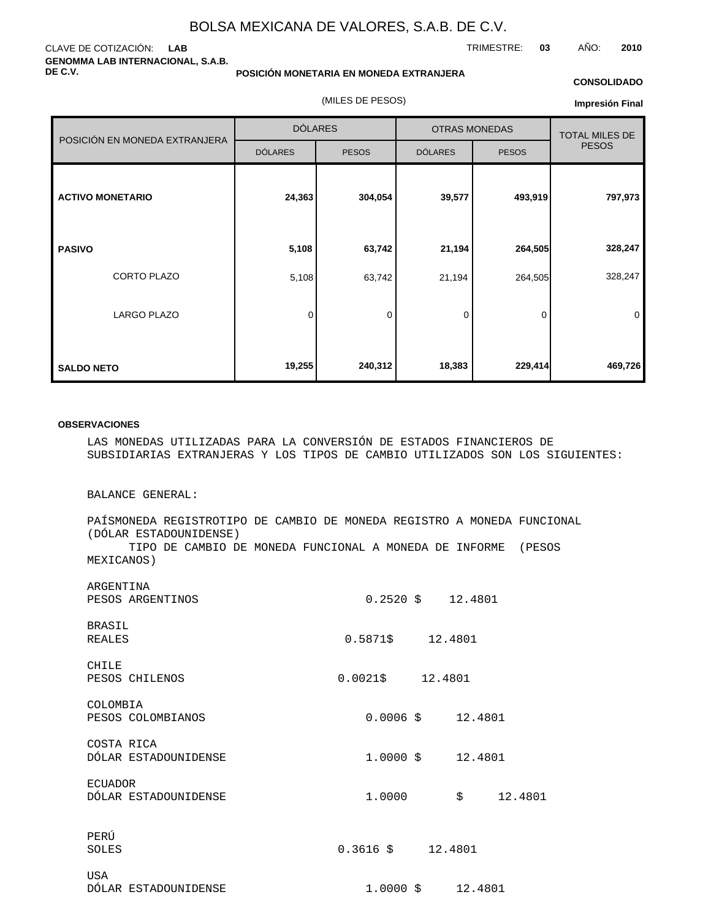#### CLAVE DE COTIZACIÓN: **LAB GENOMMA LAB INTERNACIONAL, S.A.B. DE C.V.**

#### **POSICIÓN MONETARIA EN MONEDA EXTRANJERA**

(MILES DE PESOS)

#### **CONSOLIDADO**

TRIMESTRE: **03** AÑO: **2010**

**Impresión Final**

|                               | <b>DÓLARES</b> |              |                | <b>OTRAS MONEDAS</b> | <b>TOTAL MILES DE</b> |  |
|-------------------------------|----------------|--------------|----------------|----------------------|-----------------------|--|
| POSICIÓN EN MONEDA EXTRANJERA | <b>DÓLARES</b> | <b>PESOS</b> | <b>DÓLARES</b> | <b>PESOS</b>         | <b>PESOS</b>          |  |
| <b>ACTIVO MONETARIO</b>       | 24,363         | 304,054      | 39,577         | 493,919              | 797,973               |  |
| <b>PASIVO</b>                 | 5,108          | 63,742       | 21,194         | 264,505              | 328,247               |  |
| CORTO PLAZO                   | 5,108          | 63,742       | 21,194         | 264,505              | 328,247               |  |
| <b>LARGO PLAZO</b>            | 0              | 0            | 0              | 0                    | 0                     |  |
| <b>SALDO NETO</b>             | 19,255         | 240,312      | 18,383         | 229,414              | 469,726               |  |

#### **OBSERVACIONES**

LAS MONEDAS UTILIZADAS PARA LA CONVERSIÓN DE ESTADOS FINANCIEROS DE SUBSIDIARIAS EXTRANJERAS Y LOS TIPOS DE CAMBIO UTILIZADOS SON LOS SIGUIENTES:

BALANCE GENERAL:

PAÍS MONEDA REGISTRO TIPO DE CAMBIO DE MONEDA REGISTRO A MONEDA FUNCIONAL (DÓLAR ESTADOUNIDENSE) TIPO DE CAMBIO DE MONEDA FUNCIONAL A MONEDA DE INFORME (PESOS MEXICANOS)

| ARGENTINA<br>PESOS ARGENTINOS          |                         |                     |  |
|----------------------------------------|-------------------------|---------------------|--|
| <b>BRASIL</b><br><b>REALES</b>         | $0.5871 \t{5} 12.4801$  |                     |  |
| CHILE<br>PESOS CHILENOS                | $0.0021 \t$ \$ 12.4801  |                     |  |
| COLOMBIA<br>PESOS COLOMBIANOS          |                         | $0.0006$ \$ 12.4801 |  |
| COSTA RICA<br>DÓLAR ESTADOUNIDENSE     |                         |                     |  |
| <b>ECUADOR</b><br>DÓLAR ESTADOUNIDENSE | 1,0000                  | \$12.4801           |  |
| PERÚ<br>SOLES                          | $0.3616 \quad $12.4801$ |                     |  |
| <b>USA</b><br>DÓLAR ESTADOUNIDENSE     |                         |                     |  |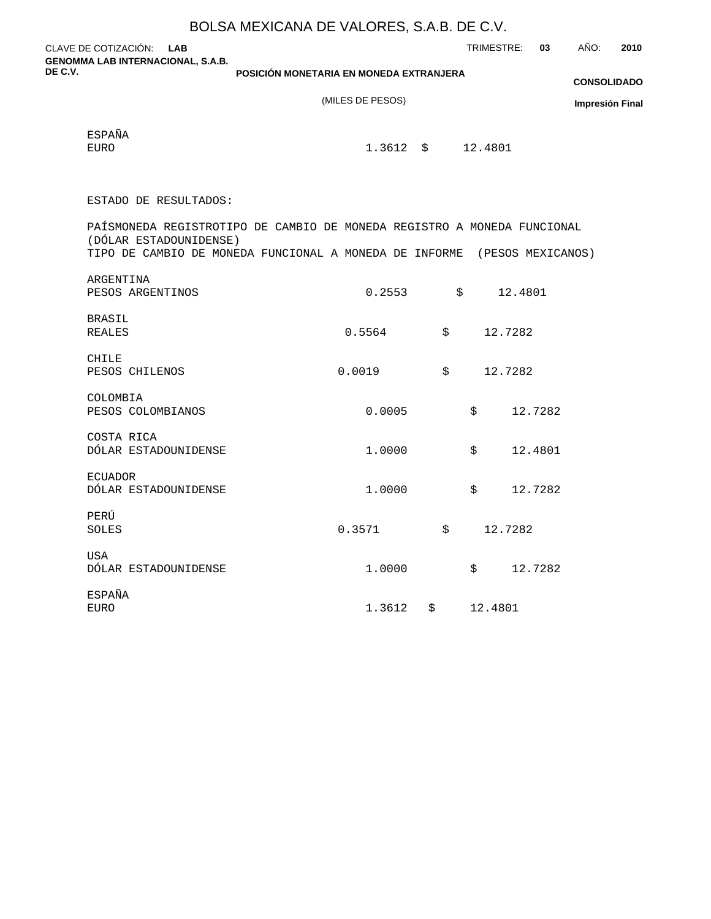|         |                                                                                                     | BOLSA MEXICANA DE VALORES, S.A.B. DE C.V. |                       |         |            |                        |
|---------|-----------------------------------------------------------------------------------------------------|-------------------------------------------|-----------------------|---------|------------|------------------------|
|         | CLAVE DE COTIZACIÓN: LAB                                                                            |                                           | TRIMESTRE:            |         | AÑO:<br>03 | 2010                   |
| DE C.V. | <b>GENOMMA LAB INTERNACIONAL, S.A.B.</b>                                                            | POSICIÓN MONETARIA EN MONEDA EXTRANJERA   |                       |         |            |                        |
|         |                                                                                                     |                                           |                       |         |            | <b>CONSOLIDADO</b>     |
|         |                                                                                                     | (MILES DE PESOS)                          |                       |         |            | <b>Impresión Final</b> |
|         | <b>ESPAÑA</b>                                                                                       |                                           |                       |         |            |                        |
|         | <b>EURO</b>                                                                                         | 1.3612                                    | $\ddot{S}$<br>12.4801 |         |            |                        |
|         |                                                                                                     |                                           |                       |         |            |                        |
|         | ESTADO DE RESULTADOS:                                                                               |                                           |                       |         |            |                        |
|         | PAÍS MONEDA REGISTRO TIPO DE CAMBIO DE MONEDA REGISTRO A MONEDA FUNCIONAL<br>(DÓLAR ESTADOUNIDENSE) |                                           |                       |         |            |                        |
|         | TIPO DE CAMBIO DE MONEDA FUNCIONAL A MONEDA DE INFORME (PESOS MEXICANOS)                            |                                           |                       |         |            |                        |
|         | ARGENTINA                                                                                           |                                           |                       |         |            |                        |
|         | PESOS ARGENTINOS                                                                                    | 0.2553                                    | \$                    | 12.4801 |            |                        |
|         | <b>BRASIL</b>                                                                                       |                                           |                       |         |            |                        |
|         | <b>REALES</b>                                                                                       | 0.5564                                    | \$                    | 12.7282 |            |                        |
|         | CHILE                                                                                               |                                           |                       |         |            |                        |
|         | PESOS CHILENOS                                                                                      | 0.0019                                    | \$                    | 12.7282 |            |                        |
|         | COLOMBIA                                                                                            |                                           |                       |         |            |                        |
|         | PESOS COLOMBIANOS                                                                                   | 0.0005                                    | \$                    | 12.7282 |            |                        |
|         | COSTA RICA                                                                                          |                                           |                       |         |            |                        |
|         | DÓLAR ESTADOUNIDENSE                                                                                | 1.0000                                    | \$                    | 12.4801 |            |                        |
|         | <b>ECUADOR</b>                                                                                      |                                           |                       |         |            |                        |
|         | DÓLAR ESTADOUNIDENSE                                                                                | 1.0000                                    | $\ddot{s}$            | 12.7282 |            |                        |
|         | PERÚ                                                                                                |                                           |                       |         |            |                        |
|         | SOLES                                                                                               | 0.3571                                    | \$                    | 12.7282 |            |                        |
|         | <b>USA</b>                                                                                          |                                           |                       |         |            |                        |
|         | DÓLAR ESTADOUNIDENSE                                                                                | 1.0000                                    | $\ddot{\mathsf{S}}$   | 12.7282 |            |                        |
|         | <b>ESPAÑA</b>                                                                                       |                                           |                       |         |            |                        |
|         | <b>EURO</b>                                                                                         | 1.3612<br>\$                              |                       | 12.4801 |            |                        |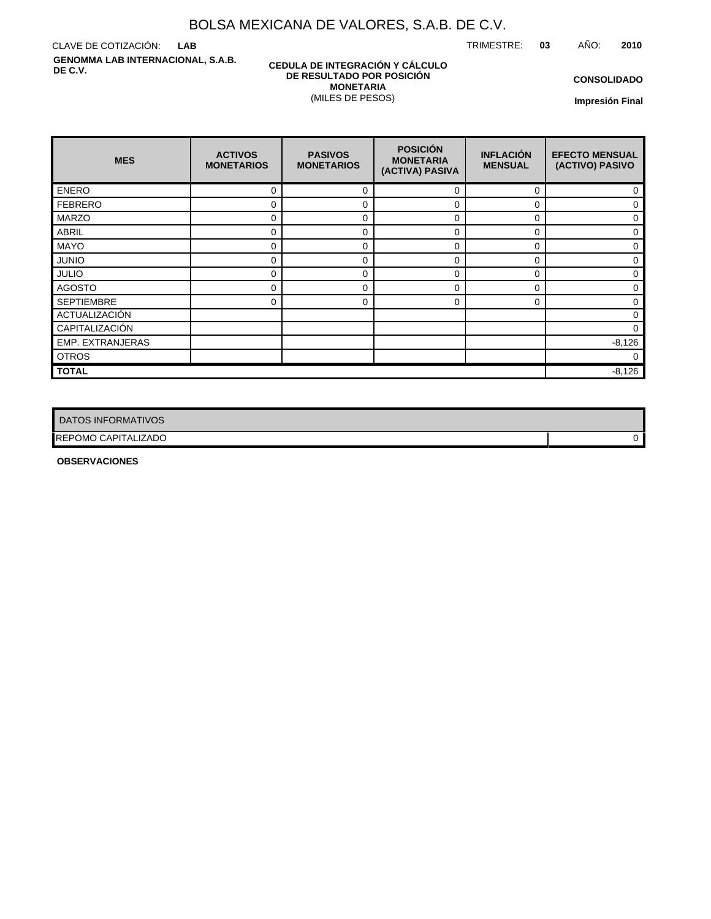TRIMESTRE: **03** AÑO: **2010**

CLAVE DE COTIZACIÓN: **LAB GENOMMA LAB INTERNACIONAL, S.A.B. DE C.V.**

### **CEDULA DE INTEGRACIÓN Y CÁLCULO DE RESULTADO POR POSICIÓN MONETARIA** (MILES DE PESOS)

**CONSOLIDADO**

**Impresión Final**

| <b>MES</b>        | <b>ACTIVOS</b><br><b>MONETARIOS</b> | <b>PASIVOS</b><br><b>MONETARIOS</b> | <b>POSICIÓN</b><br><b>MONETARIA</b><br>(ACTIVA) PASIVA | <b>INFLACIÓN</b><br><b>MENSUAL</b> | <b>EFECTO MENSUAL</b><br>(ACTIVO) PASIVO |  |  |
|-------------------|-------------------------------------|-------------------------------------|--------------------------------------------------------|------------------------------------|------------------------------------------|--|--|
| <b>ENERO</b>      | 0                                   | 0                                   | $\Omega$                                               | $\Omega$                           | 0                                        |  |  |
| <b>FEBRERO</b>    | 0                                   | 0                                   | 0                                                      | 0                                  | $\mathbf 0$                              |  |  |
| <b>MARZO</b>      | 0                                   | 0                                   | 0                                                      | $\Omega$                           | $\Omega$                                 |  |  |
| <b>ABRIL</b>      | 0                                   | 0                                   | 0                                                      | 0                                  | 0                                        |  |  |
| <b>MAYO</b>       | 0                                   | 0                                   | 0                                                      | $\Omega$                           | 0                                        |  |  |
| <b>JUNIO</b>      | 0                                   | 0                                   | 0                                                      | $\Omega$                           | 0                                        |  |  |
| <b>JULIO</b>      | 0                                   | 0                                   | $\Omega$                                               | $\Omega$                           | 0                                        |  |  |
| <b>AGOSTO</b>     | 0                                   | 0                                   | $\Omega$                                               | $\Omega$                           | 0                                        |  |  |
| <b>SEPTIEMBRE</b> | 0                                   | 0                                   | 0                                                      | 0                                  | 0                                        |  |  |
| ACTUALIZACIÓN     |                                     |                                     |                                                        |                                    | $\mathbf 0$                              |  |  |
| CAPITALIZACIÓN    |                                     |                                     |                                                        |                                    | 0                                        |  |  |
| EMP. EXTRANJERAS  |                                     |                                     |                                                        |                                    | $-8,126$                                 |  |  |
| <b>OTROS</b>      |                                     |                                     |                                                        |                                    | $\Omega$                                 |  |  |
| <b>TOTAL</b>      |                                     |                                     |                                                        |                                    |                                          |  |  |

| DATOS INFORMATIVOS  |  |
|---------------------|--|
| REPOMO CAPITALIZADO |  |

**OBSERVACIONES**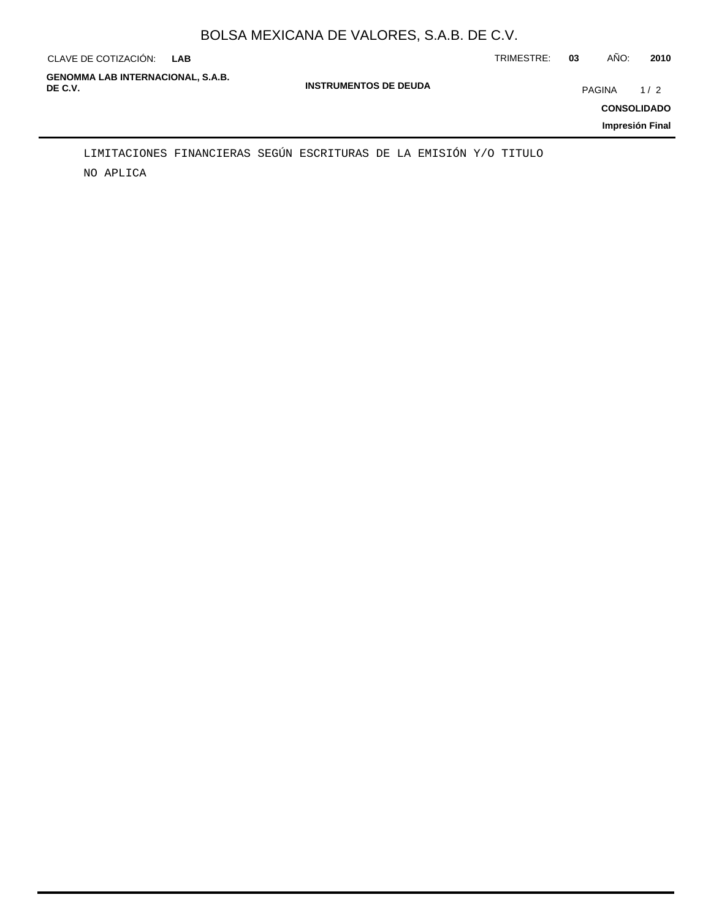| CLAVE DE COTIZACIÓN:                                | <b>LAB</b> |                              | TRIMESTRE: | 03     | AÑO:                                  | 2010 |
|-----------------------------------------------------|------------|------------------------------|------------|--------|---------------------------------------|------|
| <b>GENOMMA LAB INTERNACIONAL, S.A.B.</b><br>DE C.V. |            | <b>INSTRUMENTOS DE DEUDA</b> |            | PAGINA | <b>CONSOLIDADO</b><br>Impresión Final | 1/2  |
|                                                     |            |                              |            |        |                                       |      |

NO APLICA LIMITACIONES FINANCIERAS SEGÚN ESCRITURAS DE LA EMISIÓN Y/O TITULO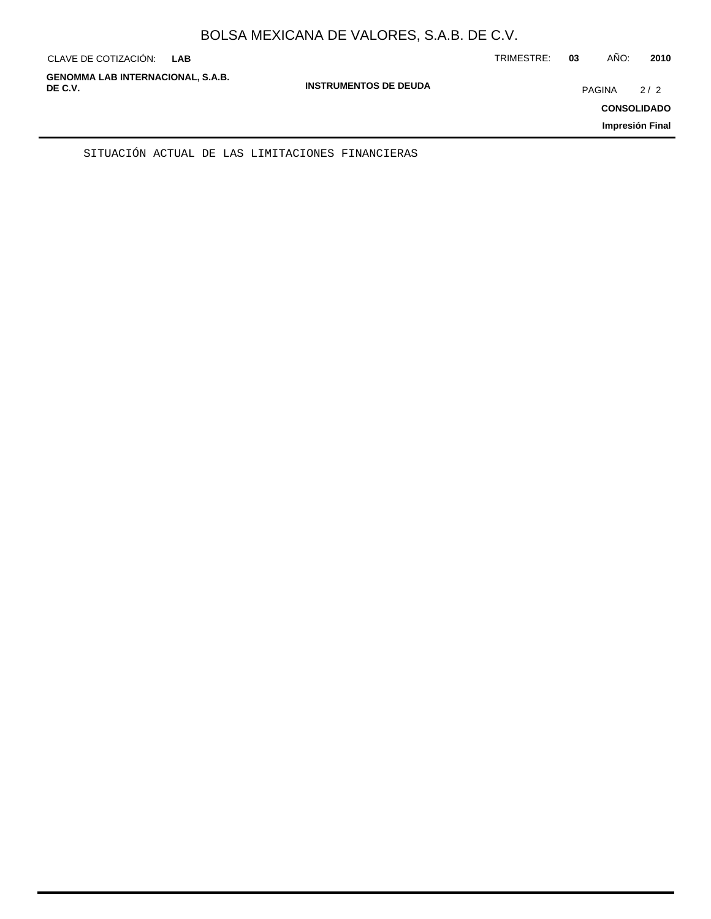| CLAVE DE COTIZACIÓN:                                | <b>LAB</b> |                              | TRIMESTRE: | 03            | AÑO: | 2010                                         |
|-----------------------------------------------------|------------|------------------------------|------------|---------------|------|----------------------------------------------|
| <b>GENOMMA LAB INTERNACIONAL, S.A.B.</b><br>DE C.V. |            | <b>INSTRUMENTOS DE DEUDA</b> |            | <b>PAGINA</b> |      | 2/2<br><b>CONSOLIDADO</b><br>Impresión Final |
|                                                     |            |                              |            |               |      |                                              |

SITUACIÓN ACTUAL DE LAS LIMITACIONES FINANCIERAS

÷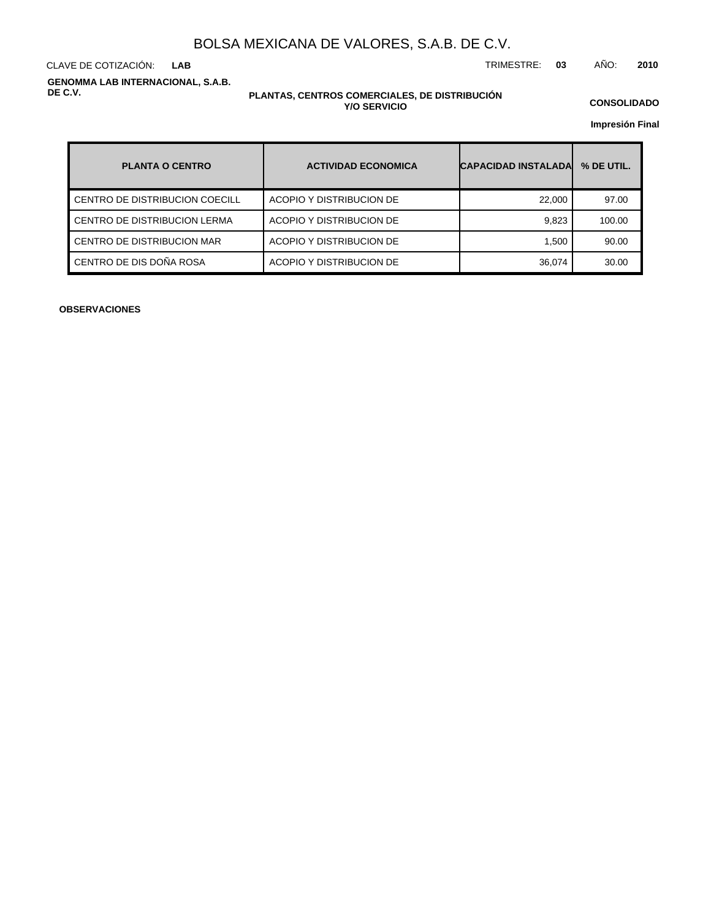**LAB**

CLAVE DE COTIZACIÓN: TRIMESTRE: **03** AÑO: **2010**

**GENOMMA LAB INTERNACIONAL, S.A.B. DE C.V.**

### **PLANTAS, CENTROS COMERCIALES, DE DISTRIBUCIÓN Y/O SERVICIO**

**CONSOLIDADO**

**Impresión Final**

| <b>PLANTA O CENTRO</b>         | <b>ACTIVIDAD ECONOMICA</b> | <b>CAPACIDAD INSTALADAL</b> | % DE UTIL. |
|--------------------------------|----------------------------|-----------------------------|------------|
| CENTRO DE DISTRIBUCION COECILL | ACOPIO Y DISTRIBUCION DE   | 22,000                      | 97.00      |
| CENTRO DE DISTRIBUCION LERMA   | ACOPIO Y DISTRIBUCION DE   | 9,823                       | 100.00     |
| CENTRO DE DISTRIBUCION MAR     | ACOPIO Y DISTRIBUCION DE   | 1.500                       | 90.00      |
| CENTRO DE DIS DOÑA ROSA        | ACOPIO Y DISTRIBUCION DE   | 36,074                      | 30.00      |

**OBSERVACIONES**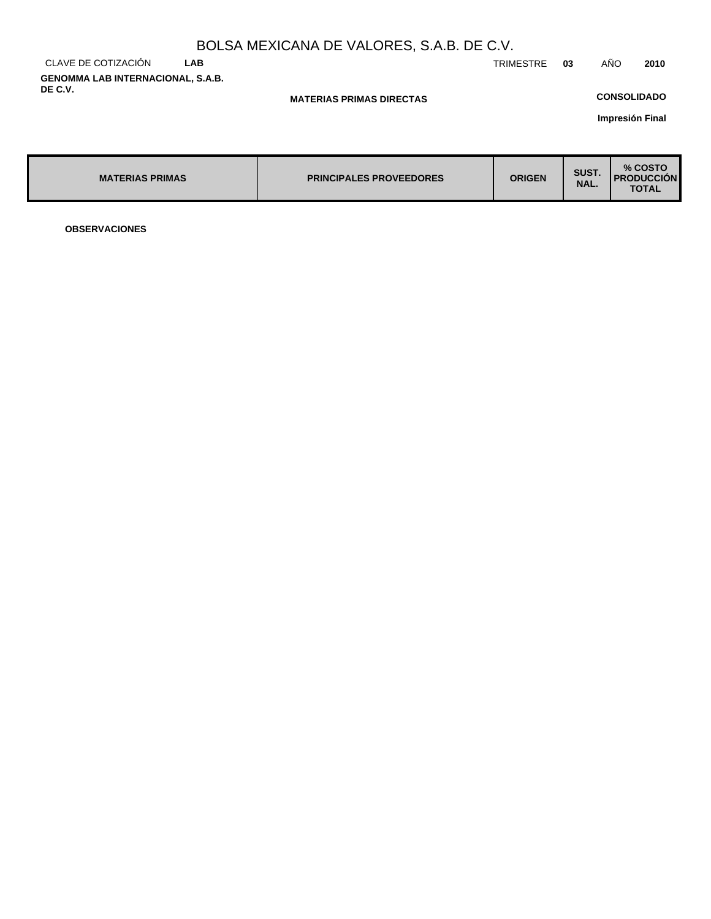|                                          |            | BOLSA MEXICANA DE VALORES, S.A.B. DE C.V. |           |    |                    |      |
|------------------------------------------|------------|-------------------------------------------|-----------|----|--------------------|------|
| CLAVE DE COTIZACIÓN                      | <b>LAB</b> |                                           | TRIMESTRE | 03 | AÑO                | 2010 |
| <b>GENOMMA LAB INTERNACIONAL, S.A.B.</b> |            |                                           |           |    |                    |      |
| DE C.V.                                  |            | <b>MATERIAS PRIMAS DIRECTAS</b>           |           |    | <b>CONSOLIDADO</b> |      |
|                                          |            |                                           |           |    | .                  |      |

**Impresión Final**

| <b>MATERIAS PRIMAS</b> | <b>PRINCIPALES PROVEEDORES</b> | <b>ORIGEN</b> | SUST.<br>NAL. | % COSTO<br><b>I PRODUCCION</b><br><b>TOTAL</b> |
|------------------------|--------------------------------|---------------|---------------|------------------------------------------------|
|------------------------|--------------------------------|---------------|---------------|------------------------------------------------|

**OBSERVACIONES**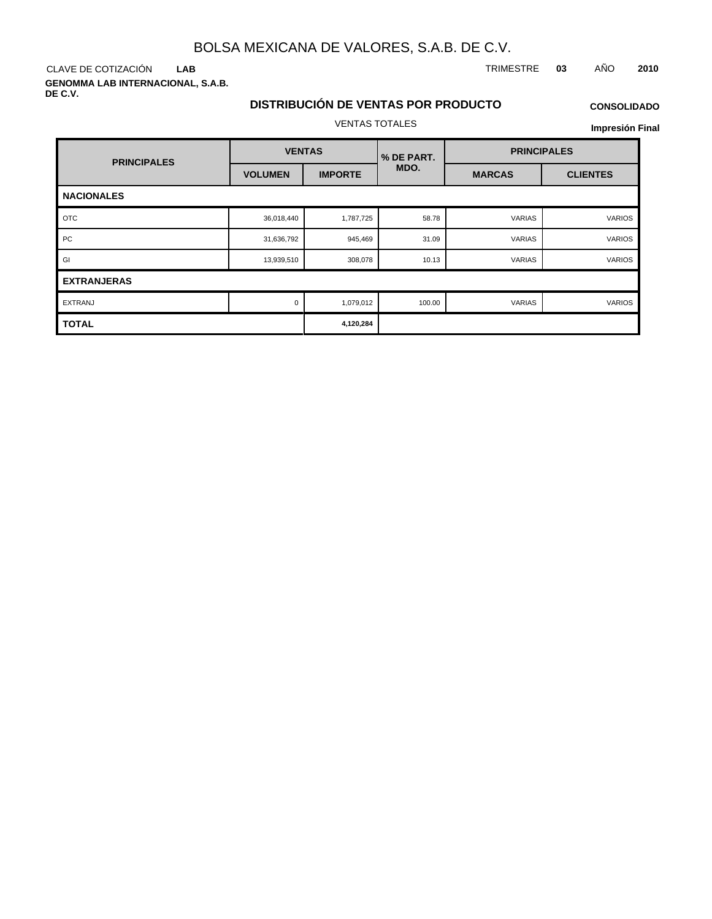**LAB**

**GENOMMA LAB INTERNACIONAL, S.A.B. DE C.V.**

### CLAVE DE COTIZACIÓN TRIMESTRE **03** AÑO **2010**

# **DISTRIBUCIÓN DE VENTAS POR PRODUCTO** VENTAS TOTALES

# **CONSOLIDADO**

| <b>PRINCIPALES</b> | <b>VENTAS</b>  |                | % DE PART. |               | <b>PRINCIPALES</b> |  |  |  |
|--------------------|----------------|----------------|------------|---------------|--------------------|--|--|--|
|                    | <b>VOLUMEN</b> | <b>IMPORTE</b> | MDO.       | <b>MARCAS</b> | <b>CLIENTES</b>    |  |  |  |
| <b>NACIONALES</b>  |                |                |            |               |                    |  |  |  |
| <b>OTC</b>         | 36,018,440     | 1,787,725      | 58.78      | VARIAS        | <b>VARIOS</b>      |  |  |  |
| PC                 | 31,636,792     | 945,469        | 31.09      | VARIAS        | <b>VARIOS</b>      |  |  |  |
| GI                 | 13,939,510     | 308,078        | 10.13      | VARIAS        | <b>VARIOS</b>      |  |  |  |
| <b>EXTRANJERAS</b> |                |                |            |               |                    |  |  |  |
| <b>EXTRANJ</b>     | $\Omega$       | 1,079,012      | 100.00     | <b>VARIAS</b> | <b>VARIOS</b>      |  |  |  |
| <b>TOTAL</b>       |                | 4,120,284      |            |               |                    |  |  |  |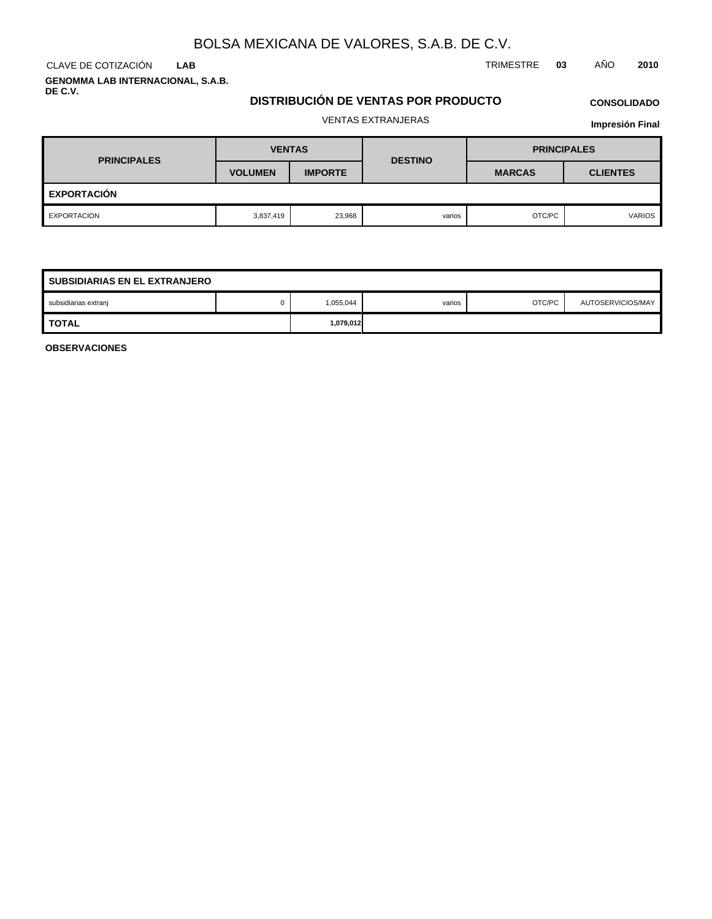CLAVE DE COTIZACIÓN TRIMESTRE **03** AÑO **2010 LAB**

**GENOMMA LAB INTERNACIONAL, S.A.B. DE C.V.**

## **DISTRIBUCIÓN DE VENTAS POR PRODUCTO**

# **CONSOLIDADO**

# VENTAS EXTRANJERAS

**Impresión Final**

| <b>PRINCIPALES</b> | <b>VENTAS</b>  |                | <b>DESTINO</b> | <b>PRINCIPALES</b> |                 |  |  |  |
|--------------------|----------------|----------------|----------------|--------------------|-----------------|--|--|--|
|                    | <b>VOLUMEN</b> | <b>IMPORTE</b> |                | <b>MARCAS</b>      | <b>CLIENTES</b> |  |  |  |
| <b>EXPORTACIÓN</b> |                |                |                |                    |                 |  |  |  |
| EXPORTACION        | 3,837,419      | 23,968         | varios         | OTC/PC             | <b>VARIOS</b>   |  |  |  |

| <b>SUBSIDIARIAS EN EL EXTRANJERO</b> |           |           |        |        |                   |  |  |  |
|--------------------------------------|-----------|-----------|--------|--------|-------------------|--|--|--|
| subsidiarias extranj                 |           | 1,055,044 | varios | OTC/PC | AUTOSERVICIOS/MAY |  |  |  |
| <b>TOTAL</b>                         | 1,079,012 |           |        |        |                   |  |  |  |

**OBSERVACIONES**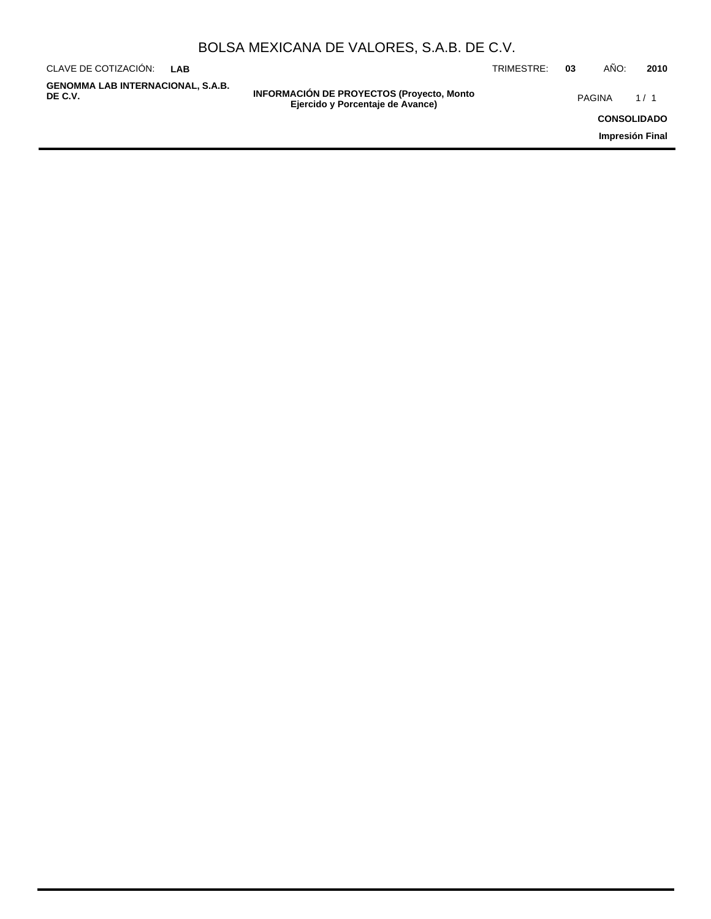| BOLSA MEXICANA DE VALORES, S.A.B. DE C.V. |  |  |  |
|-------------------------------------------|--|--|--|
|-------------------------------------------|--|--|--|

| CLAVE DE COTIZACIÓN:<br><b>LAB</b>                  |                                                                                      | TRIMESTRE: | 03 | AÑO:   | 2010               |
|-----------------------------------------------------|--------------------------------------------------------------------------------------|------------|----|--------|--------------------|
| <b>GENOMMA LAB INTERNACIONAL, S.A.B.</b><br>DE C.V. | <b>INFORMACIÓN DE PROYECTOS (Proyecto, Monto</b><br>Ejercido y Porcentaje de Avance) |            |    | PAGINA | 1/1                |
|                                                     |                                                                                      |            |    |        | <b>CONSOLIDADO</b> |
|                                                     |                                                                                      |            |    |        | Impresión Final    |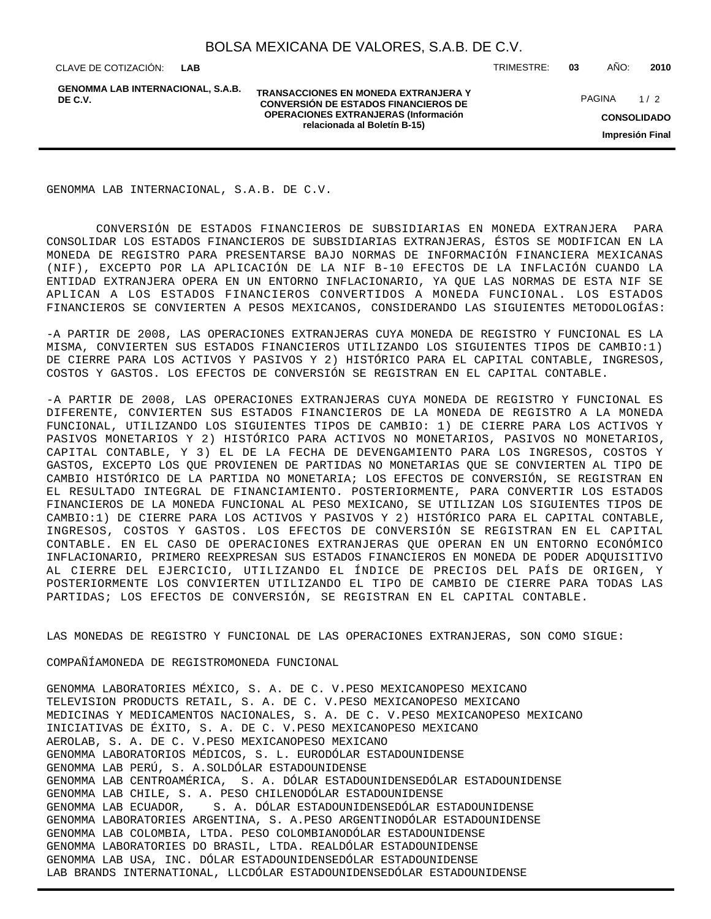**GENOMMA LAB INTERNACIONAL, S.A.B. DE C.V.**

**TRANSACCIONES EN MONEDA EXTRANJERA Y CONVERSIÓN DE ESTADOS FINANCIEROS DE OPERACIONES EXTRANJERAS (Información relacionada al Boletín B-15)**

CLAVE DE COTIZACIÓN: TRIMESTRE: **03** AÑO: **2010**

**CONSOLIDADO Impresión Final** PAGINA 1/2

GENOMMA LAB INTERNACIONAL, S.A.B. DE C.V.

 CONVERSIÓN DE ESTADOS FINANCIEROS DE SUBSIDIARIAS EN MONEDA EXTRANJERA PARA CONSOLIDAR LOS ESTADOS FINANCIEROS DE SUBSIDIARIAS EXTRANJERAS, ÉSTOS SE MODIFICAN EN LA MONEDA DE REGISTRO PARA PRESENTARSE BAJO NORMAS DE INFORMACIÓN FINANCIERA MEXICANAS (NIF), EXCEPTO POR LA APLICACIÓN DE LA NIF B-10 EFECTOS DE LA INFLACIÓN CUANDO LA ENTIDAD EXTRANJERA OPERA EN UN ENTORNO INFLACIONARIO, YA QUE LAS NORMAS DE ESTA NIF SE APLICAN A LOS ESTADOS FINANCIEROS CONVERTIDOS A MONEDA FUNCIONAL. LOS ESTADOS FINANCIEROS SE CONVIERTEN A PESOS MEXICANOS, CONSIDERANDO LAS SIGUIENTES METODOLOGÍAS:

- A PARTIR DE 2008, LAS OPERACIONES EXTRANJERAS CUYA MONEDA DE REGISTRO Y FUNCIONAL ES LA MISMA, CONVIERTEN SUS ESTADOS FINANCIEROS UTILIZANDO LOS SIGUIENTES TIPOS DE CAMBIO:1) DE CIERRE PARA LOS ACTIVOS Y PASIVOS Y 2) HISTÓRICO PARA EL CAPITAL CONTABLE, INGRESOS, COSTOS Y GASTOS. LOS EFECTOS DE CONVERSIÓN SE REGISTRAN EN EL CAPITAL CONTABLE.

- A PARTIR DE 2008, LAS OPERACIONES EXTRANJERAS CUYA MONEDA DE REGISTRO Y FUNCIONAL ES DIFERENTE, CONVIERTEN SUS ESTADOS FINANCIEROS DE LA MONEDA DE REGISTRO A LA MONEDA FUNCIONAL, UTILIZANDO LOS SIGUIENTES TIPOS DE CAMBIO: 1) DE CIERRE PARA LOS ACTIVOS Y PASIVOS MONETARIOS Y 2) HISTÓRICO PARA ACTIVOS NO MONETARIOS, PASIVOS NO MONETARIOS, CAPITAL CONTABLE, Y 3) EL DE LA FECHA DE DEVENGAMIENTO PARA LOS INGRESOS, COSTOS Y GASTOS, EXCEPTO LOS QUE PROVIENEN DE PARTIDAS NO MONETARIAS QUE SE CONVIERTEN AL TIPO DE CAMBIO HISTÓRICO DE LA PARTIDA NO MONETARIA; LOS EFECTOS DE CONVERSIÓN, SE REGISTRAN EN EL RESULTADO INTEGRAL DE FINANCIAMIENTO. POSTERIORMENTE, PARA CONVERTIR LOS ESTADOS FINANCIEROS DE LA MONEDA FUNCIONAL AL PESO MEXICANO, SE UTILIZAN LOS SIGUIENTES TIPOS DE CAMBIO:1) DE CIERRE PARA LOS ACTIVOS Y PASIVOS Y 2) HISTÓRICO PARA EL CAPITAL CONTABLE, INGRESOS, COSTOS Y GASTOS. LOS EFECTOS DE CONVERSIÓN SE REGISTRAN EN EL CAPITAL CONTABLE. EN EL CASO DE OPERACIONES EXTRANJERAS QUE OPERAN EN UN ENTORNO ECONÓMICO INFLACIONARIO, PRIMERO REEXPRESAN SUS ESTADOS FINANCIEROS EN MONEDA DE PODER ADQUISITIVO AL CIERRE DEL EJERCICIO, UTILIZANDO EL ÍNDICE DE PRECIOS DEL PAÍS DE ORIGEN, Y POSTERIORMENTE LOS CONVIERTEN UTILIZANDO EL TIPO DE CAMBIO DE CIERRE PARA TODAS LAS PARTIDAS; LOS EFECTOS DE CONVERSIÓN, SE REGISTRAN EN EL CAPITAL CONTABLE.

LAS MONEDAS DE REGISTRO Y FUNCIONAL DE LAS OPERACIONES EXTRANJERAS, SON COMO SIGUE:

COMPAÑÍA MONEDA DE REGISTRO MONEDA FUNCIONAL

GENOMMA LABORATORIES MÉXICO, S. A. DE C. V. PESO MEXICANO PESO MEXICANO TELEVISION PRODUCTS RETAIL, S. A. DE C. V. PESO MEXICANO PESO MEXICANO MEDICINAS Y MEDICAMENTOS NACIONALES, S. A. DE C. V. PESO MEXICANO PESO MEXICANO INICIATIVAS DE ÉXITO, S. A. DE C. V. PESO MEXICANO PESO MEXICANO AEROLAB, S. A. DE C. V. PESO MEXICANO PESO MEXICANO GENOMMA LABORATORIOS MÉDICOS, S. L. EURO DÓLAR ESTADOUNIDENSE GENOMMA LAB PERÚ, S. A. SOL DÓLAR ESTADOUNIDENSE GENOMMA LAB CENTROAMÉRICA, S. A. DÓLAR ESTADOUNIDENSE DÓLAR ESTADOUNIDENSE GENOMMA LAB CHILE, S. A. PESO CHILENO DÓLAR ESTADOUNIDENSE GENOMMA LAB ECUADOR, S. A. DÓLAR ESTADOUNIDENSE DÓLAR ESTADOUNIDENSE GENOMMA LABORATORIES ARGENTINA, S. A. PESO ARGENTINO DÓLAR ESTADOUNIDENSE GENOMMA LAB COLOMBIA, LTDA. PESO COLOMBIANO DÓLAR ESTADOUNIDENSE GENOMMA LABORATORIES DO BRASIL, LTDA. REAL DÓLAR ESTADOUNIDENSE GENOMMA LAB USA, INC. DÓLAR ESTADOUNIDENSE DÓLAR ESTADOUNIDENSE LAB BRANDS INTERNATIONAL, LLC DÓLAR ESTADOUNIDENSE DÓLAR ESTADOUNIDENSE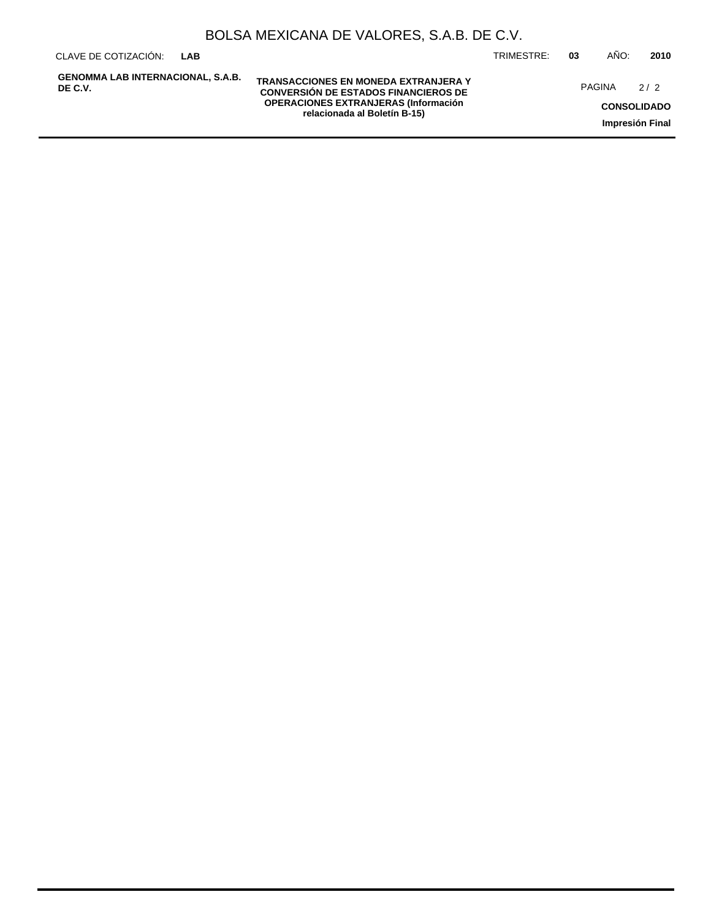**GENOMMA LAB INTERNACIONAL, S.A.B. DE C.V.**

**TRANSACCIONES EN MONEDA EXTRANJERA Y CONVERSIÓN DE ESTADOS FINANCIEROS DE OPERACIONES EXTRANJERAS (Información relacionada al Boletín B-15)**

CLAVE DE COTIZACIÓN: TRIMESTRE: **03** AÑO: **2010**

PAGINA 2/2

**CONSOLIDADO Impresión Final**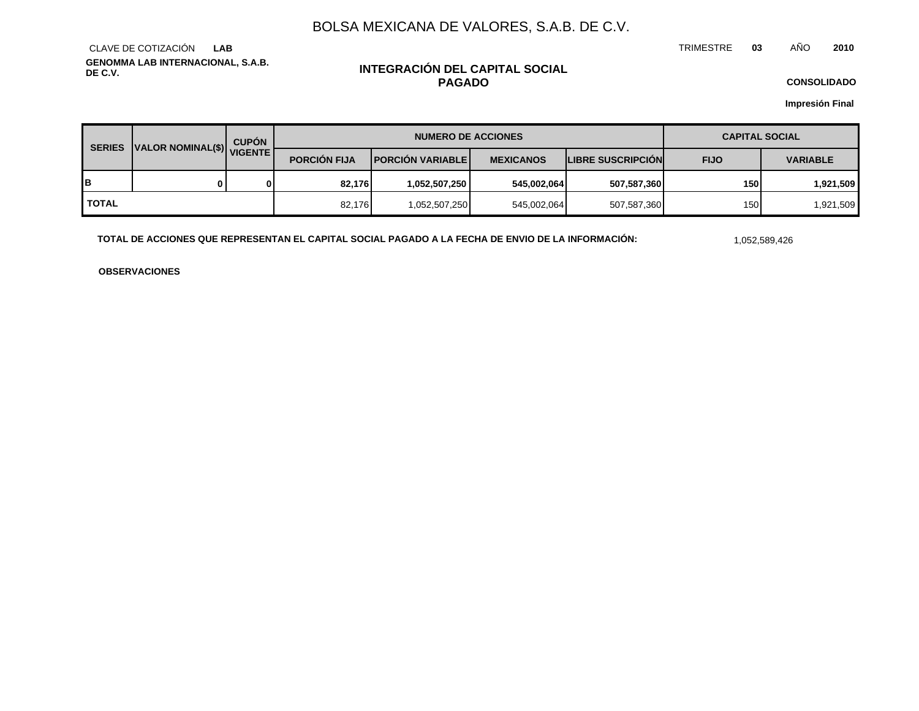TRIMESTRE **03** AÑO **2010**

**GENOMMA LAB INTERNACIONAL, S.A.B. DE C.V.** CLAVE DE COTIZACIÓN **LAB**

## **INTEGRACIÓN DEL CAPITAL SOCIAL PAGADO**

**CONSOLIDADO**

**Impresión Final**

| <b>SERIES</b> | VALOR NOMINAL(\$) VIGENTE | <b>CUPÓN</b> | <b>NUMERO DE ACCIONES</b> |                         |                  | <b>CAPITAL SOCIAL</b>    |             |                 |
|---------------|---------------------------|--------------|---------------------------|-------------------------|------------------|--------------------------|-------------|-----------------|
|               |                           |              | <b>PORCIÓN FIJA</b>       | <b>PORCIÓN VARIABLE</b> | <b>MEXICANOS</b> | <b>LIBRE SUSCRIPCION</b> | <b>FIJO</b> | <b>VARIABLE</b> |
| в             | 0                         |              | 82.176                    | 1,052,507,250           | 545,002,064      | 507,587,360              | 150         | 1,921,509       |
| <b>TOTAL</b>  |                           |              | 82.176                    | 1,052,507,250           | 545,002,064      | 507,587,360              | 150         | 1,921,509       |

**TOTAL DE ACCIONES QUE REPRESENTAN EL CAPITAL SOCIAL PAGADO A LA FECHA DE ENVIO DE LA INFORMACIÓN:** 1,052,589,426

**OBSERVACIONES**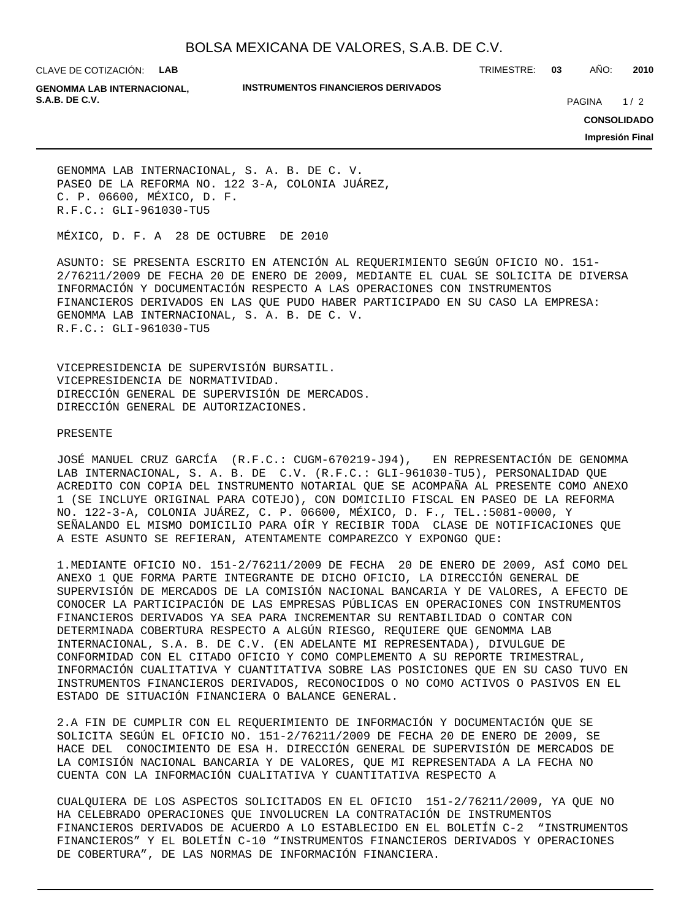CLAVE DE COTIZACIÓN: **LAB**

#### **INSTRUMENTOS FINANCIEROS DERIVADOS**

TRIMESTRE: **03** AÑO: **2010**

**GENOMMA LAB INTERNACIONAL, S.A.B. DE C.V. PAGINA 2020 20:20 20:20 20:20 20:20 20:20 20:20 20:20 20:20 20:20 20:20 20:20 20:20 20:20 20:20 20:20 20:20 20:20 20:20 20:20 20:20 20:20 20:20 20:20 20:20 20:20 20:20 20:20 20:20 20:20 20:20 20:20 20:20** 

 $1/2$ 

**CONSOLIDADO**

**Impresión Final**

GENOMMA LAB INTERNACIONAL, S. A. B. DE C. V. PASEO DE LA REFORMA NO. 122 3-A, COLONIA JUÁREZ, C. P. 06600, MÉXICO, D. F. R.F.C.: GLI-961030-TU5

MÉXICO, D. F. A 28 DE OCTUBRE DE 2010

ASUNTO: SE PRESENTA ESCRITO EN ATENCIÓN AL REQUERIMIENTO SEGÚN OFICIO NO. 151- 2/76211/2009 DE FECHA 20 DE ENERO DE 2009, MEDIANTE EL CUAL SE SOLICITA DE DIVERSA INFORMACIÓN Y DOCUMENTACIÓN RESPECTO A LAS OPERACIONES CON INSTRUMENTOS FINANCIEROS DERIVADOS EN LAS QUE PUDO HABER PARTICIPADO EN SU CASO LA EMPRESA: GENOMMA LAB INTERNACIONAL, S. A. B. DE C. V. R.F.C.: GLI-961030-TU5

VICEPRESIDENCIA DE SUPERVISIÓN BURSATIL. VICEPRESIDENCIA DE NORMATIVIDAD. DIRECCIÓN GENERAL DE SUPERVISIÓN DE MERCADOS. DIRECCIÓN GENERAL DE AUTORIZACIONES.

#### PRESENTE

JOSÉ MANUEL CRUZ GARCÍA (R.F.C.: CUGM-670219-J94), EN REPRESENTACIÓN DE GENOMMA LAB INTERNACIONAL, S. A. B. DE C.V. (R.F.C.: GLI-961030-TU5), PERSONALIDAD QUE ACREDITO CON COPIA DEL INSTRUMENTO NOTARIAL QUE SE ACOMPAÑA AL PRESENTE COMO ANEXO 1 (SE INCLUYE ORIGINAL PARA COTEJO), CON DOMICILIO FISCAL EN PASEO DE LA REFORMA NO. 122-3-A, COLONIA JUÁREZ, C. P. 06600, MÉXICO, D. F., TEL.:5081-0000, Y SEÑALANDO EL MISMO DOMICILIO PARA OÍR Y RECIBIR TODA CLASE DE NOTIFICACIONES QUE A ESTE ASUNTO SE REFIERAN, ATENTAMENTE COMPAREZCO Y EXPONGO QUE:

1. MEDIANTE OFICIO NO. 151-2/76211/2009 DE FECHA 20 DE ENERO DE 2009, ASÍ COMO DEL ANEXO 1 QUE FORMA PARTE INTEGRANTE DE DICHO OFICIO, LA DIRECCIÓN GENERAL DE SUPERVISIÓN DE MERCADOS DE LA COMISIÓN NACIONAL BANCARIA Y DE VALORES, A EFECTO DE CONOCER LA PARTICIPACIÓN DE LAS EMPRESAS PÚBLICAS EN OPERACIONES CON INSTRUMENTOS FINANCIEROS DERIVADOS YA SEA PARA INCREMENTAR SU RENTABILIDAD O CONTAR CON DETERMINADA COBERTURA RESPECTO A ALGÚN RIESGO, REQUIERE QUE GENOMMA LAB INTERNACIONAL, S.A. B. DE C.V. (EN ADELANTE MI REPRESENTADA), DIVULGUE DE CONFORMIDAD CON EL CITADO OFICIO Y COMO COMPLEMENTO A SU REPORTE TRIMESTRAL, INFORMACIÓN CUALITATIVA Y CUANTITATIVA SOBRE LAS POSICIONES QUE EN SU CASO TUVO EN INSTRUMENTOS FINANCIEROS DERIVADOS, RECONOCIDOS O NO COMO ACTIVOS O PASIVOS EN EL ESTADO DE SITUACIÓN FINANCIERA O BALANCE GENERAL.

2. A FIN DE CUMPLIR CON EL REQUERIMIENTO DE INFORMACIÓN Y DOCUMENTACIÓN QUE SE SOLICITA SEGÚN EL OFICIO NO. 151-2/76211/2009 DE FECHA 20 DE ENERO DE 2009, SE HACE DEL CONOCIMIENTO DE ESA H. DIRECCIÓN GENERAL DE SUPERVISIÓN DE MERCADOS DE LA COMISIÓN NACIONAL BANCARIA Y DE VALORES, QUE MI REPRESENTADA A LA FECHA NO CUENTA CON LA INFORMACIÓN CUALITATIVA Y CUANTITATIVA RESPECTO A

CUALQUIERA DE LOS ASPECTOS SOLICITADOS EN EL OFICIO 151-2/76211/2009, YA QUE NO HA CELEBRADO OPERACIONES QUE INVOLUCREN LA CONTRATACIÓN DE INSTRUMENTOS FINANCIEROS DERIVADOS DE ACUERDO A LO ESTABLECIDO EN EL BOLETÍN C-2 "INSTRUMENTOS FINANCIEROS" Y EL BOLETÍN C-10 "INSTRUMENTOS FINANCIEROS DERIVADOS Y OPERACIONES DE COBERTURA", DE LAS NORMAS DE INFORMACIÓN FINANCIERA.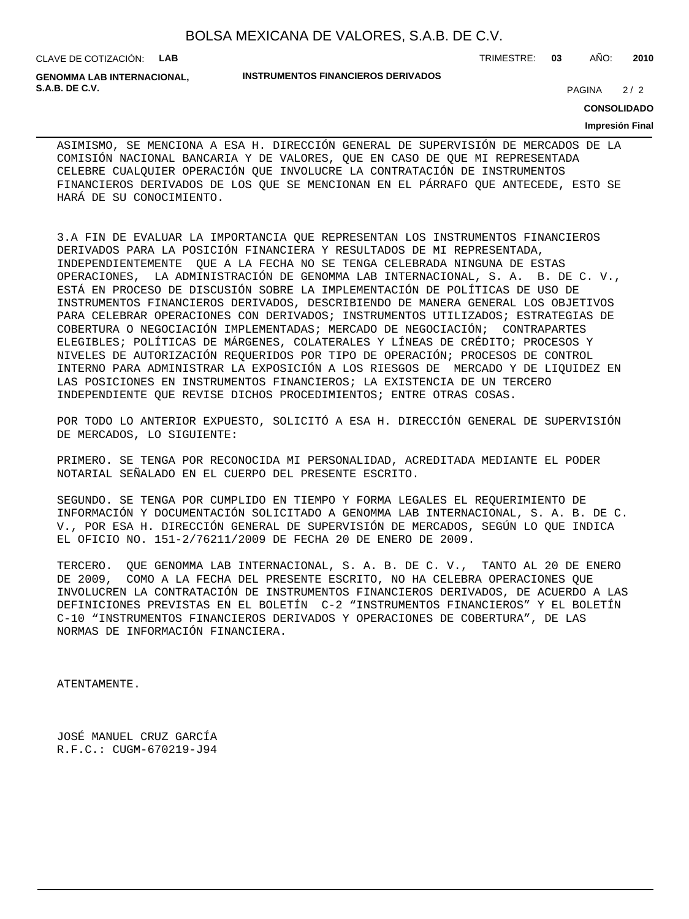CLAVE DE COTIZACIÓN: **LAB**

**GENOMMA LAB INTERNACIONAL, S.A.B. DE C.V.** 2/2

#### **INSTRUMENTOS FINANCIEROS DERIVADOS**

TRIMESTRE: **03** AÑO: **2010**

 $2/2$ 

### **CONSOLIDADO**

#### **Impresión Final**

ASIMISMO, SE MENCIONA A ESA H. DIRECCIÓN GENERAL DE SUPERVISIÓN DE MERCADOS DE LA COMISIÓN NACIONAL BANCARIA Y DE VALORES, QUE EN CASO DE QUE MI REPRESENTADA CELEBRE CUALQUIER OPERACIÓN QUE INVOLUCRE LA CONTRATACIÓN DE INSTRUMENTOS FINANCIEROS DERIVADOS DE LOS QUE SE MENCIONAN EN EL PÁRRAFO QUE ANTECEDE, ESTO SE HARÁ DE SU CONOCIMIENTO.

3. A FIN DE EVALUAR LA IMPORTANCIA QUE REPRESENTAN LOS INSTRUMENTOS FINANCIEROS DERIVADOS PARA LA POSICIÓN FINANCIERA Y RESULTADOS DE MI REPRESENTADA, INDEPENDIENTEMENTE QUE A LA FECHA NO SE TENGA CELEBRADA NINGUNA DE ESTAS OPERACIONES, LA ADMINISTRACIÓN DE GENOMMA LAB INTERNACIONAL, S. A. B. DE C. V., ESTÁ EN PROCESO DE DISCUSIÓN SOBRE LA IMPLEMENTACIÓN DE POLÍTICAS DE USO DE INSTRUMENTOS FINANCIEROS DERIVADOS, DESCRIBIENDO DE MANERA GENERAL LOS OBJETIVOS PARA CELEBRAR OPERACIONES CON DERIVADOS; INSTRUMENTOS UTILIZADOS; ESTRATEGIAS DE COBERTURA O NEGOCIACIÓN IMPLEMENTADAS; MERCADO DE NEGOCIACIÓN; CONTRAPARTES ELEGIBLES; POLÍTICAS DE MÁRGENES, COLATERALES Y LÍNEAS DE CRÉDITO; PROCESOS Y NIVELES DE AUTORIZACIÓN REQUERIDOS POR TIPO DE OPERACIÓN; PROCESOS DE CONTROL INTERNO PARA ADMINISTRAR LA EXPOSICIÓN A LOS RIESGOS DE MERCADO Y DE LIQUIDEZ EN LAS POSICIONES EN INSTRUMENTOS FINANCIEROS; LA EXISTENCIA DE UN TERCERO INDEPENDIENTE QUE REVISE DICHOS PROCEDIMIENTOS; ENTRE OTRAS COSAS.

POR TODO LO ANTERIOR EXPUESTO, SOLICITÓ A ESA H. DIRECCIÓN GENERAL DE SUPERVISIÓN DE MERCADOS, LO SIGUIENTE:

PRIMERO. SE TENGA POR RECONOCIDA MI PERSONALIDAD, ACREDITADA MEDIANTE EL PODER NOTARIAL SEÑALADO EN EL CUERPO DEL PRESENTE ESCRITO.

SEGUNDO. SE TENGA POR CUMPLIDO EN TIEMPO Y FORMA LEGALES EL REQUERIMIENTO DE INFORMACIÓN Y DOCUMENTACIÓN SOLICITADO A GENOMMA LAB INTERNACIONAL, S. A. B. DE C. V., POR ESA H. DIRECCIÓN GENERAL DE SUPERVISIÓN DE MERCADOS, SEGÚN LO QUE INDICA EL OFICIO NO. 151-2/76211/2009 DE FECHA 20 DE ENERO DE 2009.

TERCERO. QUE GENOMMA LAB INTERNACIONAL, S. A. B. DE C. V., TANTO AL 20 DE ENERO DE 2009, COMO A LA FECHA DEL PRESENTE ESCRITO, NO HA CELEBRA OPERACIONES QUE INVOLUCREN LA CONTRATACIÓN DE INSTRUMENTOS FINANCIEROS DERIVADOS, DE ACUERDO A LAS DEFINICIONES PREVISTAS EN EL BOLETÍN C-2 "INSTRUMENTOS FINANCIEROS" Y EL BOLETÍN C-10 "INSTRUMENTOS FINANCIEROS DERIVADOS Y OPERACIONES DE COBERTURA", DE LAS NORMAS DE INFORMACIÓN FINANCIERA.

ATENTAMENTE.

JOSÉ MANUEL CRUZ GARCÍA R.F.C.: CUGM-670219-J94